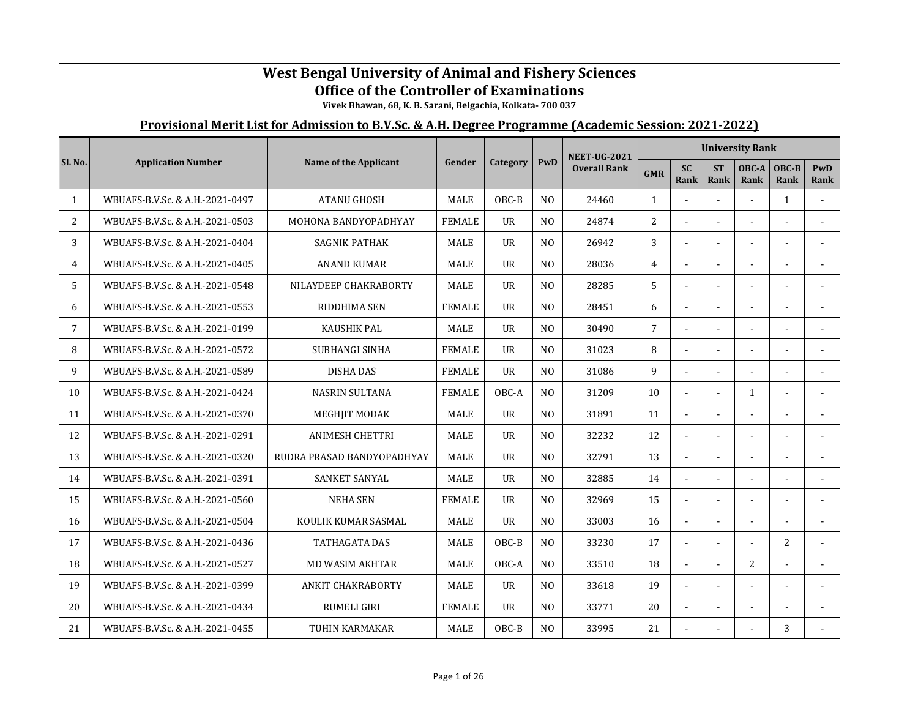|              | <b>West Bengal University of Animal and Fishery Sciences</b><br><b>Office of the Controller of Examinations</b><br>Vivek Bhawan, 68, K. B. Sarani, Belgachia, Kolkata- 700 037<br>Provisional Merit List for Admission to B.V.Sc. & A.H. Degree Programme (Academic Session: 2021-2022) |                            |               |                |                |                     |                |                   |                          |                        |                |                |  |  |
|--------------|-----------------------------------------------------------------------------------------------------------------------------------------------------------------------------------------------------------------------------------------------------------------------------------------|----------------------------|---------------|----------------|----------------|---------------------|----------------|-------------------|--------------------------|------------------------|----------------|----------------|--|--|
|              |                                                                                                                                                                                                                                                                                         |                            |               |                |                |                     |                |                   |                          |                        |                |                |  |  |
|              |                                                                                                                                                                                                                                                                                         |                            |               |                |                | <b>NEET-UG-2021</b> |                |                   |                          | <b>University Rank</b> |                |                |  |  |
| Sl. No.      | <b>Application Number</b>                                                                                                                                                                                                                                                               | Name of the Applicant      | Gender        | Category       | PwD            | <b>Overall Rank</b> | <b>GMR</b>     | <b>SC</b><br>Rank | <b>ST</b><br><b>Rank</b> | OBC-A<br>Rank          | OBC-B<br>Rank  | PwD<br>Rank    |  |  |
| $\mathbf{1}$ | WBUAFS-B.V.Sc. & A.H.-2021-0497                                                                                                                                                                                                                                                         | <b>ATANU GHOSH</b>         | MALE          | OBC-B          | N <sub>0</sub> | 24460               | $\mathbf{1}$   |                   |                          |                        | $\mathbf{1}$   |                |  |  |
| 2            | WBUAFS-B.V.Sc. & A.H.-2021-0503                                                                                                                                                                                                                                                         | MOHONA BANDYOPADHYAY       | <b>FEMALE</b> | UR             | N <sub>O</sub> | 24874               | $\overline{c}$ |                   |                          |                        |                |                |  |  |
| 3            | WBUAFS-B.V.Sc. & A.H.-2021-0404                                                                                                                                                                                                                                                         | <b>SAGNIK PATHAK</b>       | MALE          | <b>UR</b>      | N <sub>O</sub> | 26942               | 3              | ä,                |                          |                        |                |                |  |  |
| 4            | WBUAFS-B.V.Sc. & A.H.-2021-0405                                                                                                                                                                                                                                                         | <b>ANAND KUMAR</b>         | <b>MALE</b>   | <b>UR</b>      | N <sub>O</sub> | 28036               | $\overline{4}$ | $\overline{a}$    |                          | $\overline{a}$         |                | $\overline{a}$ |  |  |
| 5            | WBUAFS-B.V.Sc. & A.H.-2021-0548                                                                                                                                                                                                                                                         | NILAYDEEP CHAKRABORTY      | <b>MALE</b>   | <b>UR</b>      | N <sub>O</sub> | 28285               | 5              | $\overline{a}$    |                          |                        |                | ÷.             |  |  |
| 6            | WBUAFS-B.V.Sc. & A.H.-2021-0553                                                                                                                                                                                                                                                         | RIDDHIMA SEN               | <b>FEMALE</b> | <b>UR</b>      | N <sub>O</sub> | 28451               | 6              |                   |                          |                        |                |                |  |  |
| 7            | WBUAFS-B.V.Sc. & A.H.-2021-0199                                                                                                                                                                                                                                                         | <b>KAUSHIK PAL</b>         | <b>MALE</b>   | <b>UR</b>      | N <sub>0</sub> | 30490               | $\overline{7}$ |                   |                          |                        |                |                |  |  |
| 8            | WBUAFS-B.V.Sc. & A.H.-2021-0572                                                                                                                                                                                                                                                         | SUBHANGI SINHA             | <b>FEMALE</b> | $_{\text{U}R}$ | N <sub>0</sub> | 31023               | 8              | $\blacksquare$    |                          |                        |                |                |  |  |
| 9            | WBUAFS-B.V.Sc. & A.H.-2021-0589                                                                                                                                                                                                                                                         | <b>DISHA DAS</b>           | <b>FEMALE</b> | $_{\text{U}R}$ | N <sub>0</sub> | 31086               | 9              |                   |                          |                        |                |                |  |  |
| 10           | WBUAFS-B.V.Sc. & A.H.-2021-0424                                                                                                                                                                                                                                                         | <b>NASRIN SULTANA</b>      | <b>FEMALE</b> | OBC-A          | N <sub>0</sub> | 31209               | 10             |                   |                          | $\mathbf{1}$           |                |                |  |  |
| 11           | WBUAFS-B.V.Sc. & A.H.-2021-0370                                                                                                                                                                                                                                                         | MEGHJIT MODAK              | <b>MALE</b>   | <b>UR</b>      | N <sub>O</sub> | 31891               | 11             |                   |                          |                        |                |                |  |  |
| 12           | WBUAFS-B.V.Sc. & A.H.-2021-0291                                                                                                                                                                                                                                                         | <b>ANIMESH CHETTRI</b>     | <b>MALE</b>   | <b>UR</b>      | N <sub>O</sub> | 32232               | 12             | ÷,                | $\sim$                   | $\mathbf{r}$           |                |                |  |  |
| 13           | WBUAFS-B.V.Sc. & A.H.-2021-0320                                                                                                                                                                                                                                                         | RUDRA PRASAD BANDYOPADHYAY | <b>MALE</b>   | <b>UR</b>      | N <sub>O</sub> | 32791               | 13             | $\overline{a}$    |                          |                        |                |                |  |  |
| 14           | WBUAFS-B.V.Sc. & A.H.-2021-0391                                                                                                                                                                                                                                                         | SANKET SANYAL              | <b>MALE</b>   | $_{\text{U}R}$ | N <sub>O</sub> | 32885               | 14             |                   |                          |                        |                |                |  |  |
| 15           | WBUAFS-B.V.Sc. & A.H.-2021-0560                                                                                                                                                                                                                                                         | <b>NEHA SEN</b>            | <b>FEMALE</b> | $_{\text{U}R}$ | N <sub>O</sub> | 32969               | 15             |                   |                          |                        |                |                |  |  |
| 16           | WBUAFS-B.V.Sc. & A.H.-2021-0504                                                                                                                                                                                                                                                         | KOULIK KUMAR SASMAL        | <b>MALE</b>   | <b>UR</b>      | N <sub>O</sub> | 33003               | 16             | $\blacksquare$    |                          | $\sim$                 |                |                |  |  |
| 17           | WBUAFS-B.V.Sc. & A.H.-2021-0436                                                                                                                                                                                                                                                         | TATHAGATA DAS              | <b>MALE</b>   | OBC-B          | N <sub>O</sub> | 33230               | 17             | $\mathbf{r}$      |                          | $\mathbf{r}$           | $\overline{2}$ |                |  |  |
| 18           | WBUAFS-B.V.Sc. & A.H.-2021-0527                                                                                                                                                                                                                                                         | MD WASIM AKHTAR            | <b>MALE</b>   | OBC-A          | N <sub>O</sub> | 33510               | 18             |                   |                          | $\overline{c}$         |                |                |  |  |
| 19           | WBUAFS-B.V.Sc. & A.H.-2021-0399                                                                                                                                                                                                                                                         | <b>ANKIT CHAKRABORTY</b>   | MALE          | <b>UR</b>      | N <sub>O</sub> | 33618               | 19             |                   |                          |                        |                |                |  |  |
| 20           | WBUAFS-B.V.Sc. & A.H.-2021-0434                                                                                                                                                                                                                                                         | <b>RUMELI GIRI</b>         | <b>FEMALE</b> | UR             | N <sub>O</sub> | 33771               | 20             | ä,                |                          |                        |                |                |  |  |
| 21           | WBUAFS-B.V.Sc. & A.H.-2021-0455                                                                                                                                                                                                                                                         | TUHIN KARMAKAR             | MALE          | OBC-B          | N <sub>O</sub> | 33995               | 21             |                   |                          |                        | 3              |                |  |  |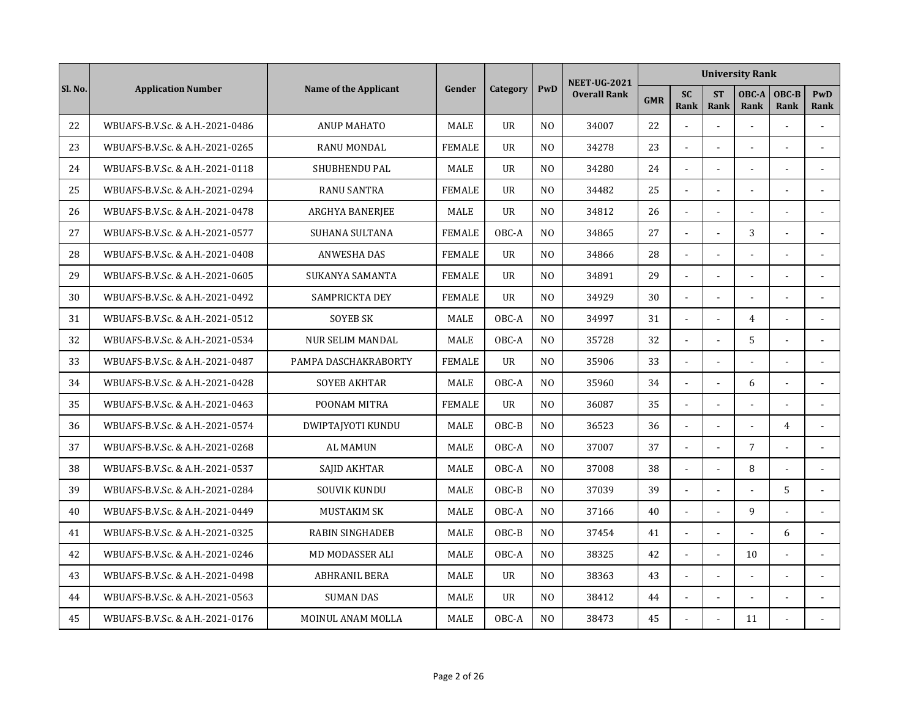|         |                                 |                              |               |                |                | <b>NEET-UG-2021</b> |            |                          |                          | <b>University Rank</b>   |                |                    |
|---------|---------------------------------|------------------------------|---------------|----------------|----------------|---------------------|------------|--------------------------|--------------------------|--------------------------|----------------|--------------------|
| Sl. No. | <b>Application Number</b>       | <b>Name of the Applicant</b> | Gender        | Category       | PwD            | <b>Overall Rank</b> | <b>GMR</b> | <b>SC</b><br>Rank        | <b>ST</b><br><b>Rank</b> | OBC-A<br>Rank            | OBC-B<br>Rank  | <b>PwD</b><br>Rank |
| 22      | WBUAFS-B.V.Sc. & A.H.-2021-0486 | <b>ANUP MAHATO</b>           | <b>MALE</b>   | <b>UR</b>      | N <sub>O</sub> | 34007               | 22         |                          | $\sim$                   |                          |                |                    |
| 23      | WBUAFS-B.V.Sc. & A.H.-2021-0265 | <b>RANU MONDAL</b>           | <b>FEMALE</b> | $_{\text{U}R}$ | N <sub>O</sub> | 34278               | 23         | $\blacksquare$           | $\sim$                   | $\overline{\phantom{a}}$ | ÷,             | $\sim$             |
| 24      | WBUAFS-B.V.Sc. & A.H.-2021-0118 | SHUBHENDU PAL                | <b>MALE</b>   | <b>UR</b>      | N <sub>0</sub> | 34280               | 24         | $\sim$                   |                          |                          |                | $\sim$             |
| 25      | WBUAFS-B.V.Sc. & A.H.-2021-0294 | <b>RANU SANTRA</b>           | <b>FEMALE</b> | <b>UR</b>      | N <sub>0</sub> | 34482               | 25         |                          |                          |                          |                |                    |
| 26      | WBUAFS-B.V.Sc. & A.H.-2021-0478 | ARGHYA BANERJEE              | <b>MALE</b>   | <b>UR</b>      | N <sub>0</sub> | 34812               | 26         | $\overline{a}$           | $\overline{a}$           |                          |                |                    |
| 27      | WBUAFS-B.V.Sc. & A.H.-2021-0577 | SUHANA SULTANA               | <b>FEMALE</b> | OBC-A          | N <sub>O</sub> | 34865               | 27         | $\blacksquare$           | $\sim$                   | 3                        | ÷,             |                    |
| 28      | WBUAFS-B.V.Sc. & A.H.-2021-0408 | <b>ANWESHA DAS</b>           | <b>FEMALE</b> | <b>UR</b>      | N <sub>O</sub> | 34866               | 28         | $\Box$                   | $\overline{a}$           |                          |                |                    |
| 29      | WBUAFS-B.V.Sc. & A.H.-2021-0605 | SUKANYA SAMANTA              | <b>FEMALE</b> | <b>UR</b>      | N <sub>O</sub> | 34891               | 29         | $\blacksquare$           |                          |                          |                |                    |
| 30      | WBUAFS-B.V.Sc. & A.H.-2021-0492 | SAMPRICKTA DEY               | <b>FEMALE</b> | <b>UR</b>      | N <sub>0</sub> | 34929               | 30         | $\blacksquare$           | $\blacksquare$           |                          |                |                    |
| 31      | WBUAFS-B.V.Sc. & A.H.-2021-0512 | <b>SOYEB SK</b>              | MALE          | OBC-A          | N <sub>0</sub> | 34997               | 31         |                          |                          | $\overline{4}$           |                |                    |
| 32      | WBUAFS-B.V.Sc. & A.H.-2021-0534 | <b>NUR SELIM MANDAL</b>      | MALE          | OBC-A          | N <sub>0</sub> | 35728               | 32         | $\tilde{\phantom{a}}$    | $\overline{a}$           | 5                        | ä,             | $\sim$             |
| 33      | WBUAFS-B.V.Sc. & A.H.-2021-0487 | PAMPA DASCHAKRABORTY         | <b>FEMALE</b> | <b>UR</b>      | N <sub>0</sub> | 35906               | 33         | ÷,                       | $\overline{a}$           |                          |                |                    |
| 34      | WBUAFS-B.V.Sc. & A.H.-2021-0428 | <b>SOYEB AKHTAR</b>          | MALE          | OBC-A          | N <sub>0</sub> | 35960               | 34         | $\blacksquare$           | $\overline{a}$           | 6                        | L.             | $\overline{a}$     |
| 35      | WBUAFS-B.V.Sc. & A.H.-2021-0463 | POONAM MITRA                 | <b>FEMALE</b> | <b>UR</b>      | N <sub>O</sub> | 36087               | 35         | $\overline{\phantom{a}}$ | $\overline{a}$           |                          |                |                    |
| 36      | WBUAFS-B.V.Sc. & A.H.-2021-0574 | DWIPTAJYOTI KUNDU            | <b>MALE</b>   | OBC-B          | N <sub>O</sub> | 36523               | 36         |                          |                          |                          | $\overline{4}$ |                    |
| 37      | WBUAFS-B.V.Sc. & A.H.-2021-0268 | <b>AL MAMUN</b>              | <b>MALE</b>   | OBC-A          | N <sub>O</sub> | 37007               | 37         | $\sim$                   | $\overline{a}$           | $\overline{7}$           |                |                    |
| 38      | WBUAFS-B.V.Sc. & A.H.-2021-0537 | SAJID AKHTAR                 | MALE          | OBC-A          | N <sub>O</sub> | 37008               | 38         | $\blacksquare$           | $\sim$                   | 8                        |                |                    |
| 39      | WBUAFS-B.V.Sc. & A.H.-2021-0284 | <b>SOUVIK KUNDU</b>          | MALE          | OBC-B          | N <sub>O</sub> | 37039               | 39         | $\blacksquare$           | $\overline{a}$           |                          | 5              | $\overline{a}$     |
| 40      | WBUAFS-B.V.Sc. & A.H.-2021-0449 | <b>MUSTAKIM SK</b>           | <b>MALE</b>   | OBC-A          | N <sub>0</sub> | 37166               | 40         | $\overline{\phantom{a}}$ | $\overline{a}$           | 9                        |                |                    |
| 41      | WBUAFS-B.V.Sc. & A.H.-2021-0325 | <b>RABIN SINGHADEB</b>       | MALE          | OBC-B          | N <sub>O</sub> | 37454               | 41         | $\sim$                   |                          |                          | 6              |                    |
| 42      | WBUAFS-B.V.Sc. & A.H.-2021-0246 | <b>MD MODASSER ALI</b>       | <b>MALE</b>   | OBC-A          | N <sub>O</sub> | 38325               | 42         |                          |                          | 10                       |                |                    |
| 43      | WBUAFS-B.V.Sc. & A.H.-2021-0498 | <b>ABHRANIL BERA</b>         | <b>MALE</b>   | <b>UR</b>      | N <sub>O</sub> | 38363               | 43         | $\tilde{\phantom{a}}$    | $\overline{a}$           | $\sim$                   | ÷.             | $\blacksquare$     |
| 44      | WBUAFS-B.V.Sc. & A.H.-2021-0563 | <b>SUMAN DAS</b>             | <b>MALE</b>   | <b>UR</b>      | N <sub>O</sub> | 38412               | 44         | $\blacksquare$           | $\blacksquare$           |                          |                |                    |
| 45      | WBUAFS-B.V.Sc. & A.H.-2021-0176 | MOINUL ANAM MOLLA            | MALE          | OBC-A          | N <sub>0</sub> | 38473               | 45         |                          |                          | 11                       |                |                    |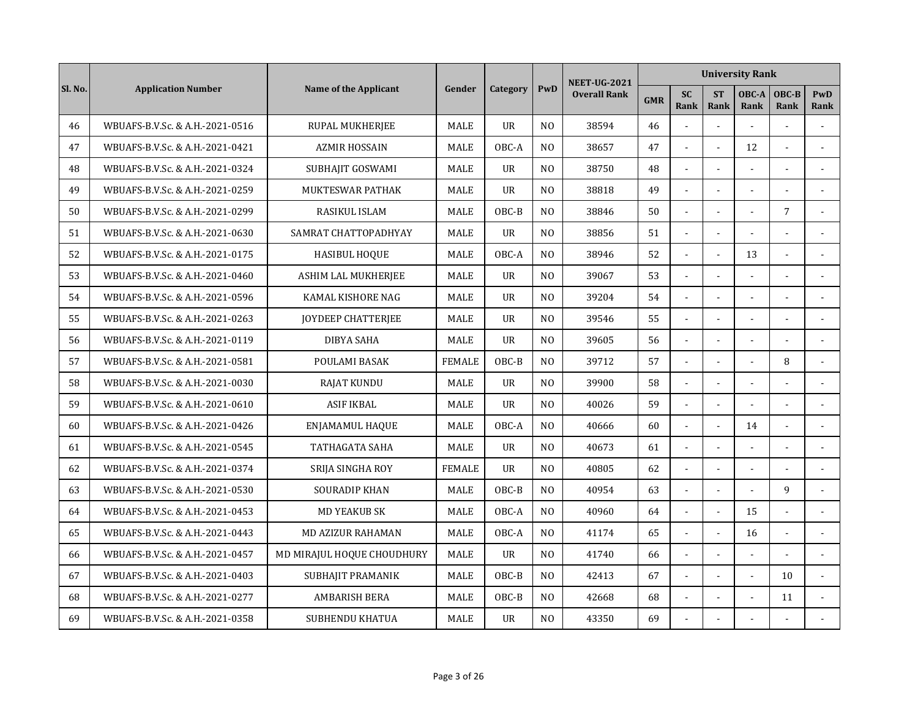|         |                                 |                              |               |                |                | <b>NEET-UG-2021</b> |            |                          |                             | <b>University Rank</b> |                |                    |
|---------|---------------------------------|------------------------------|---------------|----------------|----------------|---------------------|------------|--------------------------|-----------------------------|------------------------|----------------|--------------------|
| Sl. No. | <b>Application Number</b>       | <b>Name of the Applicant</b> | Gender        | Category       | PwD            | <b>Overall Rank</b> | <b>GMR</b> | <b>SC</b><br><b>Rank</b> | <b>ST</b><br><b>Rank</b>    | OBC-A<br>Rank          | OBC-B<br>Rank  | <b>PwD</b><br>Rank |
| 46      | WBUAFS-B.V.Sc. & A.H.-2021-0516 | RUPAL MUKHERJEE              | MALE          | $_{\text{U}R}$ | N <sub>0</sub> | 38594               | 46         |                          | $\overline{a}$              |                        |                |                    |
| 47      | WBUAFS-B.V.Sc. & A.H.-2021-0421 | <b>AZMIR HOSSAIN</b>         | MALE          | OBC-A          | N <sub>O</sub> | 38657               | 47         | $\tilde{\phantom{a}}$    |                             | 12                     |                | $\blacksquare$     |
| 48      | WBUAFS-B.V.Sc. & A.H.-2021-0324 | SUBHAJIT GOSWAMI             | <b>MALE</b>   | <b>UR</b>      | N <sub>0</sub> | 38750               | 48         |                          |                             |                        |                |                    |
| 49      | WBUAFS-B.V.Sc. & A.H.-2021-0259 | MUKTESWAR PATHAK             | MALE          | <b>UR</b>      | N <sub>O</sub> | 38818               | 49         |                          |                             |                        |                |                    |
| 50      | WBUAFS-B.V.Sc. & A.H.-2021-0299 | RASIKUL ISLAM                | <b>MALE</b>   | OBC-B          | N <sub>O</sub> | 38846               | 50         | $\ddot{\phantom{a}}$     | $\overline{a}$              | $\sim$                 | $\overline{7}$ |                    |
| 51      | WBUAFS-B.V.Sc. & A.H.-2021-0630 | SAMRAT CHATTOPADHYAY         | <b>MALE</b>   | <b>UR</b>      | N <sub>O</sub> | 38856               | 51         | $\overline{\phantom{a}}$ | $\mathcal{L}^{\mathcal{L}}$ |                        | ÷.             |                    |
| 52      | WBUAFS-B.V.Sc. & A.H.-2021-0175 | <b>HASIBUL HOQUE</b>         | <b>MALE</b>   | OBC-A          | N <sub>O</sub> | 38946               | 52         | $\blacksquare$           | $\sim$                      | 13                     | L,             |                    |
| 53      | WBUAFS-B.V.Sc. & A.H.-2021-0460 | ASHIM LAL MUKHERJEE          | MALE          | <b>UR</b>      | N <sub>0</sub> | 39067               | 53         | $\sim$                   |                             |                        |                | $\sim$             |
| 54      | WBUAFS-B.V.Sc. & A.H.-2021-0596 | KAMAL KISHORE NAG            | MALE          | <b>UR</b>      | N <sub>O</sub> | 39204               | 54         |                          |                             |                        |                |                    |
| 55      | WBUAFS-B.V.Sc. & A.H.-2021-0263 | JOYDEEP CHATTERJEE           | <b>MALE</b>   | <b>UR</b>      | N <sub>0</sub> | 39546               | 55         | $\sim$                   | $\overline{a}$              |                        |                |                    |
| 56      | WBUAFS-B.V.Sc. & A.H.-2021-0119 | DIBYA SAHA                   | <b>MALE</b>   | <b>UR</b>      | N <sub>O</sub> | 39605               | 56         | $\blacksquare$           | ä,                          |                        |                |                    |
| 57      | WBUAFS-B.V.Sc. & A.H.-2021-0581 | POULAMI BASAK                | <b>FEMALE</b> | OBC-B          | N <sub>O</sub> | 39712               | 57         | $\mathbb{Z}^2$           | $\overline{a}$              | $\overline{a}$         | 8              |                    |
| 58      | WBUAFS-B.V.Sc. & A.H.-2021-0030 | <b>RAJAT KUNDU</b>           | <b>MALE</b>   | <b>UR</b>      | N <sub>0</sub> | 39900               | 58         | ÷,                       | $\blacksquare$              |                        |                | $\sim$             |
| 59      | WBUAFS-B.V.Sc. & A.H.-2021-0610 | <b>ASIF IKBAL</b>            | <b>MALE</b>   | <b>UR</b>      | N <sub>0</sub> | 40026               | 59         | $\sim$                   |                             |                        | $\overline{a}$ |                    |
| 60      | WBUAFS-B.V.Sc. & A.H.-2021-0426 | ENJAMAMUL HAQUE              | MALE          | OBC-A          | N <sub>0</sub> | 40666               | 60         |                          |                             | 14                     |                |                    |
| 61      | WBUAFS-B.V.Sc. & A.H.-2021-0545 | TATHAGATA SAHA               | <b>MALE</b>   | <b>UR</b>      | N <sub>0</sub> | 40673               | 61         | $\sim$                   | $\overline{a}$              | $\sim$                 | $\overline{a}$ |                    |
| 62      | WBUAFS-B.V.Sc. & A.H.-2021-0374 | SRIJA SINGHA ROY             | <b>FEMALE</b> | <b>UR</b>      | N <sub>O</sub> | 40805               | 62         | $\overline{\phantom{a}}$ | $\overline{a}$              |                        |                |                    |
| 63      | WBUAFS-B.V.Sc. & A.H.-2021-0530 | <b>SOURADIP KHAN</b>         | <b>MALE</b>   | OBC-B          | N <sub>O</sub> | 40954               | 63         | $\blacksquare$           | $\overline{a}$              |                        | 9              |                    |
| 64      | WBUAFS-B.V.Sc. & A.H.-2021-0453 | <b>MD YEAKUB SK</b>          | MALE          | OBC-A          | N <sub>O</sub> | 40960               | 64         | $\overline{\phantom{a}}$ | $\overline{a}$              | 15                     |                |                    |
| 65      | WBUAFS-B.V.Sc. & A.H.-2021-0443 | <b>MD AZIZUR RAHAMAN</b>     | <b>MALE</b>   | OBC-A          | N <sub>O</sub> | 41174               | 65         | $\blacksquare$           |                             | 16                     |                | $\blacksquare$     |
| 66      | WBUAFS-B.V.Sc. & A.H.-2021-0457 | MD MIRAJUL HOQUE CHOUDHURY   | MALE          | <b>UR</b>      | N <sub>O</sub> | 41740               | 66         |                          |                             |                        |                |                    |
| 67      | WBUAFS-B.V.Sc. & A.H.-2021-0403 | SUBHAJIT PRAMANIK            | MALE          | OBC-B          | N <sub>0</sub> | 42413               | 67         | $\tilde{\phantom{a}}$    | $\blacksquare$              |                        | 10             | $\sim$             |
| 68      | WBUAFS-B.V.Sc. & A.H.-2021-0277 | <b>AMBARISH BERA</b>         | <b>MALE</b>   | OBC-B          | N <sub>0</sub> | 42668               | 68         | $\blacksquare$           | ÷,                          | $\sim$                 | 11             |                    |
| 69      | WBUAFS-B.V.Sc. & A.H.-2021-0358 | <b>SUBHENDU KHATUA</b>       | MALE          | <b>UR</b>      | N <sub>O</sub> | 43350               | 69         |                          |                             |                        |                |                    |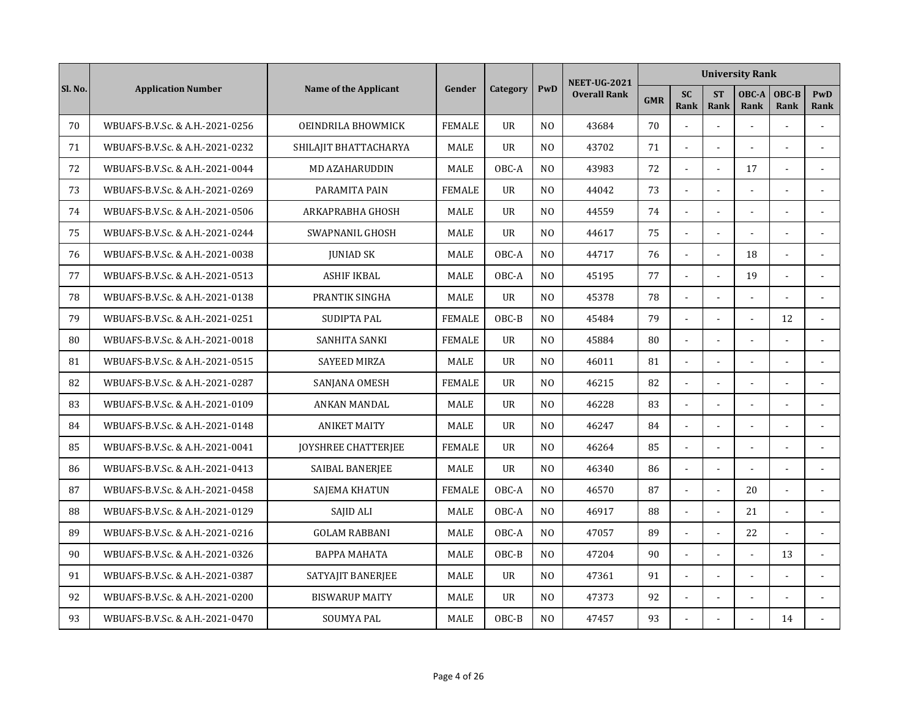|         |                                 |                            |               |                |                | <b>NEET-UG-2021</b> |            |                   |                          | <b>University Rank</b> |                |                    |
|---------|---------------------------------|----------------------------|---------------|----------------|----------------|---------------------|------------|-------------------|--------------------------|------------------------|----------------|--------------------|
| Sl. No. | <b>Application Number</b>       | Name of the Applicant      | Gender        | Category       | PwD            | <b>Overall Rank</b> | <b>GMR</b> | <b>SC</b><br>Rank | <b>ST</b><br>Rank        | OBC-A<br>Rank          | OBC-B<br>Rank  | <b>PwD</b><br>Rank |
| 70      | WBUAFS-B.V.Sc. & A.H.-2021-0256 | OEINDRILA BHOWMICK         | <b>FEMALE</b> | <b>UR</b>      | N <sub>O</sub> | 43684               | 70         |                   | $\overline{a}$           | $\overline{a}$         |                |                    |
| 71      | WBUAFS-B.V.Sc. & A.H.-2021-0232 | SHILAJIT BHATTACHARYA      | <b>MALE</b>   | <b>UR</b>      | N <sub>O</sub> | 43702               | 71         | $\sim$            | $\overline{a}$           |                        | ÷.             |                    |
| 72      | WBUAFS-B.V.Sc. & A.H.-2021-0044 | <b>MD AZAHARUDDIN</b>      | <b>MALE</b>   | OBC-A          | N <sub>O</sub> | 43983               | 72         |                   |                          | 17                     |                |                    |
| 73      | WBUAFS-B.V.Sc. & A.H.-2021-0269 | PARAMITA PAIN              | <b>FEMALE</b> | <b>UR</b>      | N <sub>O</sub> | 44042               | 73         |                   |                          |                        |                |                    |
| 74      | WBUAFS-B.V.Sc. & A.H.-2021-0506 | ARKAPRABHA GHOSH           | MALE          | $_{\text{U}R}$ | N <sub>O</sub> | 44559               | 74         | $\mathbf{r}$      | $\blacksquare$           |                        |                |                    |
| 75      | WBUAFS-B.V.Sc. & A.H.-2021-0244 | SWAPNANIL GHOSH            | MALE          | <b>UR</b>      | N <sub>O</sub> | 44617               | 75         | $\blacksquare$    | $\sim$                   |                        | ä,             |                    |
| 76      | WBUAFS-B.V.Sc. & A.H.-2021-0038 | <b>JUNIAD SK</b>           | MALE          | OBC-A          | N <sub>O</sub> | 44717               | 76         | $\blacksquare$    | $\overline{\phantom{a}}$ | 18                     | $\overline{a}$ |                    |
| 77      | WBUAFS-B.V.Sc. & A.H.-2021-0513 | <b>ASHIF IKBAL</b>         | MALE          | OBC-A          | N <sub>O</sub> | 45195               | 77         | $\sim$            | $\overline{a}$           | 19                     |                | $\overline{a}$     |
| 78      | WBUAFS-B.V.Sc. & A.H.-2021-0138 | PRANTIK SINGHA             | <b>MALE</b>   | $_{\text{U}R}$ | N <sub>0</sub> | 45378               | 78         |                   |                          |                        |                |                    |
| 79      | WBUAFS-B.V.Sc. & A.H.-2021-0251 | SUDIPTA PAL                | <b>FEMALE</b> | OBC-B          | N <sub>O</sub> | 45484               | 79         |                   | $\overline{a}$           |                        | 12             |                    |
| 80      | WBUAFS-B.V.Sc. & A.H.-2021-0018 | SANHITA SANKI              | <b>FEMALE</b> | <b>UR</b>      | N <sub>O</sub> | 45884               | 80         | $\sim$            | $\overline{a}$           |                        |                |                    |
| 81      | WBUAFS-B.V.Sc. & A.H.-2021-0515 | <b>SAYEED MIRZA</b>        | MALE          | <b>UR</b>      | N <sub>O</sub> | 46011               | 81         | L.                | $\overline{a}$           |                        | ÷.             |                    |
| 82      | WBUAFS-B.V.Sc. & A.H.-2021-0287 | SANJANA OMESH              | <b>FEMALE</b> | $_{\text{U}R}$ | N <sub>O</sub> | 46215               | 82         | $\mathbf{r}$      | $\blacksquare$           |                        | $\overline{a}$ |                    |
| 83      | WBUAFS-B.V.Sc. & A.H.-2021-0109 | ANKAN MANDAL               | MALE          | <b>UR</b>      | N <sub>O</sub> | 46228               | 83         | $\mathbf{r}$      |                          |                        |                |                    |
| 84      | WBUAFS-B.V.Sc. & A.H.-2021-0148 | <b>ANIKET MAITY</b>        | MALE          | UR             | N <sub>O</sub> | 46247               | 84         |                   |                          |                        |                |                    |
| 85      | WBUAFS-B.V.Sc. & A.H.-2021-0041 | <b>JOYSHREE CHATTERIEE</b> | <b>FEMALE</b> | $_{\text{U}R}$ | N <sub>O</sub> | 46264               | 85         | $\mathbf{r}$      | $\blacksquare$           |                        |                |                    |
| 86      | WBUAFS-B.V.Sc. & A.H.-2021-0413 | SAIBAL BANERJEE            | <b>MALE</b>   | <b>UR</b>      | N <sub>O</sub> | 46340               | 86         | $\sim$            | $\overline{\phantom{a}}$ |                        | L.             |                    |
| 87      | WBUAFS-B.V.Sc. & A.H.-2021-0458 | SAJEMA KHATUN              | <b>FEMALE</b> | OBC-A          | N <sub>O</sub> | 46570               | 87         | $\sim$            | $\overline{a}$           | 20                     | $\overline{a}$ |                    |
| 88      | WBUAFS-B.V.Sc. & A.H.-2021-0129 | SAJID ALI                  | MALE          | OBC-A          | N <sub>O</sub> | 46917               | 88         | $\sim$            | $\overline{a}$           | 21                     | $\overline{a}$ |                    |
| 89      | WBUAFS-B.V.Sc. & A.H.-2021-0216 | <b>GOLAM RABBANI</b>       | MALE          | OBC-A          | N <sub>O</sub> | 47057               | 89         |                   |                          | 22                     |                |                    |
| 90      | WBUAFS-B.V.Sc. & A.H.-2021-0326 | <b>BAPPA MAHATA</b>        | MALE          | OBC-B          | N <sub>O</sub> | 47204               | 90         |                   |                          |                        | 13             |                    |
| 91      | WBUAFS-B.V.Sc. & A.H.-2021-0387 | SATYAJIT BANERJEE          | <b>MALE</b>   | <b>UR</b>      | N <sub>O</sub> | 47361               | 91         | $\blacksquare$    | $\mathbf{r}$             |                        |                |                    |
| 92      | WBUAFS-B.V.Sc. & A.H.-2021-0200 | <b>BISWARUP MAITY</b>      | MALE          | <b>UR</b>      | N <sub>O</sub> | 47373               | 92         | $\blacksquare$    | $\blacksquare$           |                        |                |                    |
| 93      | WBUAFS-B.V.Sc. & A.H.-2021-0470 | <b>SOUMYA PAL</b>          | MALE          | OBC-B          | N <sub>O</sub> | 47457               | 93         |                   |                          |                        | 14             |                    |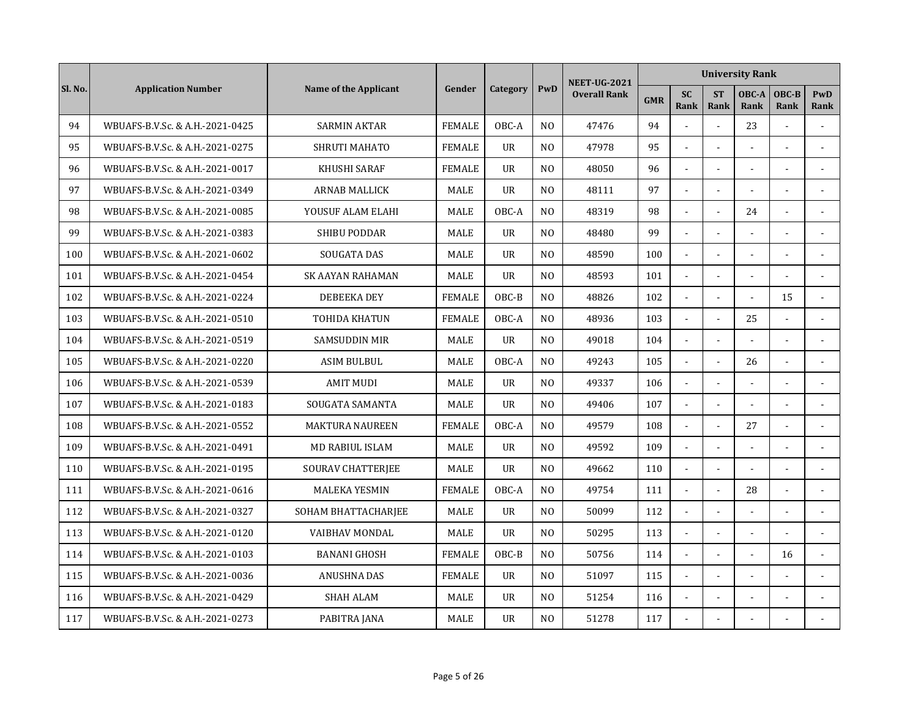|         |                                 |                        |               |                |                | <b>NEET-UG-2021</b> |            |                          |                          | <b>University Rank</b> |                |                |
|---------|---------------------------------|------------------------|---------------|----------------|----------------|---------------------|------------|--------------------------|--------------------------|------------------------|----------------|----------------|
| Sl. No. | <b>Application Number</b>       | Name of the Applicant  | Gender        | Category       | PwD            | <b>Overall Rank</b> | <b>GMR</b> | <b>SC</b><br>Rank        | <b>ST</b><br>Rank        | OBC-A<br>Rank          | OBC-B<br>Rank  | PwD<br>Rank    |
| 94      | WBUAFS-B.V.Sc. & A.H.-2021-0425 | <b>SARMIN AKTAR</b>    | <b>FEMALE</b> | OBC-A          | N <sub>O</sub> | 47476               | 94         |                          | $\overline{a}$           | 23                     | L.             |                |
| 95      | WBUAFS-B.V.Sc. & A.H.-2021-0275 | SHRUTI MAHATO          | <b>FEMALE</b> | <b>UR</b>      | N <sub>O</sub> | 47978               | 95         | $\overline{\phantom{a}}$ | $\overline{a}$           |                        |                |                |
| 96      | WBUAFS-B.V.Sc. & A.H.-2021-0017 | KHUSHI SARAF           | <b>FEMALE</b> | $_{\text{U}R}$ | N <sub>0</sub> | 48050               | 96         | $\blacksquare$           |                          |                        |                |                |
| 97      | WBUAFS-B.V.Sc. & A.H.-2021-0349 | ARNAB MALLICK          | MALE          | <b>UR</b>      | N <sub>0</sub> | 48111               | 97         |                          |                          |                        |                |                |
| 98      | WBUAFS-B.V.Sc. & A.H.-2021-0085 | YOUSUF ALAM ELAHI      | <b>MALE</b>   | OBC-A          | N <sub>0</sub> | 48319               | 98         | $\tilde{\phantom{a}}$    | $\blacksquare$           | 24                     | $\overline{a}$ |                |
| 99      | WBUAFS-B.V.Sc. & A.H.-2021-0383 | <b>SHIBU PODDAR</b>    | <b>MALE</b>   | <b>UR</b>      | N <sub>O</sub> | 48480               | 99         | $\tilde{\phantom{a}}$    | $\sim$                   |                        |                |                |
| 100     | WBUAFS-B.V.Sc. & A.H.-2021-0602 | SOUGATA DAS            | MALE          | <b>UR</b>      | N <sub>0</sub> | 48590               | 100        | $\blacksquare$           | $\overline{\phantom{a}}$ |                        |                |                |
| 101     | WBUAFS-B.V.Sc. & A.H.-2021-0454 | SK AAYAN RAHAMAN       | MALE          | <b>UR</b>      | N <sub>0</sub> | 48593               | 101        | $\blacksquare$           | $\overline{a}$           |                        |                | $\overline{a}$ |
| 102     | WBUAFS-B.V.Sc. & A.H.-2021-0224 | DEBEEKA DEY            | <b>FEMALE</b> | OBC-B          | N <sub>0</sub> | 48826               | 102        |                          |                          |                        | 15             |                |
| 103     | WBUAFS-B.V.Sc. & A.H.-2021-0510 | <b>TOHIDA KHATUN</b>   | <b>FEMALE</b> | OBC-A          | N <sub>O</sub> | 48936               | 103        | $\overline{a}$           | $\overline{a}$           | 25                     |                |                |
| 104     | WBUAFS-B.V.Sc. & A.H.-2021-0519 | <b>SAMSUDDIN MIR</b>   | MALE          | UR             | N <sub>O</sub> | 49018               | 104        | $\Box$                   | $\overline{a}$           | $\sim$                 | ÷.             |                |
| 105     | WBUAFS-B.V.Sc. & A.H.-2021-0220 | <b>ASIM BULBUL</b>     | <b>MALE</b>   | OBC-A          | N <sub>O</sub> | 49243               | 105        | $\Box$                   | $\overline{a}$           | 26                     | ÷.             |                |
| 106     | WBUAFS-B.V.Sc. & A.H.-2021-0539 | <b>AMIT MUDI</b>       | <b>MALE</b>   | <b>UR</b>      | N <sub>O</sub> | 49337               | 106        | $\blacksquare$           | $\blacksquare$           | $\sim$                 |                |                |
| 107     | WBUAFS-B.V.Sc. & A.H.-2021-0183 | SOUGATA SAMANTA        | MALE          | <b>UR</b>      | N <sub>0</sub> | 49406               | 107        | $\sim$                   |                          |                        |                |                |
| 108     | WBUAFS-B.V.Sc. & A.H.-2021-0552 | <b>MAKTURA NAUREEN</b> | <b>FEMALE</b> | OBC-A          | N <sub>O</sub> | 49579               | 108        |                          |                          | 27                     |                |                |
| 109     | WBUAFS-B.V.Sc. & A.H.-2021-0491 | MD RABIUL ISLAM        | <b>MALE</b>   | $_{\text{U}R}$ | N <sub>0</sub> | 49592               | 109        | $\overline{\phantom{a}}$ | $\overline{a}$           | $\sim$                 |                |                |
| 110     | WBUAFS-B.V.Sc. & A.H.-2021-0195 | SOURAV CHATTERJEE      | <b>MALE</b>   | <b>UR</b>      | N <sub>O</sub> | 49662               | 110        | $\overline{a}$           | $\overline{\phantom{a}}$ |                        | L.             |                |
| 111     | WBUAFS-B.V.Sc. & A.H.-2021-0616 | <b>MALEKA YESMIN</b>   | <b>FEMALE</b> | OBC-A          | N <sub>O</sub> | 49754               | 111        | $\blacksquare$           | $\overline{a}$           | 28                     | L,             |                |
| 112     | WBUAFS-B.V.Sc. & A.H.-2021-0327 | SOHAM BHATTACHARJEE    | MALE          | <b>UR</b>      | N <sub>O</sub> | 50099               | 112        | $\overline{\phantom{a}}$ | $\overline{a}$           |                        | $\overline{a}$ |                |
| 113     | WBUAFS-B.V.Sc. & A.H.-2021-0120 | <b>VAIBHAV MONDAL</b>  | MALE          | <b>UR</b>      | N <sub>O</sub> | 50295               | 113        |                          |                          |                        |                |                |
| 114     | WBUAFS-B.V.Sc. & A.H.-2021-0103 | <b>BANANI GHOSH</b>    | <b>FEMALE</b> | OBC-B          | N <sub>O</sub> | 50756               | 114        |                          |                          |                        | 16             |                |
| 115     | WBUAFS-B.V.Sc. & A.H.-2021-0036 | <b>ANUSHNA DAS</b>     | <b>FEMALE</b> | <b>UR</b>      | N <sub>O</sub> | 51097               | 115        | $\tilde{\phantom{a}}$    | $\blacksquare$           |                        |                |                |
| 116     | WBUAFS-B.V.Sc. & A.H.-2021-0429 | <b>SHAH ALAM</b>       | MALE          | <b>UR</b>      | N <sub>0</sub> | 51254               | 116        | $\blacksquare$           | ÷,                       |                        |                |                |
| 117     | WBUAFS-B.V.Sc. & A.H.-2021-0273 | PABITRA JANA           | MALE          | <b>UR</b>      | N <sub>0</sub> | 51278               | 117        |                          |                          |                        |                |                |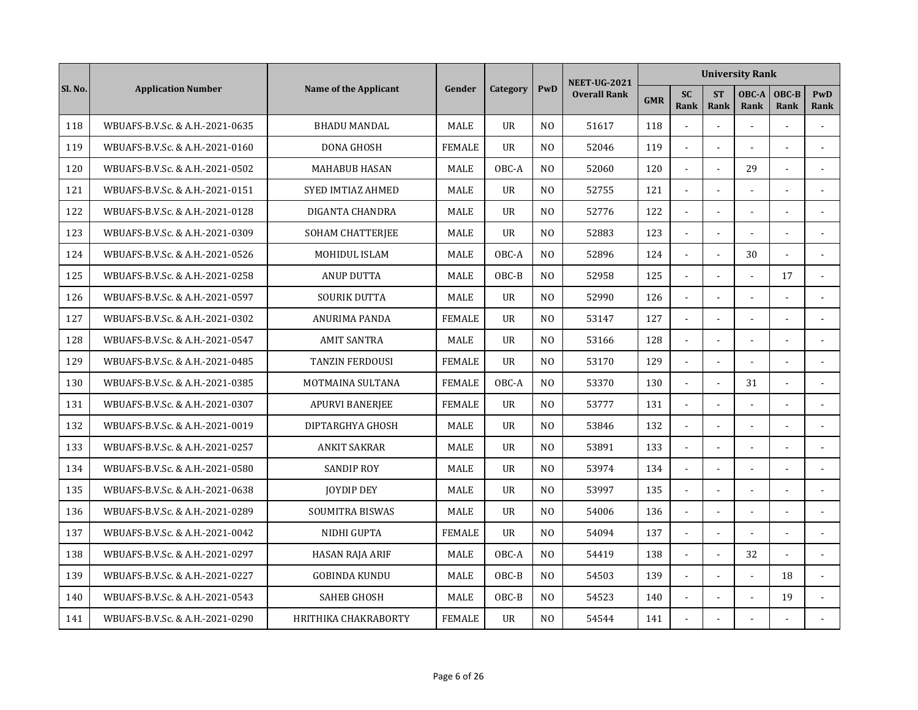|         |                                 |                          |               |                |                | <b>NEET-UG-2021</b> |            |                   |                          | <b>University Rank</b> |               |                |
|---------|---------------------------------|--------------------------|---------------|----------------|----------------|---------------------|------------|-------------------|--------------------------|------------------------|---------------|----------------|
| Sl. No. | <b>Application Number</b>       | Name of the Applicant    | Gender        | Category       | PwD            | <b>Overall Rank</b> | <b>GMR</b> | <b>SC</b><br>Rank | <b>ST</b><br><b>Rank</b> | OBC-A<br>Rank          | OBC-B<br>Rank | PwD<br>Rank    |
| 118     | WBUAFS-B.V.Sc. & A.H.-2021-0635 | <b>BHADU MANDAL</b>      | <b>MALE</b>   | <b>UR</b>      | N <sub>O</sub> | 51617               | 118        |                   | $\sim$                   |                        |               |                |
| 119     | WBUAFS-B.V.Sc. & A.H.-2021-0160 | DONA GHOSH               | <b>FEMALE</b> | $_{\text{U}R}$ | N <sub>O</sub> | 52046               | 119        | $\omega$          | $\blacksquare$           |                        | L,            |                |
| 120     | WBUAFS-B.V.Sc. & A.H.-2021-0502 | <b>MAHABUB HASAN</b>     | MALE          | OBC-A          | N <sub>O</sub> | 52060               | 120        | $\mathbf{r}$      |                          | 29                     |               | $\sim$         |
| 121     | WBUAFS-B.V.Sc. & A.H.-2021-0151 | <b>SYED IMTIAZ AHMED</b> | MALE          | $_{\text{U}R}$ | N <sub>O</sub> | 52755               | 121        |                   |                          |                        |               |                |
| 122     | WBUAFS-B.V.Sc. & A.H.-2021-0128 | DIGANTA CHANDRA          | <b>MALE</b>   | $_{\text{U}R}$ | N <sub>0</sub> | 52776               | 122        |                   |                          |                        |               |                |
| 123     | WBUAFS-B.V.Sc. & A.H.-2021-0309 | SOHAM CHATTERJEE         | <b>MALE</b>   | <b>UR</b>      | N <sub>O</sub> | 52883               | 123        | $\blacksquare$    | $\sim$                   |                        | ÷,            |                |
| 124     | WBUAFS-B.V.Sc. & A.H.-2021-0526 | MOHIDUL ISLAM            | MALE          | OBC-A          | N <sub>O</sub> | 52896               | 124        | $\mathbf{r}$      | $\overline{a}$           | 30                     |               |                |
| 125     | WBUAFS-B.V.Sc. & A.H.-2021-0258 | <b>ANUP DUTTA</b>        | <b>MALE</b>   | OBC-B          | N <sub>O</sub> | 52958               | 125        | $\blacksquare$    | $\overline{a}$           |                        | 17            | $\overline{a}$ |
| 126     | WBUAFS-B.V.Sc. & A.H.-2021-0597 | SOURIK DUTTA             | MALE          | <b>UR</b>      | N <sub>O</sub> | 52990               | 126        |                   |                          |                        |               |                |
| 127     | WBUAFS-B.V.Sc. & A.H.-2021-0302 | ANURIMA PANDA            | <b>FEMALE</b> | $_{\text{U}R}$ | N <sub>O</sub> | 53147               | 127        |                   |                          |                        |               |                |
| 128     | WBUAFS-B.V.Sc. & A.H.-2021-0547 | <b>AMIT SANTRA</b>       | MALE          | <b>UR</b>      | N <sub>O</sub> | 53166               | 128        | $\mathbf{r}$      | $\overline{a}$           |                        |               |                |
| 129     | WBUAFS-B.V.Sc. & A.H.-2021-0485 | <b>TANZIN FERDOUSI</b>   | <b>FEMALE</b> | $_{\text{U}R}$ | N <sub>0</sub> | 53170               | 129        | L.                | $\sim$                   |                        | L,            |                |
| 130     | WBUAFS-B.V.Sc. & A.H.-2021-0385 | MOTMAINA SULTANA         | <b>FEMALE</b> | OBC-A          | N <sub>0</sub> | 53370               | 130        | $\mathbf{r}$      | $\sim$                   | 31                     | L,            |                |
| 131     | WBUAFS-B.V.Sc. & A.H.-2021-0307 | <b>APURVI BANERJEE</b>   | <b>FEMALE</b> | <b>UR</b>      | N <sub>O</sub> | 53777               | 131        | $\mathbf{r}$      |                          |                        |               |                |
| 132     | WBUAFS-B.V.Sc. & A.H.-2021-0019 | DIPTARGHYA GHOSH         | <b>MALE</b>   | <b>UR</b>      | N <sub>O</sub> | 53846               | 132        |                   |                          |                        |               |                |
| 133     | WBUAFS-B.V.Sc. & A.H.-2021-0257 | <b>ANKIT SAKRAR</b>      | <b>MALE</b>   | $_{\text{U}R}$ | N <sub>0</sub> | 53891               | 133        | $\mathbf{r}$      | $\blacksquare$           |                        |               |                |
| 134     | WBUAFS-B.V.Sc. & A.H.-2021-0580 | <b>SANDIP ROY</b>        | MALE          | <b>UR</b>      | N <sub>O</sub> | 53974               | 134        | $\sim$            | $\overline{\phantom{a}}$ |                        |               |                |
| 135     | WBUAFS-B.V.Sc. & A.H.-2021-0638 | <b>JOYDIP DEY</b>        | MALE          | <b>UR</b>      | N <sub>O</sub> | 53997               | 135        | $\mathbf{r}$      | $\overline{a}$           |                        |               |                |
| 136     | WBUAFS-B.V.Sc. & A.H.-2021-0289 | <b>SOUMITRA BISWAS</b>   | <b>MALE</b>   | $_{\text{U}R}$ | N <sub>O</sub> | 54006               | 136        | $\mathbf{r}$      | $\overline{a}$           |                        | ÷.            |                |
| 137     | WBUAFS-B.V.Sc. & A.H.-2021-0042 | NIDHI GUPTA              | <b>FEMALE</b> | <b>UR</b>      | N <sub>O</sub> | 54094               | 137        |                   |                          |                        |               |                |
| 138     | WBUAFS-B.V.Sc. & A.H.-2021-0297 | HASAN RAJA ARIF          | MALE          | OBC-A          | N <sub>O</sub> | 54419               | 138        |                   |                          | 32                     |               |                |
| 139     | WBUAFS-B.V.Sc. & A.H.-2021-0227 | <b>GOBINDA KUNDU</b>     | <b>MALE</b>   | OBC-B          | N <sub>O</sub> | 54503               | 139        | $\mathbf{r}$      | $\overline{a}$           |                        | 18            |                |
| 140     | WBUAFS-B.V.Sc. & A.H.-2021-0543 | <b>SAHEB GHOSH</b>       | <b>MALE</b>   | OBC-B          | N <sub>O</sub> | 54523               | 140        | $\blacksquare$    | $\blacksquare$           | $\sim$                 | 19            |                |
| 141     | WBUAFS-B.V.Sc. & A.H.-2021-0290 | HRITHIKA CHAKRABORTY     | <b>FEMALE</b> | <b>UR</b>      | N <sub>O</sub> | 54544               | 141        |                   |                          |                        |               |                |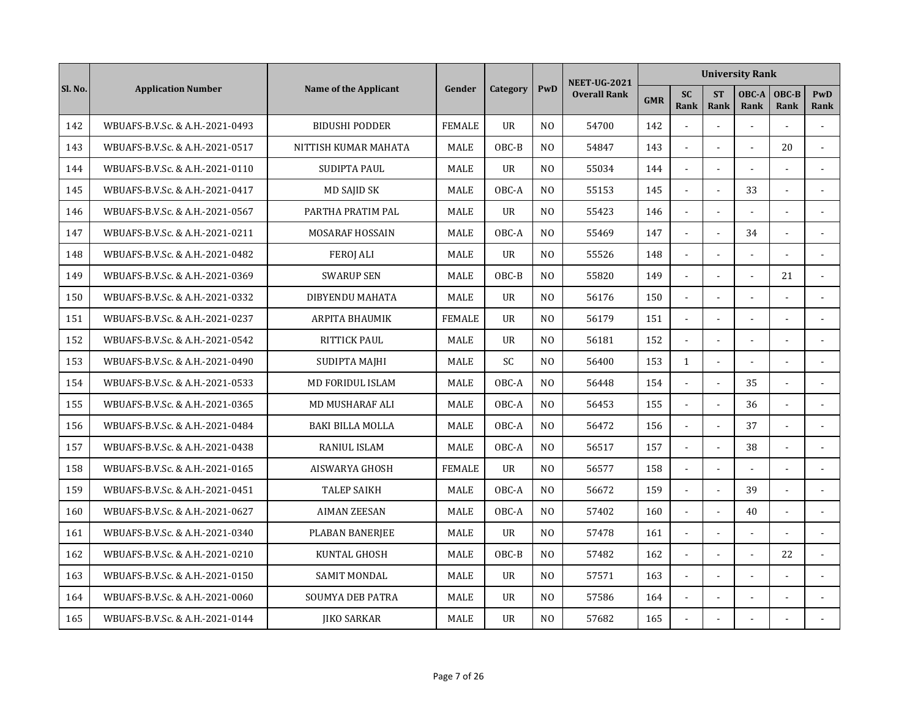|         |                                 |                         |               |                |                | <b>NEET-UG-2021</b> |            |                          |                          | <b>University Rank</b> |                |                    |
|---------|---------------------------------|-------------------------|---------------|----------------|----------------|---------------------|------------|--------------------------|--------------------------|------------------------|----------------|--------------------|
| Sl. No. | <b>Application Number</b>       | Name of the Applicant   | Gender        | Category       | PwD            | <b>Overall Rank</b> | <b>GMR</b> | <b>SC</b><br><b>Rank</b> | <b>ST</b><br><b>Rank</b> | OBC-A<br>Rank          | OBC-B<br>Rank  | <b>PwD</b><br>Rank |
| 142     | WBUAFS-B.V.Sc. & A.H.-2021-0493 | <b>BIDUSHI PODDER</b>   | <b>FEMALE</b> | <b>UR</b>      | N <sub>O</sub> | 54700               | 142        |                          | $\overline{a}$           | $\overline{a}$         |                |                    |
| 143     | WBUAFS-B.V.Sc. & A.H.-2021-0517 | NITTISH KUMAR MAHATA    | <b>MALE</b>   | OBC-B          | N <sub>O</sub> | 54847               | 143        | $\overline{a}$           | ÷.                       |                        | 20             |                    |
| 144     | WBUAFS-B.V.Sc. & A.H.-2021-0110 | SUDIPTA PAUL            | <b>MALE</b>   | <b>UR</b>      | N <sub>O</sub> | 55034               | 144        |                          |                          |                        |                |                    |
| 145     | WBUAFS-B.V.Sc. & A.H.-2021-0417 | MD SAJID SK             | <b>MALE</b>   | OBC-A          | N <sub>O</sub> | 55153               | 145        |                          |                          | 33                     |                |                    |
| 146     | WBUAFS-B.V.Sc. & A.H.-2021-0567 | PARTHA PRATIM PAL       | MALE          | <b>UR</b>      | N <sub>O</sub> | 55423               | 146        | $\mathbf{r}$             | $\sim$                   |                        | ä,             |                    |
| 147     | WBUAFS-B.V.Sc. & A.H.-2021-0211 | <b>MOSARAF HOSSAIN</b>  | <b>MALE</b>   | OBC-A          | N <sub>O</sub> | 55469               | 147        | $\mathbf{r}$             | $\sim$                   | 34                     | L,             |                    |
| 148     | WBUAFS-B.V.Sc. & A.H.-2021-0482 | <b>FEROI ALI</b>        | MALE          | <b>UR</b>      | N <sub>O</sub> | 55526               | 148        | $\blacksquare$           | $\overline{a}$           |                        |                |                    |
| 149     | WBUAFS-B.V.Sc. & A.H.-2021-0369 | <b>SWARUP SEN</b>       | MALE          | OBC-B          | N <sub>0</sub> | 55820               | 149        | $\mathbf{r}$             | $\overline{a}$           |                        | 21             |                    |
| 150     | WBUAFS-B.V.Sc. & A.H.-2021-0332 | DIBYENDU MAHATA         | <b>MALE</b>   | <b>UR</b>      | N <sub>0</sub> | 56176               | 150        |                          |                          |                        |                |                    |
| 151     | WBUAFS-B.V.Sc. & A.H.-2021-0237 | <b>ARPITA BHAUMIK</b>   | <b>FEMALE</b> | $_{\text{U}R}$ | N <sub>O</sub> | 56179               | 151        |                          |                          |                        |                |                    |
| 152     | WBUAFS-B.V.Sc. & A.H.-2021-0542 | <b>RITTICK PAUL</b>     | MALE          | <b>UR</b>      | N <sub>O</sub> | 56181               | 152        | $\sim$                   | $\overline{a}$           |                        |                |                    |
| 153     | WBUAFS-B.V.Sc. & A.H.-2021-0490 | SUDIPTA MAJHI           | <b>MALE</b>   | <b>SC</b>      | N <sub>O</sub> | 56400               | 153        | $\mathbf{1}$             | $\tilde{\phantom{a}}$    |                        | ÷.             |                    |
| 154     | WBUAFS-B.V.Sc. & A.H.-2021-0533 | <b>MD FORIDUL ISLAM</b> | <b>MALE</b>   | OBC-A          | N <sub>O</sub> | 56448               | 154        | $\mathbf{r}$             | $\sim$                   | 35                     | ÷,             | $\blacksquare$     |
| 155     | WBUAFS-B.V.Sc. & A.H.-2021-0365 | <b>MD MUSHARAF ALI</b>  | MALE          | OBC-A          | N <sub>O</sub> | 56453               | 155        | $\mathbf{r}$             |                          | 36                     |                | $\sim$             |
| 156     | WBUAFS-B.V.Sc. & A.H.-2021-0484 | <b>BAKI BILLA MOLLA</b> | MALE          | OBC-A          | N <sub>O</sub> | 56472               | 156        |                          |                          | 37                     |                |                    |
| 157     | WBUAFS-B.V.Sc. & A.H.-2021-0438 | <b>RANIUL ISLAM</b>     | <b>MALE</b>   | OBC-A          | N <sub>0</sub> | 56517               | 157        | $\mathbf{r}$             | $\overline{\phantom{a}}$ | 38                     | L,             |                    |
| 158     | WBUAFS-B.V.Sc. & A.H.-2021-0165 | <b>AISWARYA GHOSH</b>   | <b>FEMALE</b> | <b>UR</b>      | N <sub>O</sub> | 56577               | 158        | $\sim$                   | $\overline{a}$           |                        | $\overline{a}$ |                    |
| 159     | WBUAFS-B.V.Sc. & A.H.-2021-0451 | <b>TALEP SAIKH</b>      | MALE          | OBC-A          | N <sub>O</sub> | 56672               | 159        | $\blacksquare$           | $\overline{a}$           | 39                     | L,             |                    |
| 160     | WBUAFS-B.V.Sc. & A.H.-2021-0627 | <b>AIMAN ZEESAN</b>     | MALE          | OBC-A          | N <sub>O</sub> | 57402               | 160        | $\sim$                   | $\overline{a}$           | 40                     | $\overline{a}$ |                    |
| 161     | WBUAFS-B.V.Sc. & A.H.-2021-0340 | PLABAN BANERJEE         | MALE          | <b>UR</b>      | N <sub>O</sub> | 57478               | 161        |                          |                          |                        |                |                    |
| 162     | WBUAFS-B.V.Sc. & A.H.-2021-0210 | KUNTAL GHOSH            | MALE          | OBC-B          | N <sub>O</sub> | 57482               | 162        |                          |                          |                        | 22             |                    |
| 163     | WBUAFS-B.V.Sc. & A.H.-2021-0150 | <b>SAMIT MONDAL</b>     | <b>MALE</b>   | <b>UR</b>      | N <sub>O</sub> | 57571               | 163        | $\mathbf{r}$             | $\blacksquare$           |                        |                |                    |
| 164     | WBUAFS-B.V.Sc. & A.H.-2021-0060 | <b>SOUMYA DEB PATRA</b> | <b>MALE</b>   | <b>UR</b>      | N <sub>O</sub> | 57586               | 164        | $\blacksquare$           | $\blacksquare$           |                        |                |                    |
| 165     | WBUAFS-B.V.Sc. & A.H.-2021-0144 | <b>IIKO SARKAR</b>      | MALE          | <b>UR</b>      | N <sub>O</sub> | 57682               | 165        |                          |                          |                        |                |                    |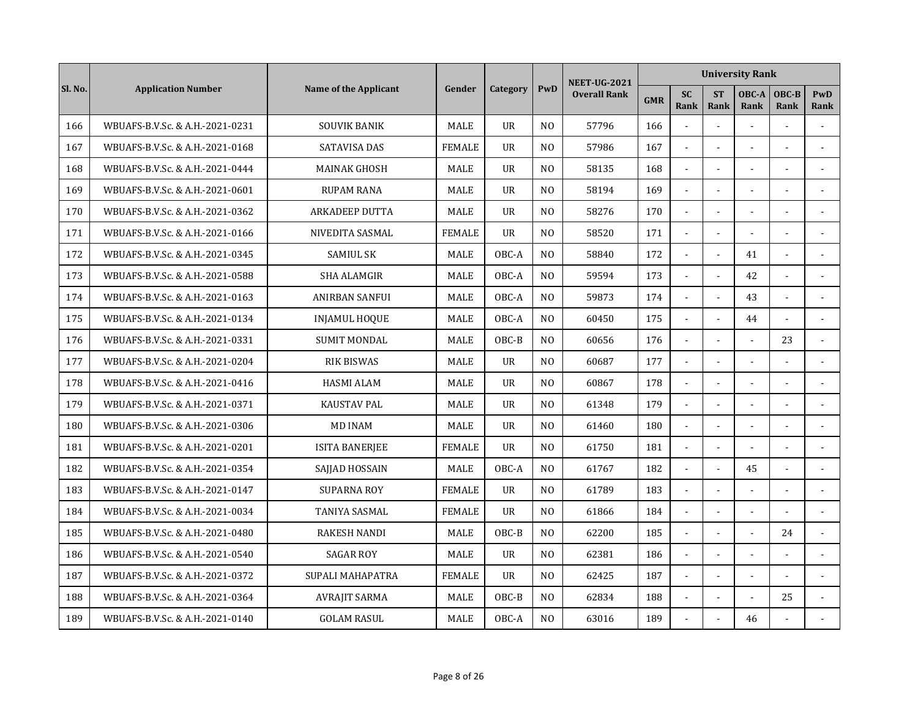|         |                                 |                       |               |                |                | <b>NEET-UG-2021</b> |            |                          |                          | <b>University Rank</b> |                |                |
|---------|---------------------------------|-----------------------|---------------|----------------|----------------|---------------------|------------|--------------------------|--------------------------|------------------------|----------------|----------------|
| Sl. No. | <b>Application Number</b>       | Name of the Applicant | Gender        | Category       | PwD            | <b>Overall Rank</b> | <b>GMR</b> | <b>SC</b><br><b>Rank</b> | <b>ST</b><br><b>Rank</b> | OBC-A<br>Rank          | OBC-B<br>Rank  | PwD<br>Rank    |
| 166     | WBUAFS-B.V.Sc. & A.H.-2021-0231 | <b>SOUVIK BANIK</b>   | MALE          | <b>UR</b>      | N <sub>O</sub> | 57796               | 166        |                          | $\overline{a}$           | $\overline{a}$         |                |                |
| 167     | WBUAFS-B.V.Sc. & A.H.-2021-0168 | <b>SATAVISA DAS</b>   | <b>FEMALE</b> | <b>UR</b>      | N <sub>O</sub> | 57986               | 167        | $\sim$                   | $\overline{a}$           |                        | ÷.             |                |
| 168     | WBUAFS-B.V.Sc. & A.H.-2021-0444 | <b>MAINAK GHOSH</b>   | <b>MALE</b>   | $_{\text{U}R}$ | N <sub>0</sub> | 58135               | 168        |                          |                          |                        |                |                |
| 169     | WBUAFS-B.V.Sc. & A.H.-2021-0601 | <b>RUPAM RANA</b>     | <b>MALE</b>   | <b>UR</b>      | N <sub>O</sub> | 58194               | 169        |                          |                          |                        |                |                |
| 170     | WBUAFS-B.V.Sc. & A.H.-2021-0362 | <b>ARKADEEP DUTTA</b> | <b>MALE</b>   | $_{\text{U}R}$ | N <sub>O</sub> | 58276               | 170        | $\mathbf{r}$             | $\blacksquare$           |                        | $\blacksquare$ |                |
| 171     | WBUAFS-B.V.Sc. & A.H.-2021-0166 | NIVEDITA SASMAL       | <b>FEMALE</b> | <b>UR</b>      | N <sub>O</sub> | 58520               | 171        | $\blacksquare$           | $\sim$                   |                        |                |                |
| 172     | WBUAFS-B.V.Sc. & A.H.-2021-0345 | <b>SAMIUL SK</b>      | MALE          | OBC-A          | N <sub>O</sub> | 58840               | 172        | $\blacksquare$           | $\overline{\phantom{a}}$ | 41                     | $\overline{a}$ |                |
| 173     | WBUAFS-B.V.Sc. & A.H.-2021-0588 | <b>SHA ALAMGIR</b>    | MALE          | OBC-A          | N <sub>O</sub> | 59594               | 173        | $\mathbf{r}$             | $\overline{a}$           | 42                     |                | $\overline{a}$ |
| 174     | WBUAFS-B.V.Sc. & A.H.-2021-0163 | ANIRBAN SANFUI        | <b>MALE</b>   | OBC-A          | N <sub>0</sub> | 59873               | 174        |                          | $\overline{a}$           | 43                     |                |                |
| 175     | WBUAFS-B.V.Sc. & A.H.-2021-0134 | <b>INJAMUL HOQUE</b>  | MALE          | OBC-A          | N <sub>O</sub> | 60450               | 175        |                          | $\overline{a}$           | 44                     |                |                |
| 176     | WBUAFS-B.V.Sc. & A.H.-2021-0331 | <b>SUMIT MONDAL</b>   | MALE          | OBC-B          | N <sub>O</sub> | 60656               | 176        | $\sim$                   | $\overline{a}$           | $\sim$                 | 23             |                |
| 177     | WBUAFS-B.V.Sc. & A.H.-2021-0204 | <b>RIK BISWAS</b>     | <b>MALE</b>   | <b>UR</b>      | N <sub>O</sub> | 60687               | 177        | L.                       | $\overline{a}$           |                        |                |                |
| 178     | WBUAFS-B.V.Sc. & A.H.-2021-0416 | <b>HASMI ALAM</b>     | <b>MALE</b>   | <b>UR</b>      | N <sub>O</sub> | 60867               | 178        | $\mathbf{r}$             | $\blacksquare$           |                        | $\overline{a}$ |                |
| 179     | WBUAFS-B.V.Sc. & A.H.-2021-0371 | <b>KAUSTAV PAL</b>    | MALE          | <b>UR</b>      | N <sub>O</sub> | 61348               | 179        | $\mathbf{r}$             |                          |                        |                |                |
| 180     | WBUAFS-B.V.Sc. & A.H.-2021-0306 | <b>MD INAM</b>        | MALE          | UR             | N <sub>O</sub> | 61460               | 180        |                          |                          |                        |                |                |
| 181     | WBUAFS-B.V.Sc. & A.H.-2021-0201 | <b>ISITA BANERJEE</b> | <b>FEMALE</b> | $_{\text{U}R}$ | N <sub>O</sub> | 61750               | 181        | $\mathbf{r}$             | $\blacksquare$           |                        |                |                |
| 182     | WBUAFS-B.V.Sc. & A.H.-2021-0354 | SAJJAD HOSSAIN        | <b>MALE</b>   | OBC-A          | N <sub>O</sub> | 61767               | 182        | $\sim$                   | $\overline{a}$           | 45                     | $\overline{a}$ |                |
| 183     | WBUAFS-B.V.Sc. & A.H.-2021-0147 | <b>SUPARNA ROY</b>    | <b>FEMALE</b> | UR             | N <sub>O</sub> | 61789               | 183        | $\blacksquare$           | $\overline{a}$           |                        |                |                |
| 184     | WBUAFS-B.V.Sc. & A.H.-2021-0034 | TANIYA SASMAL         | <b>FEMALE</b> | <b>UR</b>      | N <sub>O</sub> | 61866               | 184        | $\sim$                   | $\overline{a}$           |                        |                |                |
| 185     | WBUAFS-B.V.Sc. & A.H.-2021-0480 | <b>RAKESH NANDI</b>   | MALE          | OBC-B          | N <sub>O</sub> | 62200               | 185        | $\mathbf{r}$             |                          |                        | 24             |                |
| 186     | WBUAFS-B.V.Sc. & A.H.-2021-0540 | <b>SAGAR ROY</b>      | MALE          | <b>UR</b>      | N <sub>O</sub> | 62381               | 186        |                          |                          |                        |                |                |
| 187     | WBUAFS-B.V.Sc. & A.H.-2021-0372 | SUPALI MAHAPATRA      | <b>FEMALE</b> | <b>UR</b>      | N <sub>O</sub> | 62425               | 187        | $\mathbf{r}$             | $\blacksquare$           |                        |                | $\sim$         |
| 188     | WBUAFS-B.V.Sc. & A.H.-2021-0364 | <b>AVRAJIT SARMA</b>  | MALE          | OBC-B          | N <sub>O</sub> | 62834               | 188        | $\blacksquare$           | $\blacksquare$           | $\sim$                 | 25             |                |
| 189     | WBUAFS-B.V.Sc. & A.H.-2021-0140 | <b>GOLAM RASUL</b>    | MALE          | OBC-A          | N <sub>O</sub> | 63016               | 189        |                          |                          | 46                     |                |                |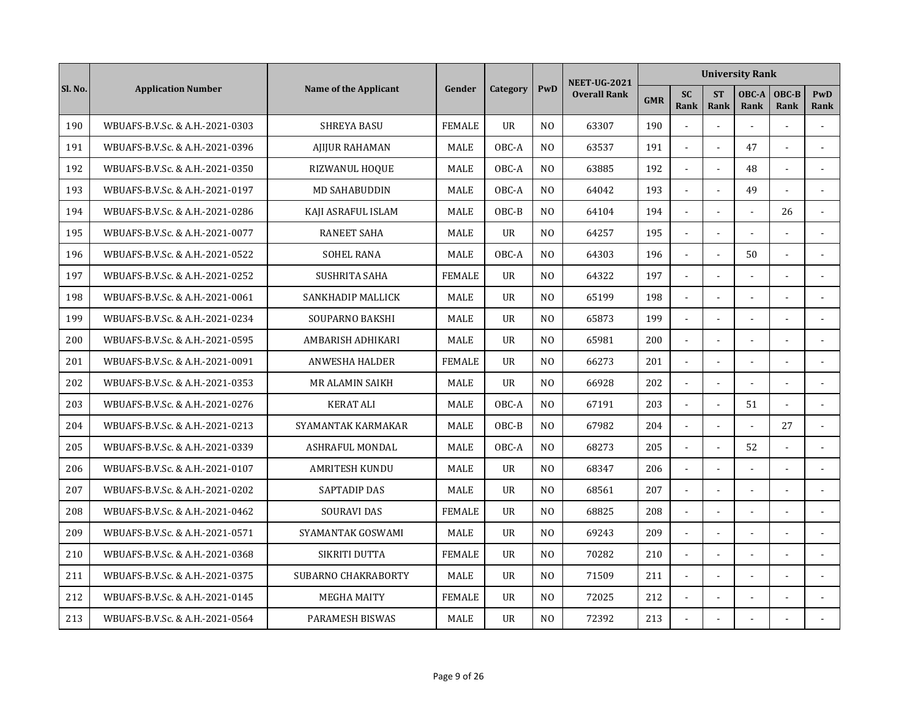|         |                                 |                            |               |           |                | <b>NEET-UG-2021</b> |            |                          |                   | <b>University Rank</b> |                |                |
|---------|---------------------------------|----------------------------|---------------|-----------|----------------|---------------------|------------|--------------------------|-------------------|------------------------|----------------|----------------|
| Sl. No. | <b>Application Number</b>       | Name of the Applicant      | Gender        | Category  | PwD            | <b>Overall Rank</b> | <b>GMR</b> | <b>SC</b><br><b>Rank</b> | <b>ST</b><br>Rank | OBC-A<br><b>Rank</b>   | OBC-B<br>Rank  | PwD<br>Rank    |
| 190     | WBUAFS-B.V.Sc. & A.H.-2021-0303 | <b>SHREYA BASU</b>         | <b>FEMALE</b> | <b>UR</b> | N <sub>0</sub> | 63307               | 190        | $\overline{a}$           | $\overline{a}$    |                        | $\overline{a}$ | $\overline{a}$ |
| 191     | WBUAFS-B.V.Sc. & A.H.-2021-0396 | <b>AIIJUR RAHAMAN</b>      | <b>MALE</b>   | OBC-A     | N <sub>O</sub> | 63537               | 191        | $\omega$                 | $\overline{a}$    | 47                     | ä,             |                |
| 192     | WBUAFS-B.V.Sc. & A.H.-2021-0350 | RIZWANUL HOQUE             | <b>MALE</b>   | OBC-A     | N <sub>O</sub> | 63885               | 192        | $\sim$                   |                   | 48                     |                |                |
| 193     | WBUAFS-B.V.Sc. & A.H.-2021-0197 | <b>MD SAHABUDDIN</b>       | MALE          | OBC-A     | N <sub>0</sub> | 64042               | 193        |                          |                   | 49                     |                |                |
| 194     | WBUAFS-B.V.Sc. & A.H.-2021-0286 | KAJI ASRAFUL ISLAM         | MALE          | OBC-B     | N <sub>0</sub> | 64104               | 194        | $\blacksquare$           | $\overline{a}$    | $\overline{a}$         | 26             | $\overline{a}$ |
| 195     | WBUAFS-B.V.Sc. & A.H.-2021-0077 | <b>RANEET SAHA</b>         | <b>MALE</b>   | <b>UR</b> | N <sub>0</sub> | 64257               | 195        | $\blacksquare$           | $\blacksquare$    | $\sim$                 |                | $\blacksquare$ |
| 196     | WBUAFS-B.V.Sc. & A.H.-2021-0522 | <b>SOHEL RANA</b>          | <b>MALE</b>   | OBC-A     | N <sub>0</sub> | 64303               | 196        | $\blacksquare$           | $\overline{a}$    | 50                     | $\overline{a}$ |                |
| 197     | WBUAFS-B.V.Sc. & A.H.-2021-0252 | <b>SUSHRITA SAHA</b>       | <b>FEMALE</b> | <b>UR</b> | N <sub>0</sub> | 64322               | 197        | $\mathbf{r}$             |                   |                        |                |                |
| 198     | WBUAFS-B.V.Sc. & A.H.-2021-0061 | SANKHADIP MALLICK          | MALE          | <b>UR</b> | N <sub>0</sub> | 65199               | 198        | $\overline{a}$           | $\overline{a}$    |                        |                |                |
| 199     | WBUAFS-B.V.Sc. & A.H.-2021-0234 | SOUPARNO BAKSHI            | MALE          | <b>UR</b> | N <sub>O</sub> | 65873               | 199        | $\overline{a}$           |                   |                        |                |                |
| 200     | WBUAFS-B.V.Sc. & A.H.-2021-0595 | AMBARISH ADHIKARI          | MALE          | <b>UR</b> | N <sub>0</sub> | 65981               | 200        | $\mathbf{r}$             | $\overline{a}$    | $\overline{a}$         | ÷              | $\overline{a}$ |
| 201     | WBUAFS-B.V.Sc. & A.H.-2021-0091 | <b>ANWESHA HALDER</b>      | <b>FEMALE</b> | <b>UR</b> | N <sub>0</sub> | 66273               | 201        | $\Box$                   | $\overline{a}$    |                        |                |                |
| 202     | WBUAFS-B.V.Sc. & A.H.-2021-0353 | MR ALAMIN SAIKH            | MALE          | <b>UR</b> | N <sub>0</sub> | 66928               | 202        | $\blacksquare$           |                   | $\sim$                 |                |                |
| 203     | WBUAFS-B.V.Sc. & A.H.-2021-0276 | <b>KERAT ALI</b>           | MALE          | OBC-A     | N <sub>0</sub> | 67191               | 203        | $\mathbf{r}$             |                   | 51                     |                | $\sim$         |
| 204     | WBUAFS-B.V.Sc. & A.H.-2021-0213 | SYAMANTAK KARMAKAR         | MALE          | OBC-B     | N <sub>O</sub> | 67982               | 204        | $\overline{a}$           |                   |                        | 27             |                |
| 205     | WBUAFS-B.V.Sc. & A.H.-2021-0339 | <b>ASHRAFUL MONDAL</b>     | <b>MALE</b>   | OBC-A     | N <sub>0</sub> | 68273               | 205        | $\sim$                   | $\blacksquare$    | 52                     |                | $\sim$         |
| 206     | WBUAFS-B.V.Sc. & A.H.-2021-0107 | <b>AMRITESH KUNDU</b>      | <b>MALE</b>   | <b>UR</b> | N <sub>0</sub> | 68347               | 206        | $\blacksquare$           | $\overline{a}$    | $\overline{a}$         |                |                |
| 207     | WBUAFS-B.V.Sc. & A.H.-2021-0202 | SAPTADIP DAS               | MALE          | <b>UR</b> | N <sub>0</sub> | 68561               | 207        | $\blacksquare$           | L.                |                        | L.             | $\sim$         |
| 208     | WBUAFS-B.V.Sc. & A.H.-2021-0462 | <b>SOURAVI DAS</b>         | <b>FEMALE</b> | <b>UR</b> | N <sub>O</sub> | 68825               | 208        | $\blacksquare$           | L.                |                        | L.             |                |
| 209     | WBUAFS-B.V.Sc. & A.H.-2021-0571 | SYAMANTAK GOSWAMI          | MALE          | <b>UR</b> | N <sub>0</sub> | 69243               | 209        | $\sim$                   |                   |                        |                |                |
| 210     | WBUAFS-B.V.Sc. & A.H.-2021-0368 | SIKRITI DUTTA              | <b>FEMALE</b> | <b>UR</b> | N <sub>0</sub> | 70282               | 210        | $\overline{a}$           |                   |                        |                |                |
| 211     | WBUAFS-B.V.Sc. & A.H.-2021-0375 | <b>SUBARNO CHAKRABORTY</b> | <b>MALE</b>   | <b>UR</b> | N <sub>O</sub> | 71509               | 211        | $\blacksquare$           |                   |                        |                |                |
| 212     | WBUAFS-B.V.Sc. & A.H.-2021-0145 | <b>MEGHA MAITY</b>         | <b>FEMALE</b> | <b>UR</b> | N <sub>0</sub> | 72025               | 212        | $\blacksquare$           | $\blacksquare$    | $\sim$                 |                |                |
| 213     | WBUAFS-B.V.Sc. & A.H.-2021-0564 | PARAMESH BISWAS            | MALE          | <b>UR</b> | N <sub>0</sub> | 72392               | 213        |                          |                   |                        |                |                |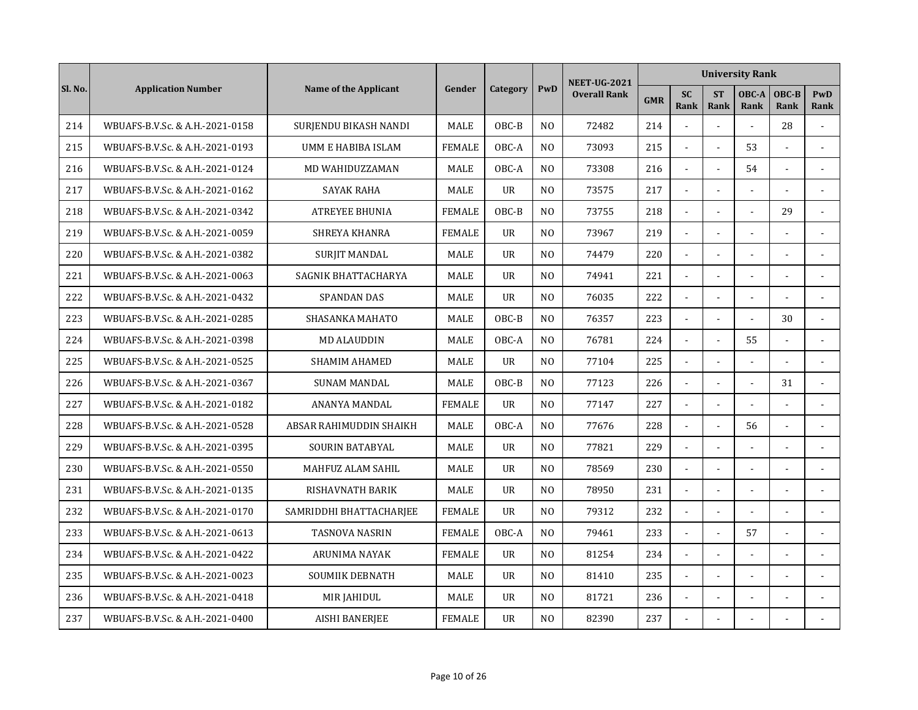|         |                                 |                         |               |                |                | <b>NEET-UG-2021</b> |            |                   |                          | <b>University Rank</b> |                |                |
|---------|---------------------------------|-------------------------|---------------|----------------|----------------|---------------------|------------|-------------------|--------------------------|------------------------|----------------|----------------|
| Sl. No. | <b>Application Number</b>       | Name of the Applicant   | Gender        | Category       | PwD            | <b>Overall Rank</b> | <b>GMR</b> | <b>SC</b><br>Rank | <b>ST</b><br><b>Rank</b> | OBC-A<br>Rank          | OBC-B<br>Rank  | PwD<br>Rank    |
| 214     | WBUAFS-B.V.Sc. & A.H.-2021-0158 | SURJENDU BIKASH NANDI   | <b>MALE</b>   | OBC-B          | N <sub>O</sub> | 72482               | 214        |                   | $\overline{a}$           | $\overline{a}$         | 28             |                |
| 215     | WBUAFS-B.V.Sc. & A.H.-2021-0193 | UMM E HABIBA ISLAM      | <b>FEMALE</b> | OBC-A          | N <sub>O</sub> | 73093               | 215        | $\overline{a}$    | $\overline{a}$           | 53                     |                |                |
| 216     | WBUAFS-B.V.Sc. & A.H.-2021-0124 | MD WAHIDUZZAMAN         | <b>MALE</b>   | OBC-A          | N <sub>O</sub> | 73308               | 216        |                   |                          | 54                     |                | $\blacksquare$ |
| 217     | WBUAFS-B.V.Sc. & A.H.-2021-0162 | SAYAK RAHA              | <b>MALE</b>   | <b>UR</b>      | N <sub>O</sub> | 73575               | 217        |                   |                          |                        |                |                |
| 218     | WBUAFS-B.V.Sc. & A.H.-2021-0342 | <b>ATREYEE BHUNIA</b>   | <b>FEMALE</b> | OBC-B          | N <sub>O</sub> | 73755               | 218        | $\blacksquare$    | $\blacksquare$           |                        | 29             | $\sim$         |
| 219     | WBUAFS-B.V.Sc. & A.H.-2021-0059 | <b>SHREYA KHANRA</b>    | <b>FEMALE</b> | <b>UR</b>      | N <sub>O</sub> | 73967               | 219        | $\blacksquare$    | $\blacksquare$           |                        |                |                |
| 220     | WBUAFS-B.V.Sc. & A.H.-2021-0382 | <b>SURJIT MANDAL</b>    | MALE          | $_{\text{U}R}$ | N <sub>0</sub> | 74479               | 220        | $\blacksquare$    | $\overline{\phantom{a}}$ |                        |                |                |
| 221     | WBUAFS-B.V.Sc. & A.H.-2021-0063 | SAGNIK BHATTACHARYA     | MALE          | UR             | N <sub>0</sub> | 74941               | 221        | $\sim$            | $\overline{a}$           |                        |                | $\overline{a}$ |
| 222     | WBUAFS-B.V.Sc. & A.H.-2021-0432 | <b>SPANDAN DAS</b>      | <b>MALE</b>   | $_{\text{U}R}$ | N <sub>0</sub> | 76035               | 222        |                   |                          |                        |                |                |
| 223     | WBUAFS-B.V.Sc. & A.H.-2021-0285 | SHASANKA MAHATO         | <b>MALE</b>   | OBC-B          | N <sub>O</sub> | 76357               | 223        |                   | $\overline{a}$           |                        | 30             |                |
| 224     | WBUAFS-B.V.Sc. & A.H.-2021-0398 | <b>MD ALAUDDIN</b>      | MALE          | OBC-A          | N <sub>O</sub> | 76781               | 224        | $\sim$            | $\overline{a}$           | 55                     |                |                |
| 225     | WBUAFS-B.V.Sc. & A.H.-2021-0525 | <b>SHAMIM AHAMED</b>    | <b>MALE</b>   | <b>UR</b>      | N <sub>O</sub> | 77104               | 225        | L.                | $\overline{a}$           | $\overline{a}$         | $\overline{a}$ |                |
| 226     | WBUAFS-B.V.Sc. & A.H.-2021-0367 | <b>SUNAM MANDAL</b>     | <b>MALE</b>   | OBC-B          | N <sub>O</sub> | 77123               | 226        | $\blacksquare$    | $\blacksquare$           | $\sim$                 | 31             |                |
| 227     | WBUAFS-B.V.Sc. & A.H.-2021-0182 | ANANYA MANDAL           | <b>FEMALE</b> | <b>UR</b>      | N <sub>O</sub> | 77147               | 227        | $\mathbf{r}$      |                          |                        |                | $\sim$         |
| 228     | WBUAFS-B.V.Sc. & A.H.-2021-0528 | ABSAR RAHIMUDDIN SHAIKH | MALE          | OBC-A          | N <sub>O</sub> | 77676               | 228        |                   |                          | 56                     |                |                |
| 229     | WBUAFS-B.V.Sc. & A.H.-2021-0395 | <b>SOURIN BATABYAL</b>  | <b>MALE</b>   | $_{\text{U}R}$ | N <sub>0</sub> | 77821               | 229        | $\sim$            | $\blacksquare$           | $\sim$                 |                |                |
| 230     | WBUAFS-B.V.Sc. & A.H.-2021-0550 | MAHFUZ ALAM SAHIL       | <b>MALE</b>   | $_{\text{U}R}$ | N <sub>O</sub> | 78569               | 230        | $\sim$            | $\overline{a}$           |                        |                |                |
| 231     | WBUAFS-B.V.Sc. & A.H.-2021-0135 | RISHAVNATH BARIK        | MALE          | UR             | N <sub>O</sub> | 78950               | 231        | $\blacksquare$    | $\overline{a}$           |                        |                |                |
| 232     | WBUAFS-B.V.Sc. & A.H.-2021-0170 | SAMRIDDHI BHATTACHARJEE | <b>FEMALE</b> | <b>UR</b>      | N <sub>O</sub> | 79312               | 232        | $\sim$            | $\overline{a}$           |                        | $\overline{a}$ |                |
| 233     | WBUAFS-B.V.Sc. & A.H.-2021-0613 | <b>TASNOVA NASRIN</b>   | <b>FEMALE</b> | OBC-A          | N <sub>O</sub> | 79461               | 233        |                   |                          | 57                     |                |                |
| 234     | WBUAFS-B.V.Sc. & A.H.-2021-0422 | ARUNIMA NAYAK           | <b>FEMALE</b> | <b>UR</b>      | N <sub>O</sub> | 81254               | 234        |                   |                          |                        |                |                |
| 235     | WBUAFS-B.V.Sc. & A.H.-2021-0023 | <b>SOUMIIK DEBNATH</b>  | <b>MALE</b>   | <b>UR</b>      | N <sub>O</sub> | 81410               | 235        | $\blacksquare$    | $\blacksquare$           |                        |                |                |
| 236     | WBUAFS-B.V.Sc. & A.H.-2021-0418 | MIR JAHIDUL             | <b>MALE</b>   | <b>UR</b>      | N <sub>O</sub> | 81721               | 236        | $\blacksquare$    | $\blacksquare$           |                        |                |                |
| 237     | WBUAFS-B.V.Sc. & A.H.-2021-0400 | <b>AISHI BANERJEE</b>   | <b>FEMALE</b> | <b>UR</b>      | N <sub>O</sub> | 82390               | 237        |                   |                          |                        |                |                |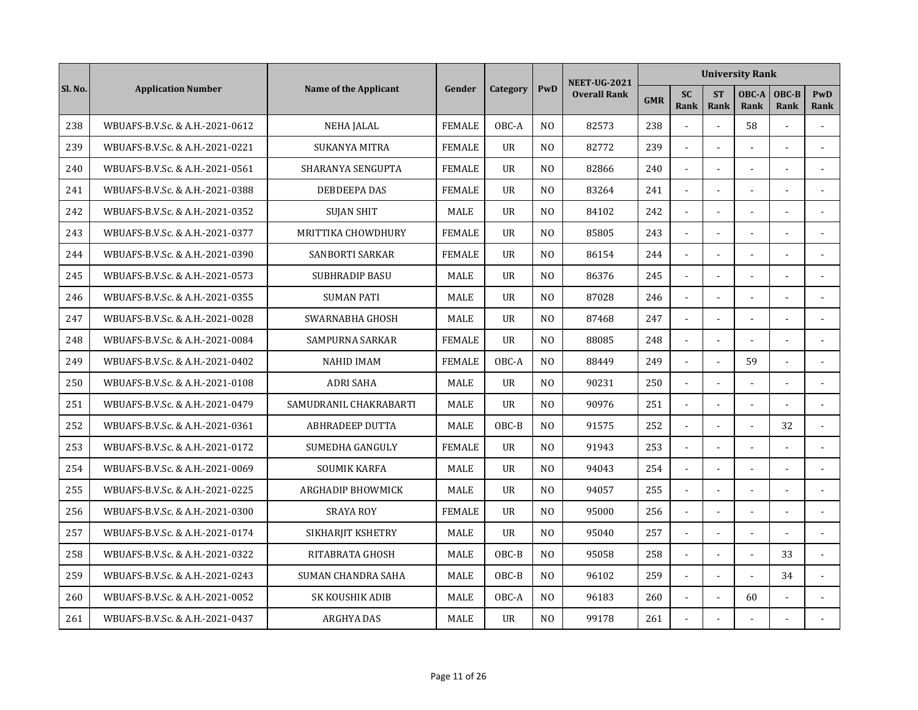|         |                                 |                           |               |                |                | <b>NEET-UG-2021</b> |            |                          |                          | <b>University Rank</b> |                |                |
|---------|---------------------------------|---------------------------|---------------|----------------|----------------|---------------------|------------|--------------------------|--------------------------|------------------------|----------------|----------------|
| Sl. No. | <b>Application Number</b>       | Name of the Applicant     | Gender        | Category       | PwD            | <b>Overall Rank</b> | <b>GMR</b> | <b>SC</b><br><b>Rank</b> | <b>ST</b><br><b>Rank</b> | OBC-A<br>Rank          | OBC-B<br>Rank  | PwD<br>Rank    |
| 238     | WBUAFS-B.V.Sc. & A.H.-2021-0612 | <b>NEHA JALAL</b>         | <b>FEMALE</b> | OBC-A          | N <sub>O</sub> | 82573               | 238        |                          | $\overline{a}$           | 58                     |                |                |
| 239     | WBUAFS-B.V.Sc. & A.H.-2021-0221 | <b>SUKANYA MITRA</b>      | <b>FEMALE</b> | <b>UR</b>      | N <sub>O</sub> | 82772               | 239        | $\overline{a}$           | $\overline{a}$           |                        |                |                |
| 240     | WBUAFS-B.V.Sc. & A.H.-2021-0561 | SHARANYA SENGUPTA         | <b>FEMALE</b> | $_{\text{U}R}$ | N <sub>0</sub> | 82866               | 240        |                          |                          |                        |                |                |
| 241     | WBUAFS-B.V.Sc. & A.H.-2021-0388 | DEBDEEPA DAS              | <b>FEMALE</b> | <b>UR</b>      | N <sub>O</sub> | 83264               | 241        |                          |                          |                        |                |                |
| 242     | WBUAFS-B.V.Sc. & A.H.-2021-0352 | <b>SUJAN SHIT</b>         | <b>MALE</b>   | $_{\text{U}R}$ | N <sub>O</sub> | 84102               | 242        | $\blacksquare$           | $\blacksquare$           |                        |                |                |
| 243     | WBUAFS-B.V.Sc. & A.H.-2021-0377 | MRITTIKA CHOWDHURY        | <b>FEMALE</b> | <b>UR</b>      | N <sub>O</sub> | 85805               | 243        | $\blacksquare$           | $\blacksquare$           |                        |                |                |
| 244     | WBUAFS-B.V.Sc. & A.H.-2021-0390 | <b>SANBORTI SARKAR</b>    | <b>FEMALE</b> | <b>UR</b>      | N <sub>0</sub> | 86154               | 244        | $\blacksquare$           | $\sim$                   |                        |                |                |
| 245     | WBUAFS-B.V.Sc. & A.H.-2021-0573 | <b>SUBHRADIP BASU</b>     | MALE          | UR             | N <sub>0</sub> | 86376               | 245        | $\mathbf{r}$             | $\overline{a}$           |                        |                | $\overline{a}$ |
| 246     | WBUAFS-B.V.Sc. & A.H.-2021-0355 | <b>SUMAN PATI</b>         | <b>MALE</b>   | <b>UR</b>      | N <sub>0</sub> | 87028               | 246        |                          |                          |                        |                |                |
| 247     | WBUAFS-B.V.Sc. & A.H.-2021-0028 | SWARNABHA GHOSH           | <b>MALE</b>   | $_{\text{U}R}$ | N <sub>O</sub> | 87468               | 247        |                          |                          |                        |                |                |
| 248     | WBUAFS-B.V.Sc. & A.H.-2021-0084 | <b>SAMPURNA SARKAR</b>    | <b>FEMALE</b> | <b>UR</b>      | N <sub>O</sub> | 88085               | 248        | $\sim$                   | $\overline{a}$           |                        |                |                |
| 249     | WBUAFS-B.V.Sc. & A.H.-2021-0402 | <b>NAHID IMAM</b>         | <b>FEMALE</b> | OBC-A          | N <sub>O</sub> | 88449               | 249        | $\mathbf{r}$             | $\overline{a}$           | 59                     | ÷.             |                |
| 250     | WBUAFS-B.V.Sc. & A.H.-2021-0108 | <b>ADRI SAHA</b>          | <b>MALE</b>   | <b>UR</b>      | N <sub>O</sub> | 90231               | 250        | $\blacksquare$           | $\blacksquare$           | $\sim$                 |                |                |
| 251     | WBUAFS-B.V.Sc. & A.H.-2021-0479 | SAMUDRANIL CHAKRABARTI    | <b>MALE</b>   | <b>UR</b>      | N <sub>O</sub> | 90976               | 251        | $\mathbf{r}$             |                          |                        |                | $\sim$         |
| 252     | WBUAFS-B.V.Sc. & A.H.-2021-0361 | <b>ABHRADEEP DUTTA</b>    | MALE          | OBC-B          | N <sub>O</sub> | 91575               | 252        |                          |                          |                        | 32             |                |
| 253     | WBUAFS-B.V.Sc. & A.H.-2021-0172 | SUMEDHA GANGULY           | <b>FEMALE</b> | <b>UR</b>      | N <sub>O</sub> | 91943               | 253        | $\mathbf{r}$             | $\blacksquare$           |                        |                |                |
| 254     | WBUAFS-B.V.Sc. & A.H.-2021-0069 | <b>SOUMIK KARFA</b>       | <b>MALE</b>   | $_{\text{U}R}$ | N <sub>0</sub> | 94043               | 254        | $\sim$                   | $\overline{\phantom{a}}$ |                        |                |                |
| 255     | WBUAFS-B.V.Sc. & A.H.-2021-0225 | <b>ARGHADIP BHOWMICK</b>  | MALE          | <b>UR</b>      | N <sub>0</sub> | 94057               | 255        | $\sim$                   | $\overline{a}$           |                        |                |                |
| 256     | WBUAFS-B.V.Sc. & A.H.-2021-0300 | <b>SRAYA ROY</b>          | <b>FEMALE</b> | <b>UR</b>      | N <sub>O</sub> | 95000               | 256        | $\sim$                   | $\overline{a}$           |                        | $\overline{a}$ |                |
| 257     | WBUAFS-B.V.Sc. & A.H.-2021-0174 | SIKHARJIT KSHETRY         | MALE          | <b>UR</b>      | N <sub>O</sub> | 95040               | 257        |                          |                          |                        |                |                |
| 258     | WBUAFS-B.V.Sc. & A.H.-2021-0322 | RITABRATA GHOSH           | <b>MALE</b>   | OBC-B          | N <sub>O</sub> | 95058               | 258        |                          |                          |                        | 33             |                |
| 259     | WBUAFS-B.V.Sc. & A.H.-2021-0243 | <b>SUMAN CHANDRA SAHA</b> | <b>MALE</b>   | OBC-B          | N <sub>O</sub> | 96102               | 259        | $\mathbf{r}$             | $\mathbf{r}$             |                        | 34             |                |
| 260     | WBUAFS-B.V.Sc. & A.H.-2021-0052 | SK KOUSHIK ADIB           | <b>MALE</b>   | OBC-A          | N <sub>O</sub> | 96183               | 260        | $\blacksquare$           | $\blacksquare$           | 60                     |                |                |
| 261     | WBUAFS-B.V.Sc. & A.H.-2021-0437 | <b>ARGHYA DAS</b>         | MALE          | <b>UR</b>      | N <sub>O</sub> | 99178               | 261        |                          |                          |                        |                |                |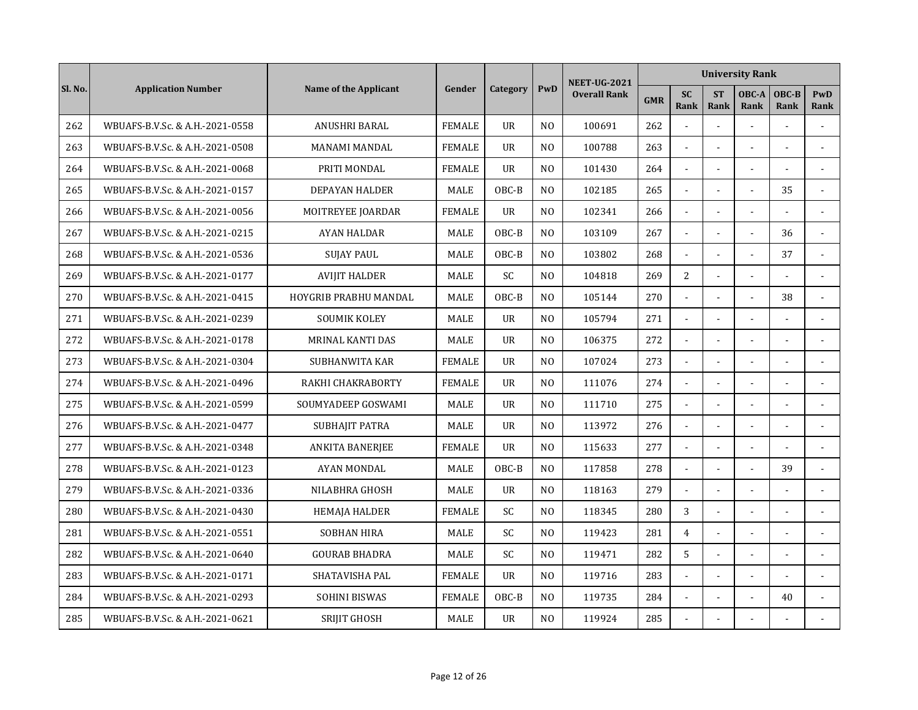|         |                                 |                          |               |                |                | <b>NEET-UG-2021</b> |            |                   |                          | <b>University Rank</b> |                |                |
|---------|---------------------------------|--------------------------|---------------|----------------|----------------|---------------------|------------|-------------------|--------------------------|------------------------|----------------|----------------|
| Sl. No. | <b>Application Number</b>       | Name of the Applicant    | Gender        | Category       | PwD            | <b>Overall Rank</b> | <b>GMR</b> | <b>SC</b><br>Rank | <b>ST</b><br><b>Rank</b> | OBC-A<br>Rank          | OBC-B<br>Rank  | PwD<br>Rank    |
| 262     | WBUAFS-B.V.Sc. & A.H.-2021-0558 | ANUSHRI BARAL            | <b>FEMALE</b> | <b>UR</b>      | N <sub>O</sub> | 100691              | 262        |                   | $\overline{a}$           | $\overline{a}$         |                |                |
| 263     | WBUAFS-B.V.Sc. & A.H.-2021-0508 | <b>MANAMI MANDAL</b>     | <b>FEMALE</b> | <b>UR</b>      | N <sub>O</sub> | 100788              | 263        | $\overline{a}$    | ÷.                       |                        | ÷.             |                |
| 264     | WBUAFS-B.V.Sc. & A.H.-2021-0068 | PRITI MONDAL             | <b>FEMALE</b> | $_{\text{U}R}$ | N <sub>0</sub> | 101430              | 264        |                   |                          |                        |                |                |
| 265     | WBUAFS-B.V.Sc. & A.H.-2021-0157 | <b>DEPAYAN HALDER</b>    | MALE          | OBC-B          | N <sub>O</sub> | 102185              | 265        |                   |                          |                        | 35             |                |
| 266     | WBUAFS-B.V.Sc. & A.H.-2021-0056 | <b>MOITREYEE JOARDAR</b> | <b>FEMALE</b> | <b>UR</b>      | N <sub>O</sub> | 102341              | 266        | $\mathbf{r}$      | $\blacksquare$           |                        |                |                |
| 267     | WBUAFS-B.V.Sc. & A.H.-2021-0215 | <b>AYAN HALDAR</b>       | <b>MALE</b>   | OBC-B          | N <sub>O</sub> | 103109              | 267        | $\mathbf{r}$      | $\sim$                   |                        | 36             | $\sim$         |
| 268     | WBUAFS-B.V.Sc. & A.H.-2021-0536 | <b>SUJAY PAUL</b>        | MALE          | OBC-B          | N <sub>O</sub> | 103802              | 268        | $\blacksquare$    | $\overline{\phantom{a}}$ |                        | 37             |                |
| 269     | WBUAFS-B.V.Sc. & A.H.-2021-0177 | <b>AVIJIT HALDER</b>     | MALE          | SC             | N <sub>0</sub> | 104818              | 269        | 2                 | $\overline{a}$           |                        |                | $\overline{a}$ |
| 270     | WBUAFS-B.V.Sc. & A.H.-2021-0415 | HOYGRIB PRABHU MANDAL    | <b>MALE</b>   | $OBC-B$        | N <sub>0</sub> | 105144              | 270        |                   |                          |                        | 38             |                |
| 271     | WBUAFS-B.V.Sc. & A.H.-2021-0239 | <b>SOUMIK KOLEY</b>      | <b>MALE</b>   | <b>UR</b>      | N <sub>O</sub> | 105794              | 271        |                   |                          |                        |                |                |
| 272     | WBUAFS-B.V.Sc. & A.H.-2021-0178 | MRINAL KANTI DAS         | MALE          | <b>UR</b>      | N <sub>O</sub> | 106375              | 272        | $\sim$            | $\overline{a}$           |                        |                |                |
| 273     | WBUAFS-B.V.Sc. & A.H.-2021-0304 | <b>SUBHANWITA KAR</b>    | <b>FEMALE</b> | <b>UR</b>      | N <sub>O</sub> | 107024              | 273        | L.                | $\overline{a}$           |                        | ÷.             |                |
| 274     | WBUAFS-B.V.Sc. & A.H.-2021-0496 | RAKHI CHAKRABORTY        | <b>FEMALE</b> | <b>UR</b>      | N <sub>0</sub> | 111076              | 274        | $\blacksquare$    | $\sim$                   |                        | $\overline{a}$ |                |
| 275     | WBUAFS-B.V.Sc. & A.H.-2021-0599 | SOUMYADEEP GOSWAMI       | MALE          | <b>UR</b>      | N <sub>O</sub> | 111710              | 275        | $\mathbf{r}$      |                          |                        |                |                |
| 276     | WBUAFS-B.V.Sc. & A.H.-2021-0477 | SUBHAJIT PATRA           | MALE          | UR             | N <sub>O</sub> | 113972              | 276        |                   |                          |                        |                |                |
| 277     | WBUAFS-B.V.Sc. & A.H.-2021-0348 | ANKITA BANERJEE          | <b>FEMALE</b> | $_{\text{U}R}$ | N <sub>O</sub> | 115633              | 277        | $\mathbf{r}$      | $\blacksquare$           |                        |                |                |
| 278     | WBUAFS-B.V.Sc. & A.H.-2021-0123 | <b>AYAN MONDAL</b>       | <b>MALE</b>   | OBC-B          | N <sub>O</sub> | 117858              | 278        | $\sim$            | $\overline{\phantom{a}}$ |                        | 39             |                |
| 279     | WBUAFS-B.V.Sc. & A.H.-2021-0336 | NILABHRA GHOSH           | MALE          | UR             | N <sub>O</sub> | 118163              | 279        | $\omega$          | $\overline{a}$           |                        |                |                |
| 280     | WBUAFS-B.V.Sc. & A.H.-2021-0430 | <b>HEMAJA HALDER</b>     | <b>FEMALE</b> | <b>SC</b>      | N <sub>O</sub> | 118345              | 280        | 3                 | $\overline{a}$           |                        | $\overline{a}$ |                |
| 281     | WBUAFS-B.V.Sc. & A.H.-2021-0551 | <b>SOBHAN HIRA</b>       | MALE          | SC             | N <sub>O</sub> | 119423              | 281        | $\overline{4}$    |                          |                        |                |                |
| 282     | WBUAFS-B.V.Sc. & A.H.-2021-0640 | <b>GOURAB BHADRA</b>     | MALE          | <b>SC</b>      | N <sub>O</sub> | 119471              | 282        | 5                 |                          |                        |                |                |
| 283     | WBUAFS-B.V.Sc. & A.H.-2021-0171 | SHATAVISHA PAL           | <b>FEMALE</b> | <b>UR</b>      | N <sub>O</sub> | 119716              | 283        | $\mathbf{r}$      | $\blacksquare$           |                        |                |                |
| 284     | WBUAFS-B.V.Sc. & A.H.-2021-0293 | <b>SOHINI BISWAS</b>     | <b>FEMALE</b> | OBC-B          | N <sub>O</sub> | 119735              | 284        | $\blacksquare$    | $\blacksquare$           | $\sim$                 | 40             |                |
| 285     | WBUAFS-B.V.Sc. & A.H.-2021-0621 | SRIJIT GHOSH             | MALE          | <b>UR</b>      | N <sub>O</sub> | 119924              | 285        |                   |                          |                        |                |                |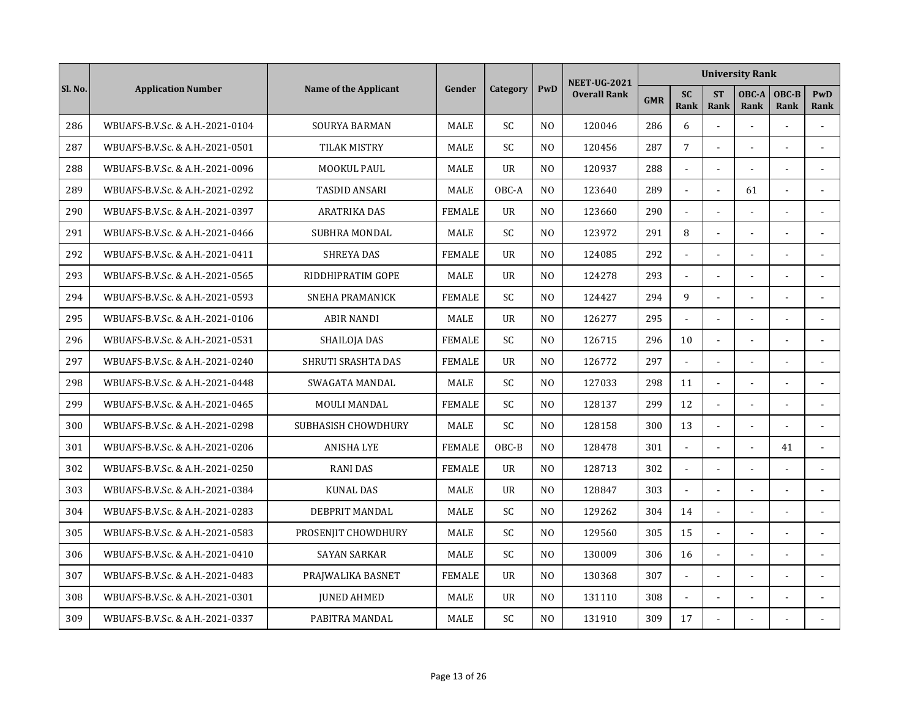|         |                                 |                           |               |                |                | <b>NEET-UG-2021</b> |            |                          |                          | <b>University Rank</b> |                |                |
|---------|---------------------------------|---------------------------|---------------|----------------|----------------|---------------------|------------|--------------------------|--------------------------|------------------------|----------------|----------------|
| Sl. No. | <b>Application Number</b>       | Name of the Applicant     | Gender        | Category       | PwD            | <b>Overall Rank</b> | <b>GMR</b> | <b>SC</b><br><b>Rank</b> | <b>ST</b><br><b>Rank</b> | OBC-A<br>Rank          | OBC-B<br>Rank  | PwD<br>Rank    |
| 286     | WBUAFS-B.V.Sc. & A.H.-2021-0104 | <b>SOURYA BARMAN</b>      | MALE          | SC             | N <sub>O</sub> | 120046              | 286        | 6                        | $\overline{a}$           | $\overline{a}$         |                |                |
| 287     | WBUAFS-B.V.Sc. & A.H.-2021-0501 | TILAK MISTRY              | <b>MALE</b>   | <b>SC</b>      | N <sub>O</sub> | 120456              | 287        | $\overline{7}$           | $\overline{a}$           |                        | ÷.             |                |
| 288     | WBUAFS-B.V.Sc. & A.H.-2021-0096 | MOOKUL PAUL               | <b>MALE</b>   | $_{\text{U}R}$ | N <sub>O</sub> | 120937              | 288        |                          |                          |                        |                |                |
| 289     | WBUAFS-B.V.Sc. & A.H.-2021-0292 | <b>TASDID ANSARI</b>      | <b>MALE</b>   | OBC-A          | N <sub>O</sub> | 123640              | 289        |                          | $\overline{a}$           | 61                     |                |                |
| 290     | WBUAFS-B.V.Sc. & A.H.-2021-0397 | <b>ARATRIKA DAS</b>       | <b>FEMALE</b> | <b>UR</b>      | N <sub>O</sub> | 123660              | 290        | $\blacksquare$           | $\sim$                   | $\sim$                 | ä,             |                |
| 291     | WBUAFS-B.V.Sc. & A.H.-2021-0466 | <b>SUBHRA MONDAL</b>      | <b>MALE</b>   | <b>SC</b>      | N <sub>O</sub> | 123972              | 291        | 8                        | $\sim$                   |                        |                |                |
| 292     | WBUAFS-B.V.Sc. & A.H.-2021-0411 | <b>SHREYA DAS</b>         | <b>FEMALE</b> | <b>UR</b>      | N <sub>0</sub> | 124085              | 292        | $\blacksquare$           | $\overline{\phantom{a}}$ |                        |                |                |
| 293     | WBUAFS-B.V.Sc. & A.H.-2021-0565 | RIDDHIPRATIM GOPE         | MALE          | <b>UR</b>      | N <sub>0</sub> | 124278              | 293        | $\blacksquare$           | $\overline{a}$           |                        |                | $\overline{a}$ |
| 294     | WBUAFS-B.V.Sc. & A.H.-2021-0593 | SNEHA PRAMANICK           | <b>FEMALE</b> | SC.            | N <sub>0</sub> | 124427              | 294        | 9                        |                          |                        |                |                |
| 295     | WBUAFS-B.V.Sc. & A.H.-2021-0106 | <b>ABIR NANDI</b>         | MALE          | $_{\text{U}R}$ | N <sub>O</sub> | 126277              | 295        |                          | $\overline{a}$           |                        |                |                |
| 296     | WBUAFS-B.V.Sc. & A.H.-2021-0531 | SHAILOJA DAS              | <b>FEMALE</b> | <b>SC</b>      | N <sub>O</sub> | 126715              | 296        | 10                       | $\overline{a}$           |                        |                |                |
| 297     | WBUAFS-B.V.Sc. & A.H.-2021-0240 | <b>SHRUTI SRASHTA DAS</b> | <b>FEMALE</b> | <b>UR</b>      | N <sub>O</sub> | 126772              | 297        | L.                       | $\overline{a}$           |                        | ÷.             |                |
| 298     | WBUAFS-B.V.Sc. & A.H.-2021-0448 | SWAGATA MANDAL            | <b>MALE</b>   | <b>SC</b>      | N <sub>O</sub> | 127033              | 298        | 11                       | $\blacksquare$           |                        | $\overline{a}$ |                |
| 299     | WBUAFS-B.V.Sc. & A.H.-2021-0465 | MOULI MANDAL              | <b>FEMALE</b> | SC             | N <sub>O</sub> | 128137              | 299        | 12                       | ä,                       |                        |                |                |
| 300     | WBUAFS-B.V.Sc. & A.H.-2021-0298 | SUBHASISH CHOWDHURY       | MALE          | SC             | N <sub>O</sub> | 128158              | 300        | 13                       |                          |                        |                |                |
| 301     | WBUAFS-B.V.Sc. & A.H.-2021-0206 | <b>ANISHA LYE</b>         | <b>FEMALE</b> | OBC-B          | N <sub>0</sub> | 128478              | 301        | $\overline{a}$           | $\blacksquare$           | $\sim$                 | 41             |                |
| 302     | WBUAFS-B.V.Sc. & A.H.-2021-0250 | <b>RANI DAS</b>           | <b>FEMALE</b> | <b>UR</b>      | N <sub>O</sub> | 128713              | 302        | $\overline{a}$           | $\overline{\phantom{a}}$ |                        |                |                |
| 303     | WBUAFS-B.V.Sc. & A.H.-2021-0384 | <b>KUNAL DAS</b>          | MALE          | UR             | N <sub>O</sub> | 128847              | 303        | $\blacksquare$           | $\overline{a}$           |                        | ä,             |                |
| 304     | WBUAFS-B.V.Sc. & A.H.-2021-0283 | DEBPRIT MANDAL            | MALE          | SC             | N <sub>O</sub> | 129262              | 304        | 14                       | $\overline{a}$           |                        | $\overline{a}$ |                |
| 305     | WBUAFS-B.V.Sc. & A.H.-2021-0583 | PROSENJIT CHOWDHURY       | <b>MALE</b>   | SC             | N <sub>O</sub> | 129560              | 305        | 15                       | $\overline{a}$           |                        |                |                |
| 306     | WBUAFS-B.V.Sc. & A.H.-2021-0410 | <b>SAYAN SARKAR</b>       | MALE          | <b>SC</b>      | N <sub>O</sub> | 130009              | 306        | 16                       | $\overline{a}$           |                        |                |                |
| 307     | WBUAFS-B.V.Sc. & A.H.-2021-0483 | PRAJWALIKA BASNET         | <b>FEMALE</b> | <b>UR</b>      | N <sub>O</sub> | 130368              | 307        | $\blacksquare$           | $\blacksquare$           |                        |                |                |
| 308     | WBUAFS-B.V.Sc. & A.H.-2021-0301 | <b>JUNED AHMED</b>        | MALE          | <b>UR</b>      | N <sub>O</sub> | 131110              | 308        | $\blacksquare$           | $\blacksquare$           |                        |                |                |
| 309     | WBUAFS-B.V.Sc. & A.H.-2021-0337 | PABITRA MANDAL            | MALE          | SC             | N <sub>O</sub> | 131910              | 309        | 17                       |                          |                        |                |                |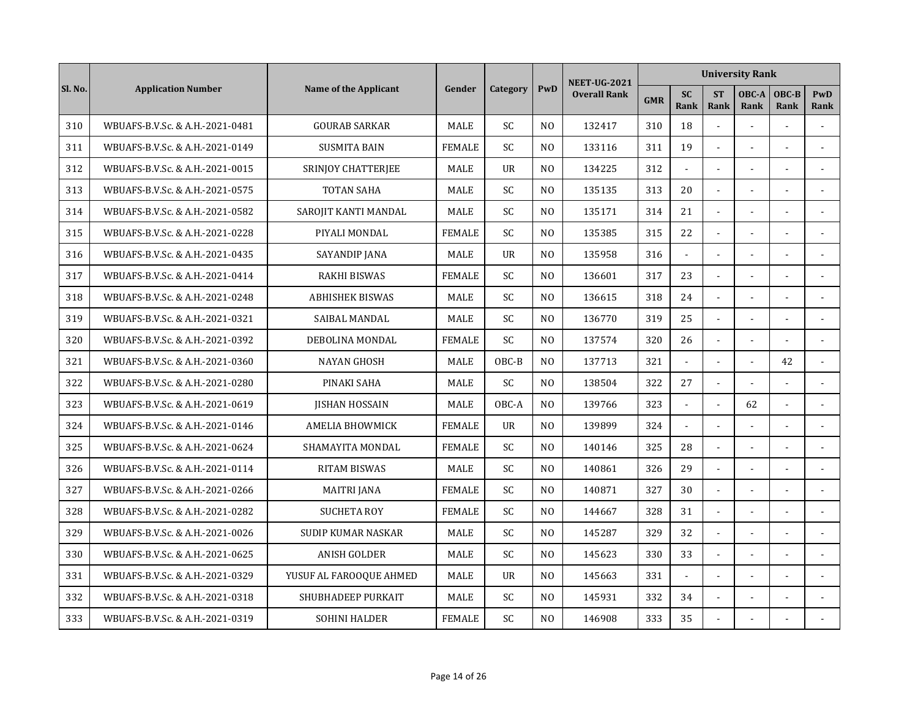|         |                                 |                              |               |           |                | <b>NEET-UG-2021</b> |            |                          |                          | <b>University Rank</b> |               |                    |
|---------|---------------------------------|------------------------------|---------------|-----------|----------------|---------------------|------------|--------------------------|--------------------------|------------------------|---------------|--------------------|
| Sl. No. | <b>Application Number</b>       | <b>Name of the Applicant</b> | Gender        | Category  | PwD            | <b>Overall Rank</b> | <b>GMR</b> | <b>SC</b><br><b>Rank</b> | <b>ST</b><br><b>Rank</b> | OBC-A<br>Rank          | OBC-B<br>Rank | <b>PwD</b><br>Rank |
| 310     | WBUAFS-B.V.Sc. & A.H.-2021-0481 | <b>GOURAB SARKAR</b>         | <b>MALE</b>   | <b>SC</b> | N <sub>O</sub> | 132417              | 310        | 18                       | $\tilde{\phantom{a}}$    |                        |               |                    |
| 311     | WBUAFS-B.V.Sc. & A.H.-2021-0149 | <b>SUSMITA BAIN</b>          | <b>FEMALE</b> | <b>SC</b> | N <sub>O</sub> | 133116              | 311        | 19                       | $\tilde{\phantom{a}}$    |                        | L,            |                    |
| 312     | WBUAFS-B.V.Sc. & A.H.-2021-0015 | SRINJOY CHATTERJEE           | MALE          | <b>UR</b> | N <sub>O</sub> | 134225              | 312        | $\mathbf{r}$             | $\overline{a}$           |                        |               | $\sim$             |
| 313     | WBUAFS-B.V.Sc. & A.H.-2021-0575 | <b>TOTAN SAHA</b>            | MALE          | <b>SC</b> | N <sub>O</sub> | 135135              | 313        | 20                       |                          |                        |               |                    |
| 314     | WBUAFS-B.V.Sc. & A.H.-2021-0582 | SAROJIT KANTI MANDAL         | <b>MALE</b>   | SC.       | N <sub>0</sub> | 135171              | 314        | 21                       | $\sim$                   |                        |               |                    |
| 315     | WBUAFS-B.V.Sc. & A.H.-2021-0228 | PIYALI MONDAL                | <b>FEMALE</b> | SC        | N <sub>O</sub> | 135385              | 315        | 22                       | $\sim$                   |                        | ÷,            |                    |
| 316     | WBUAFS-B.V.Sc. & A.H.-2021-0435 | SAYANDIP JANA                | MALE          | <b>UR</b> | N <sub>O</sub> | 135958              | 316        | $\mathbf{r}$             | $\overline{a}$           |                        |               |                    |
| 317     | WBUAFS-B.V.Sc. & A.H.-2021-0414 | <b>RAKHI BISWAS</b>          | <b>FEMALE</b> | <b>SC</b> | N <sub>O</sub> | 136601              | 317        | 23                       | $\overline{a}$           |                        | ÷.            | $\overline{a}$     |
| 318     | WBUAFS-B.V.Sc. & A.H.-2021-0248 | <b>ABHISHEK BISWAS</b>       | MALE          | <b>SC</b> | N <sub>O</sub> | 136615              | 318        | 24                       | $\blacksquare$           |                        |               |                    |
| 319     | WBUAFS-B.V.Sc. & A.H.-2021-0321 | SAIBAL MANDAL                | MALE          | SC        | N <sub>O</sub> | 136770              | 319        | 25                       |                          |                        |               |                    |
| 320     | WBUAFS-B.V.Sc. & A.H.-2021-0392 | DEBOLINA MONDAL              | <b>FEMALE</b> | SC        | N <sub>O</sub> | 137574              | 320        | 26                       | $\overline{a}$           |                        |               | ÷.                 |
| 321     | WBUAFS-B.V.Sc. & A.H.-2021-0360 | <b>NAYAN GHOSH</b>           | <b>MALE</b>   | $OBC-B$   | N <sub>0</sub> | 137713              | 321        | $\overline{a}$           | $\overline{\phantom{a}}$ | $\sim$                 | 42            | $\sim$             |
| 322     | WBUAFS-B.V.Sc. & A.H.-2021-0280 | PINAKI SAHA                  | <b>MALE</b>   | SC        | N <sub>0</sub> | 138504              | 322        | 27                       | $\sim$                   |                        |               |                    |
| 323     | WBUAFS-B.V.Sc. & A.H.-2021-0619 | <b>JISHAN HOSSAIN</b>        | MALE          | OBC-A     | N <sub>O</sub> | 139766              | 323        | $\sim$                   | $\overline{a}$           | 62                     |               | ÷.                 |
| 324     | WBUAFS-B.V.Sc. & A.H.-2021-0146 | <b>AMELIA BHOWMICK</b>       | <b>FEMALE</b> | <b>UR</b> | N <sub>O</sub> | 139899              | 324        |                          |                          |                        |               |                    |
| 325     | WBUAFS-B.V.Sc. & A.H.-2021-0624 | SHAMAYITA MONDAL             | <b>FEMALE</b> | SC        | N <sub>0</sub> | 140146              | 325        | 28                       | $\blacksquare$           |                        |               |                    |
| 326     | WBUAFS-B.V.Sc. & A.H.-2021-0114 | <b>RITAM BISWAS</b>          | <b>MALE</b>   | SC        | N <sub>O</sub> | 140861              | 326        | 29                       | $\overline{\phantom{a}}$ |                        |               |                    |
| 327     | WBUAFS-B.V.Sc. & A.H.-2021-0266 | <b>MAITRI JANA</b>           | <b>FEMALE</b> | <b>SC</b> | N <sub>O</sub> | 140871              | 327        | 30                       | $\overline{\phantom{a}}$ |                        |               |                    |
| 328     | WBUAFS-B.V.Sc. & A.H.-2021-0282 | <b>SUCHETA ROY</b>           | <b>FEMALE</b> | SC.       | N <sub>O</sub> | 144667              | 328        | 31                       | $\sim$                   |                        | ÷.            |                    |
| 329     | WBUAFS-B.V.Sc. & A.H.-2021-0026 | <b>SUDIP KUMAR NASKAR</b>    | <b>MALE</b>   | SC        | N <sub>O</sub> | 145287              | 329        | 32                       | $\sim$                   |                        |               |                    |
| 330     | WBUAFS-B.V.Sc. & A.H.-2021-0625 | <b>ANISH GOLDER</b>          | MALE          | <b>SC</b> | N <sub>O</sub> | 145623              | 330        | 33                       | $\overline{a}$           |                        |               |                    |
| 331     | WBUAFS-B.V.Sc. & A.H.-2021-0329 | YUSUF AL FAROOQUE AHMED      | <b>MALE</b>   | <b>UR</b> | N <sub>O</sub> | 145663              | 331        | L.                       | $\overline{a}$           |                        |               |                    |
| 332     | WBUAFS-B.V.Sc. & A.H.-2021-0318 | SHUBHADEEP PURKAIT           | <b>MALE</b>   | <b>SC</b> | N <sub>O</sub> | 145931              | 332        | 34                       | $\blacksquare$           |                        |               |                    |
| 333     | WBUAFS-B.V.Sc. & A.H.-2021-0319 | <b>SOHINI HALDER</b>         | <b>FEMALE</b> | SC        | N <sub>O</sub> | 146908              | 333        | 35                       |                          |                        |               |                    |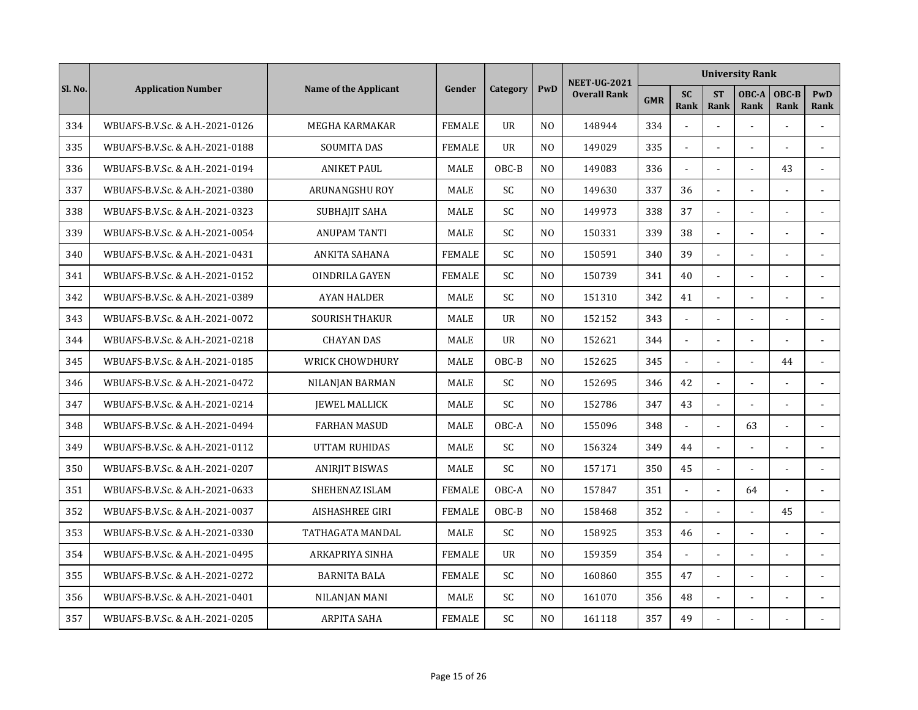|         |                                 |                        |               |                |                | <b>NEET-UG-2021</b> |            |                          |                          | <b>University Rank</b> |                      |                |
|---------|---------------------------------|------------------------|---------------|----------------|----------------|---------------------|------------|--------------------------|--------------------------|------------------------|----------------------|----------------|
| Sl. No. | <b>Application Number</b>       | Name of the Applicant  | Gender        | Category       | PwD            | <b>Overall Rank</b> | <b>GMR</b> | <b>SC</b><br><b>Rank</b> | <b>ST</b><br><b>Rank</b> | OBC-A<br>Rank          | OBC-B<br><b>Rank</b> | PwD<br>Rank    |
| 334     | WBUAFS-B.V.Sc. & A.H.-2021-0126 | MEGHA KARMAKAR         | <b>FEMALE</b> | <b>UR</b>      | N <sub>O</sub> | 148944              | 334        |                          | $\overline{a}$           | $\overline{a}$         |                      |                |
| 335     | WBUAFS-B.V.Sc. & A.H.-2021-0188 | <b>SOUMITA DAS</b>     | <b>FEMALE</b> | <b>UR</b>      | N <sub>O</sub> | 149029              | 335        | $\sim$                   | ÷.                       |                        |                      |                |
| 336     | WBUAFS-B.V.Sc. & A.H.-2021-0194 | <b>ANIKET PAUL</b>     | <b>MALE</b>   | OBC-B          | N <sub>O</sub> | 149083              | 336        |                          |                          |                        | 43                   |                |
| 337     | WBUAFS-B.V.Sc. & A.H.-2021-0380 | ARUNANGSHU ROY         | <b>MALE</b>   | <b>SC</b>      | N <sub>O</sub> | 149630              | 337        | 36                       | $\overline{a}$           |                        |                      |                |
| 338     | WBUAFS-B.V.Sc. & A.H.-2021-0323 | SUBHAJIT SAHA          | MALE          | SC             | N <sub>O</sub> | 149973              | 338        | 37                       | $\sim$                   |                        | ä,                   |                |
| 339     | WBUAFS-B.V.Sc. & A.H.-2021-0054 | <b>ANUPAM TANTI</b>    | MALE          | <b>SC</b>      | N <sub>O</sub> | 150331              | 339        | 38                       | $\tilde{\phantom{a}}$    |                        |                      |                |
| 340     | WBUAFS-B.V.Sc. & A.H.-2021-0431 | ANKITA SAHANA          | <b>FEMALE</b> | SC             | N <sub>0</sub> | 150591              | 340        | 39                       | $\blacksquare$           |                        |                      |                |
| 341     | WBUAFS-B.V.Sc. & A.H.-2021-0152 | OINDRILA GAYEN         | <b>FEMALE</b> | SC             | N <sub>0</sub> | 150739              | 341        | 40                       | $\overline{a}$           |                        |                      | $\overline{a}$ |
| 342     | WBUAFS-B.V.Sc. & A.H.-2021-0389 | <b>AYAN HALDER</b>     | <b>MALE</b>   | SC.            | N <sub>0</sub> | 151310              | 342        | 41                       | $\overline{a}$           |                        |                      |                |
| 343     | WBUAFS-B.V.Sc. & A.H.-2021-0072 | <b>SOURISH THAKUR</b>  | MALE          | $_{\text{U}R}$ | N <sub>O</sub> | 152152              | 343        |                          | $\overline{a}$           |                        |                      |                |
| 344     | WBUAFS-B.V.Sc. & A.H.-2021-0218 | <b>CHAYAN DAS</b>      | MALE          | <b>UR</b>      | N <sub>O</sub> | 152621              | 344        | ä,                       | $\overline{a}$           |                        |                      |                |
| 345     | WBUAFS-B.V.Sc. & A.H.-2021-0185 | WRICK CHOWDHURY        | <b>MALE</b>   | OBC-B          | N <sub>O</sub> | 152625              | 345        | L.                       | $\overline{a}$           | $\overline{a}$         | 44                   |                |
| 346     | WBUAFS-B.V.Sc. & A.H.-2021-0472 | NILANJAN BARMAN        | <b>MALE</b>   | <b>SC</b>      | N <sub>O</sub> | 152695              | 346        | 42                       | $\blacksquare$           |                        |                      |                |
| 347     | WBUAFS-B.V.Sc. & A.H.-2021-0214 | <b>IEWEL MALLICK</b>   | MALE          | SC             | N <sub>O</sub> | 152786              | 347        | 43                       | $\blacksquare$           |                        |                      | $\sim$         |
| 348     | WBUAFS-B.V.Sc. & A.H.-2021-0494 | <b>FARHAN MASUD</b>    | MALE          | OBC-A          | N <sub>O</sub> | 155096              | 348        |                          |                          | 63                     |                      |                |
| 349     | WBUAFS-B.V.Sc. & A.H.-2021-0112 | UTTAM RUHIDAS          | <b>MALE</b>   | SC             | N <sub>O</sub> | 156324              | 349        | 44                       | $\sim$                   | $\sim$                 | ä,                   |                |
| 350     | WBUAFS-B.V.Sc. & A.H.-2021-0207 | <b>ANIRJIT BISWAS</b>  | <b>MALE</b>   | SC             | N <sub>O</sub> | 157171              | 350        | 45                       | $\overline{\phantom{a}}$ |                        | $\overline{a}$       |                |
| 351     | WBUAFS-B.V.Sc. & A.H.-2021-0633 | SHEHENAZ ISLAM         | <b>FEMALE</b> | OBC-A          | N <sub>O</sub> | 157847              | 351        | $\blacksquare$           | $\overline{a}$           | 64                     |                      |                |
| 352     | WBUAFS-B.V.Sc. & A.H.-2021-0037 | <b>AISHASHREE GIRI</b> | <b>FEMALE</b> | OBC-B          | N <sub>O</sub> | 158468              | 352        | $\overline{a}$           | $\overline{a}$           |                        | 45                   |                |
| 353     | WBUAFS-B.V.Sc. & A.H.-2021-0330 | TATHAGATA MANDAL       | MALE          | SC             | N <sub>O</sub> | 158925              | 353        | 46                       |                          |                        |                      |                |
| 354     | WBUAFS-B.V.Sc. & A.H.-2021-0495 | ARKAPRIYA SINHA        | <b>FEMALE</b> | <b>UR</b>      | N <sub>O</sub> | 159359              | 354        |                          | $\overline{a}$           |                        |                      |                |
| 355     | WBUAFS-B.V.Sc. & A.H.-2021-0272 | <b>BARNITA BALA</b>    | <b>FEMALE</b> | SC             | N <sub>O</sub> | 160860              | 355        | 47                       | $\blacksquare$           |                        |                      |                |
| 356     | WBUAFS-B.V.Sc. & A.H.-2021-0401 | NILANJAN MANI          | MALE          | <b>SC</b>      | N <sub>O</sub> | 161070              | 356        | 48                       | $\blacksquare$           |                        |                      |                |
| 357     | WBUAFS-B.V.Sc. & A.H.-2021-0205 | ARPITA SAHA            | <b>FEMALE</b> | SC             | N <sub>O</sub> | 161118              | 357        | 49                       |                          |                        |                      |                |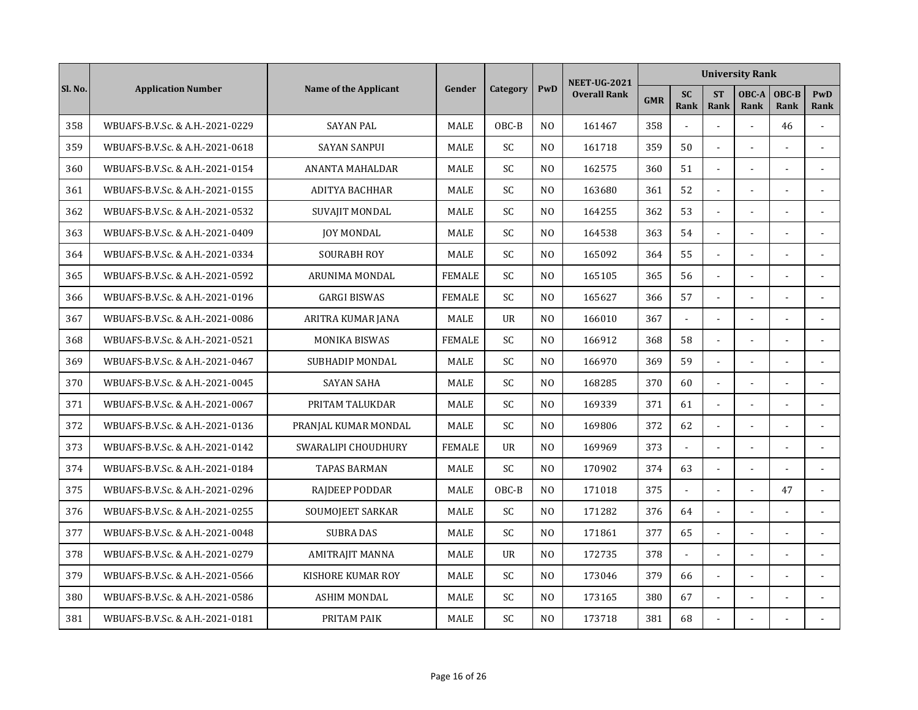|         |                                 |                          |               |                |                | <b>NEET-UG-2021</b> |            |                          |                          | <b>University Rank</b> |                      |                |
|---------|---------------------------------|--------------------------|---------------|----------------|----------------|---------------------|------------|--------------------------|--------------------------|------------------------|----------------------|----------------|
| Sl. No. | <b>Application Number</b>       | Name of the Applicant    | Gender        | Category       | PwD            | <b>Overall Rank</b> | <b>GMR</b> | <b>SC</b><br><b>Rank</b> | <b>ST</b><br><b>Rank</b> | OBC-A<br>Rank          | OBC-B<br><b>Rank</b> | PwD<br>Rank    |
| 358     | WBUAFS-B.V.Sc. & A.H.-2021-0229 | <b>SAYAN PAL</b>         | MALE          | OBC-B          | N <sub>O</sub> | 161467              | 358        |                          | $\overline{a}$           | $\overline{a}$         | 46                   |                |
| 359     | WBUAFS-B.V.Sc. & A.H.-2021-0618 | <b>SAYAN SANPUI</b>      | <b>MALE</b>   | <b>SC</b>      | N <sub>O</sub> | 161718              | 359        | 50                       | $\overline{a}$           |                        |                      |                |
| 360     | WBUAFS-B.V.Sc. & A.H.-2021-0154 | <b>ANANTA MAHALDAR</b>   | <b>MALE</b>   | <b>SC</b>      | N <sub>0</sub> | 162575              | 360        | 51                       | $\blacksquare$           |                        |                      |                |
| 361     | WBUAFS-B.V.Sc. & A.H.-2021-0155 | ADITYA BACHHAR           | MALE          | <b>SC</b>      | N <sub>O</sub> | 163680              | 361        | 52                       | ä,                       |                        |                      |                |
| 362     | WBUAFS-B.V.Sc. & A.H.-2021-0532 | <b>SUVAJIT MONDAL</b>    | MALE          | SC             | N <sub>O</sub> | 164255              | 362        | 53                       | ä,                       |                        | ä,                   |                |
| 363     | WBUAFS-B.V.Sc. & A.H.-2021-0409 | <b>JOY MONDAL</b>        | MALE          | <b>SC</b>      | N <sub>O</sub> | 164538              | 363        | 54                       | $\blacksquare$           |                        |                      |                |
| 364     | WBUAFS-B.V.Sc. & A.H.-2021-0334 | <b>SOURABH ROY</b>       | MALE          | SC             | N <sub>0</sub> | 165092              | 364        | 55                       | $\overline{\phantom{a}}$ |                        |                      |                |
| 365     | WBUAFS-B.V.Sc. & A.H.-2021-0592 | ARUNIMA MONDAL           | <b>FEMALE</b> | SC             | N <sub>0</sub> | 165105              | 365        | 56                       | $\overline{a}$           |                        |                      | $\overline{a}$ |
| 366     | WBUAFS-B.V.Sc. & A.H.-2021-0196 | <b>GARGI BISWAS</b>      | <b>FEMALE</b> | SC.            | N <sub>0</sub> | 165627              | 366        | 57                       | $\overline{a}$           |                        |                      |                |
| 367     | WBUAFS-B.V.Sc. & A.H.-2021-0086 | ARITRA KUMAR JANA        | MALE          | $_{\text{U}R}$ | N <sub>O</sub> | 166010              | 367        |                          | $\overline{a}$           |                        |                      |                |
| 368     | WBUAFS-B.V.Sc. & A.H.-2021-0521 | <b>MONIKA BISWAS</b>     | <b>FEMALE</b> | <b>SC</b>      | N <sub>O</sub> | 166912              | 368        | 58                       | $\overline{\phantom{a}}$ |                        |                      |                |
| 369     | WBUAFS-B.V.Sc. & A.H.-2021-0467 | <b>SUBHADIP MONDAL</b>   | <b>MALE</b>   | <b>SC</b>      | N <sub>O</sub> | 166970              | 369        | 59                       | $\Box$                   |                        | ÷.                   |                |
| 370     | WBUAFS-B.V.Sc. & A.H.-2021-0045 | <b>SAYAN SAHA</b>        | <b>MALE</b>   | <b>SC</b>      | N <sub>O</sub> | 168285              | 370        | 60                       | $\tilde{\phantom{a}}$    |                        | $\overline{a}$       |                |
| 371     | WBUAFS-B.V.Sc. & A.H.-2021-0067 | PRITAM TALUKDAR          | MALE          | SC             | N <sub>O</sub> | 169339              | 371        | 61                       | ä,                       |                        |                      |                |
| 372     | WBUAFS-B.V.Sc. & A.H.-2021-0136 | PRANJAL KUMAR MONDAL     | MALE          | SC             | N <sub>O</sub> | 169806              | 372        | 62                       |                          |                        |                      |                |
| 373     | WBUAFS-B.V.Sc. & A.H.-2021-0142 | SWARALIPI CHOUDHURY      | <b>FEMALE</b> | <b>UR</b>      | N <sub>O</sub> | 169969              | 373        | $\sim$                   | $\blacksquare$           |                        |                      |                |
| 374     | WBUAFS-B.V.Sc. & A.H.-2021-0184 | <b>TAPAS BARMAN</b>      | <b>MALE</b>   | SC             | N <sub>O</sub> | 170902              | 374        | 63                       | $\overline{\phantom{a}}$ |                        |                      |                |
| 375     | WBUAFS-B.V.Sc. & A.H.-2021-0296 | RAJDEEP PODDAR           | MALE          | OBC-B          | N <sub>O</sub> | 171018              | 375        | $\blacksquare$           | $\overline{\phantom{a}}$ | $\overline{a}$         | 47                   |                |
| 376     | WBUAFS-B.V.Sc. & A.H.-2021-0255 | SOUMOJEET SARKAR         | MALE          | SC             | N <sub>O</sub> | 171282              | 376        | 64                       | $\sim$                   |                        |                      |                |
| 377     | WBUAFS-B.V.Sc. & A.H.-2021-0048 | <b>SUBRA DAS</b>         | MALE          | SC             | N <sub>O</sub> | 171861              | 377        | 65                       |                          |                        |                      |                |
| 378     | WBUAFS-B.V.Sc. & A.H.-2021-0279 | AMITRAJIT MANNA          | MALE          | <b>UR</b>      | N <sub>O</sub> | 172735              | 378        |                          | $\overline{a}$           |                        |                      |                |
| 379     | WBUAFS-B.V.Sc. & A.H.-2021-0566 | <b>KISHORE KUMAR ROY</b> | <b>MALE</b>   | SC             | N <sub>O</sub> | 173046              | 379        | 66                       | $\blacksquare$           |                        |                      |                |
| 380     | WBUAFS-B.V.Sc. & A.H.-2021-0586 | <b>ASHIM MONDAL</b>      | <b>MALE</b>   | <b>SC</b>      | N <sub>O</sub> | 173165              | 380        | 67                       | $\blacksquare$           |                        |                      |                |
| 381     | WBUAFS-B.V.Sc. & A.H.-2021-0181 | PRITAM PAIK              | MALE          | SC             | N <sub>O</sub> | 173718              | 381        | 68                       |                          |                        |                      |                |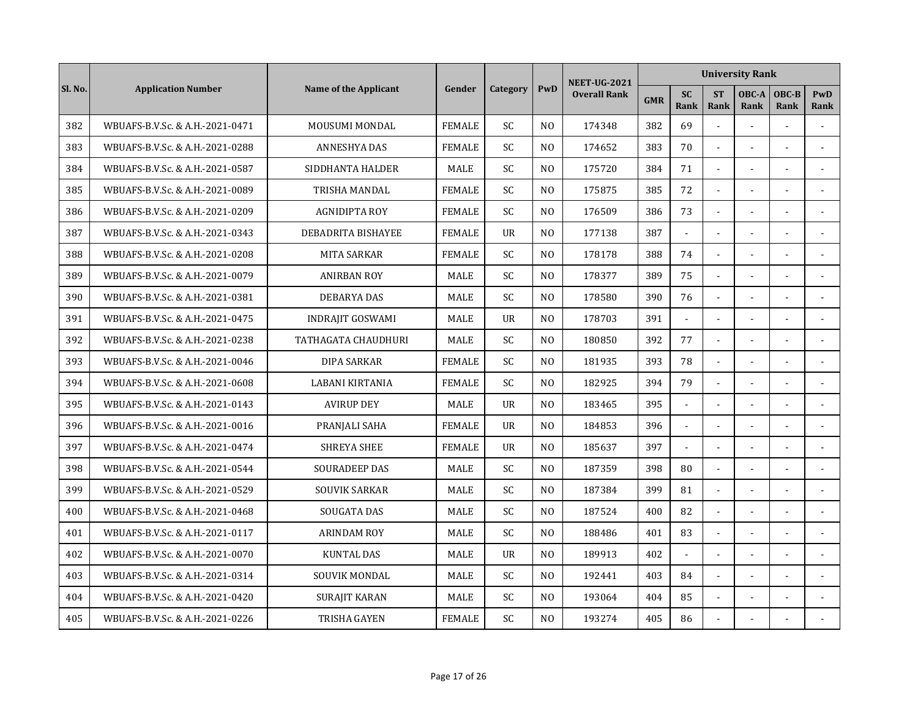|         |                                 |                           |               |                |                | <b>NEET-UG-2021</b> |            |                   |                          | <b>University Rank</b> |                |                |
|---------|---------------------------------|---------------------------|---------------|----------------|----------------|---------------------|------------|-------------------|--------------------------|------------------------|----------------|----------------|
| Sl. No. | <b>Application Number</b>       | Name of the Applicant     | Gender        | Category       | PwD            | <b>Overall Rank</b> | <b>GMR</b> | <b>SC</b><br>Rank | <b>ST</b><br><b>Rank</b> | OBC-A<br>Rank          | OBC-B<br>Rank  | PwD<br>Rank    |
| 382     | WBUAFS-B.V.Sc. & A.H.-2021-0471 | MOUSUMI MONDAL            | <b>FEMALE</b> | SC             | N <sub>O</sub> | 174348              | 382        | 69                | $\overline{a}$           | $\overline{a}$         |                |                |
| 383     | WBUAFS-B.V.Sc. & A.H.-2021-0288 | ANNESHYA DAS              | <b>FEMALE</b> | <b>SC</b>      | N <sub>O</sub> | 174652              | 383        | 70                | $\sim$                   |                        | ÷.             |                |
| 384     | WBUAFS-B.V.Sc. & A.H.-2021-0587 | SIDDHANTA HALDER          | <b>MALE</b>   | SC             | N <sub>O</sub> | 175720              | 384        | 71                | $\overline{a}$           |                        |                | $\sim$         |
| 385     | WBUAFS-B.V.Sc. & A.H.-2021-0089 | TRISHA MANDAL             | <b>FEMALE</b> | <b>SC</b>      | N <sub>O</sub> | 175875              | 385        | 72                | $\overline{a}$           |                        |                |                |
| 386     | WBUAFS-B.V.Sc. & A.H.-2021-0209 | <b>AGNIDIPTA ROY</b>      | <b>FEMALE</b> | SC             | N <sub>O</sub> | 176509              | 386        | 73                | $\overline{a}$           | $\sim$                 | ÷.             |                |
| 387     | WBUAFS-B.V.Sc. & A.H.-2021-0343 | <b>DEBADRITA BISHAYEE</b> | <b>FEMALE</b> | <b>UR</b>      | N <sub>O</sub> | 177138              | 387        | $\blacksquare$    | $\blacksquare$           |                        |                |                |
| 388     | WBUAFS-B.V.Sc. & A.H.-2021-0208 | MITA SARKAR               | <b>FEMALE</b> | SC             | N <sub>O</sub> | 178178              | 388        | 74                | $\overline{\phantom{a}}$ |                        |                |                |
| 389     | WBUAFS-B.V.Sc. & A.H.-2021-0079 | <b>ANIRBAN ROY</b>        | MALE          | SC             | N <sub>O</sub> | 178377              | 389        | 75                | $\overline{a}$           |                        |                |                |
| 390     | WBUAFS-B.V.Sc. & A.H.-2021-0381 | <b>DEBARYA DAS</b>        | MALE          | <b>SC</b>      | N <sub>O</sub> | 178580              | 390        | 76                | $\overline{a}$           |                        |                |                |
| 391     | WBUAFS-B.V.Sc. & A.H.-2021-0475 | <b>INDRAJIT GOSWAMI</b>   | <b>MALE</b>   | $_{\text{U}R}$ | N <sub>O</sub> | 178703              | 391        |                   |                          |                        |                |                |
| 392     | WBUAFS-B.V.Sc. & A.H.-2021-0238 | TATHAGATA CHAUDHURI       | MALE          | SC             | N <sub>O</sub> | 180850              | 392        | 77                | $\sim$                   |                        |                | $\sim$         |
| 393     | WBUAFS-B.V.Sc. & A.H.-2021-0046 | <b>DIPA SARKAR</b>        | <b>FEMALE</b> | SC.            | N <sub>0</sub> | 181935              | 393        | 78                | $\sim$                   |                        |                |                |
| 394     | WBUAFS-B.V.Sc. & A.H.-2021-0608 | <b>LABANI KIRTANIA</b>    | <b>FEMALE</b> | <b>SC</b>      | N <sub>0</sub> | 182925              | 394        | 79                | $\overline{\phantom{a}}$ | $\overline{a}$         | $\overline{a}$ | $\overline{a}$ |
| 395     | WBUAFS-B.V.Sc. & A.H.-2021-0143 | <b>AVIRUP DEY</b>         | MALE          | $_{\text{U}R}$ | N <sub>0</sub> | 183465              | 395        | $\blacksquare$    | $\overline{a}$           |                        |                |                |
| 396     | WBUAFS-B.V.Sc. & A.H.-2021-0016 | PRANJALI SAHA             | <b>FEMALE</b> | <b>UR</b>      | N <sub>O</sub> | 184853              | 396        | $\overline{a}$    |                          |                        |                |                |
| 397     | WBUAFS-B.V.Sc. & A.H.-2021-0474 | <b>SHREYA SHEE</b>        | <b>FEMALE</b> | <b>UR</b>      | N <sub>O</sub> | 185637              | 397        |                   |                          |                        |                |                |
| 398     | WBUAFS-B.V.Sc. & A.H.-2021-0544 | <b>SOURADEEP DAS</b>      | MALE          | SC             | N <sub>O</sub> | 187359              | 398        | 80                | $\overline{a}$           |                        |                |                |
| 399     | WBUAFS-B.V.Sc. & A.H.-2021-0529 | <b>SOUVIK SARKAR</b>      | <b>MALE</b>   | <b>SC</b>      | N <sub>O</sub> | 187384              | 399        | 81                | $\sim$                   |                        | ÷.             |                |
| 400     | WBUAFS-B.V.Sc. & A.H.-2021-0468 | SOUGATA DAS               | <b>MALE</b>   | <b>SC</b>      | N <sub>0</sub> | 187524              | 400        | 82                | $\tilde{\phantom{a}}$    |                        | $\overline{a}$ |                |
| 401     | WBUAFS-B.V.Sc. & A.H.-2021-0117 | <b>ARINDAM ROY</b>        | MALE          | SC             | N <sub>O</sub> | 188486              | 401        | 83                | ä,                       |                        |                | $\sim$         |
| 402     | WBUAFS-B.V.Sc. & A.H.-2021-0070 | <b>KUNTAL DAS</b>         | MALE          | <b>UR</b>      | N <sub>O</sub> | 189913              | 402        |                   |                          |                        |                |                |
| 403     | WBUAFS-B.V.Sc. & A.H.-2021-0314 | SOUVIK MONDAL             | <b>MALE</b>   | SC             | N <sub>O</sub> | 192441              | 403        | 84                | $\overline{a}$           |                        |                |                |
| 404     | WBUAFS-B.V.Sc. & A.H.-2021-0420 | <b>SURAJIT KARAN</b>      | <b>MALE</b>   | SC             | N <sub>O</sub> | 193064              | 404        | 85                | $\sim$                   | $\sim$                 | ä,             |                |
| 405     | WBUAFS-B.V.Sc. & A.H.-2021-0226 | TRISHA GAYEN              | <b>FEMALE</b> | SC             | N <sub>O</sub> | 193274              | 405        | 86                |                          |                        |                |                |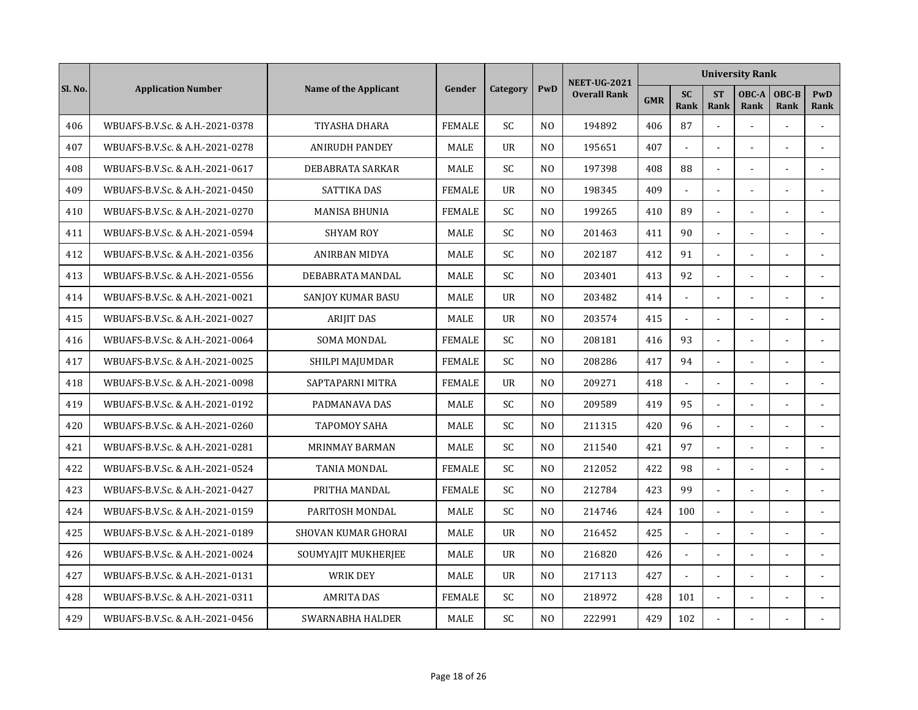|         |                                 |                          |               |                 |                | <b>NEET-UG-2021</b> |            |                          |                          | <b>University Rank</b> |                |                |
|---------|---------------------------------|--------------------------|---------------|-----------------|----------------|---------------------|------------|--------------------------|--------------------------|------------------------|----------------|----------------|
| Sl. No. | <b>Application Number</b>       | Name of the Applicant    | Gender        | <b>Category</b> | PwD            | <b>Overall Rank</b> | <b>GMR</b> | <b>SC</b><br><b>Rank</b> | <b>ST</b><br><b>Rank</b> | OBC-A<br>Rank          | OBC-B<br>Rank  | PwD<br>Rank    |
| 406     | WBUAFS-B.V.Sc. & A.H.-2021-0378 | TIYASHA DHARA            | <b>FEMALE</b> | SC              | N <sub>O</sub> | 194892              | 406        | 87                       | $\overline{a}$           | $\overline{a}$         |                |                |
| 407     | WBUAFS-B.V.Sc. & A.H.-2021-0278 | <b>ANIRUDH PANDEY</b>    | <b>MALE</b>   | <b>UR</b>       | N <sub>O</sub> | 195651              | 407        | $\overline{a}$           | $\overline{a}$           |                        | ÷.             |                |
| 408     | WBUAFS-B.V.Sc. & A.H.-2021-0617 | DEBABRATA SARKAR         | <b>MALE</b>   | <b>SC</b>       | N <sub>O</sub> | 197398              | 408        | 88                       |                          |                        |                | $\sim$         |
| 409     | WBUAFS-B.V.Sc. & A.H.-2021-0450 | SATTIKA DAS              | <b>FEMALE</b> | <b>UR</b>       | N <sub>O</sub> | 198345              | 409        |                          |                          |                        |                |                |
| 410     | WBUAFS-B.V.Sc. & A.H.-2021-0270 | <b>MANISA BHUNIA</b>     | <b>FEMALE</b> | SC              | N <sub>O</sub> | 199265              | 410        | 89                       | $\overline{a}$           | $\sim$                 | ÷.             |                |
| 411     | WBUAFS-B.V.Sc. & A.H.-2021-0594 | <b>SHYAM ROY</b>         | <b>MALE</b>   | <b>SC</b>       | N <sub>O</sub> | 201463              | 411        | 90                       | $\blacksquare$           |                        |                |                |
| 412     | WBUAFS-B.V.Sc. & A.H.-2021-0356 | ANIRBAN MIDYA            | MALE          | SC              | N <sub>O</sub> | 202187              | 412        | 91                       | $\overline{\phantom{a}}$ |                        |                |                |
| 413     | WBUAFS-B.V.Sc. & A.H.-2021-0556 | DEBABRATA MANDAL         | MALE          | SC              | N <sub>O</sub> | 203401              | 413        | 92                       | $\overline{a}$           |                        |                |                |
| 414     | WBUAFS-B.V.Sc. & A.H.-2021-0021 | <b>SANJOY KUMAR BASU</b> | MALE          | UR              | N <sub>0</sub> | 203482              | 414        | $\blacksquare$           | $\blacksquare$           |                        |                |                |
| 415     | WBUAFS-B.V.Sc. & A.H.-2021-0027 | <b>ARIJIT DAS</b>        | MALE          | $_{\text{U}R}$  | N <sub>O</sub> | 203574              | 415        |                          |                          |                        |                |                |
| 416     | WBUAFS-B.V.Sc. & A.H.-2021-0064 | <b>SOMA MONDAL</b>       | <b>FEMALE</b> | SC              | N <sub>O</sub> | 208181              | 416        | 93                       | $\sim$                   |                        |                | $\sim$         |
| 417     | WBUAFS-B.V.Sc. & A.H.-2021-0025 | SHILPI MAJUMDAR          | <b>FEMALE</b> | SC.             | N <sub>0</sub> | 208286              | 417        | 94                       | $\sim$                   |                        |                |                |
| 418     | WBUAFS-B.V.Sc. & A.H.-2021-0098 | SAPTAPARNI MITRA         | <b>FEMALE</b> | $_{\text{U}R}$  | N <sub>0</sub> | 209271              | 418        | $\blacksquare$           | $\overline{a}$           | $\overline{a}$         | L,             | $\overline{a}$ |
| 419     | WBUAFS-B.V.Sc. & A.H.-2021-0192 | PADMANAVA DAS            | MALE          | SC              | N <sub>0</sub> | 209589              | 419        | 95                       | $\overline{a}$           |                        |                |                |
| 420     | WBUAFS-B.V.Sc. & A.H.-2021-0260 | <b>TAPOMOY SAHA</b>      | <b>MALE</b>   | <b>SC</b>       | N <sub>O</sub> | 211315              | 420        | 96                       | $\overline{a}$           |                        |                |                |
| 421     | WBUAFS-B.V.Sc. & A.H.-2021-0281 | <b>MRINMAY BARMAN</b>    | <b>MALE</b>   | <b>SC</b>       | N <sub>O</sub> | 211540              | 421        | 97                       | $\overline{\phantom{a}}$ |                        |                |                |
| 422     | WBUAFS-B.V.Sc. & A.H.-2021-0524 | TANIA MONDAL             | <b>FEMALE</b> | SC              | N <sub>O</sub> | 212052              | 422        | 98                       | $\overline{a}$           |                        |                |                |
| 423     | WBUAFS-B.V.Sc. & A.H.-2021-0427 | PRITHA MANDAL            | <b>FEMALE</b> | <b>SC</b>       | N <sub>O</sub> | 212784              | 423        | 99                       | $\sim$                   |                        | ÷.             |                |
| 424     | WBUAFS-B.V.Sc. & A.H.-2021-0159 | PARITOSH MONDAL          | <b>MALE</b>   | <b>SC</b>       | N <sub>0</sub> | 214746              | 424        | 100                      | $\blacksquare$           |                        | $\overline{a}$ |                |
| 425     | WBUAFS-B.V.Sc. & A.H.-2021-0189 | SHOVAN KUMAR GHORAI      | <b>MALE</b>   | <b>UR</b>       | N <sub>O</sub> | 216452              | 425        | $\mathbf{r}$             | $\overline{a}$           |                        |                | $\sim$         |
| 426     | WBUAFS-B.V.Sc. & A.H.-2021-0024 | SOUMYAJIT MUKHERJEE      | MALE          | <b>UR</b>       | N <sub>O</sub> | 216820              | 426        |                          |                          |                        |                |                |
| 427     | WBUAFS-B.V.Sc. & A.H.-2021-0131 | <b>WRIK DEY</b>          | <b>MALE</b>   | $_{\text{U}R}$  | N <sub>0</sub> | 217113              | 427        |                          | $\overline{a}$           |                        |                |                |
| 428     | WBUAFS-B.V.Sc. & A.H.-2021-0311 | <b>AMRITA DAS</b>        | <b>FEMALE</b> | SC              | N <sub>O</sub> | 218972              | 428        | 101                      | $\sim$                   | $\sim$                 | ä,             |                |
| 429     | WBUAFS-B.V.Sc. & A.H.-2021-0456 | SWARNABHA HALDER         | MALE          | SC              | N <sub>O</sub> | 222991              | 429        | 102                      |                          |                        |                |                |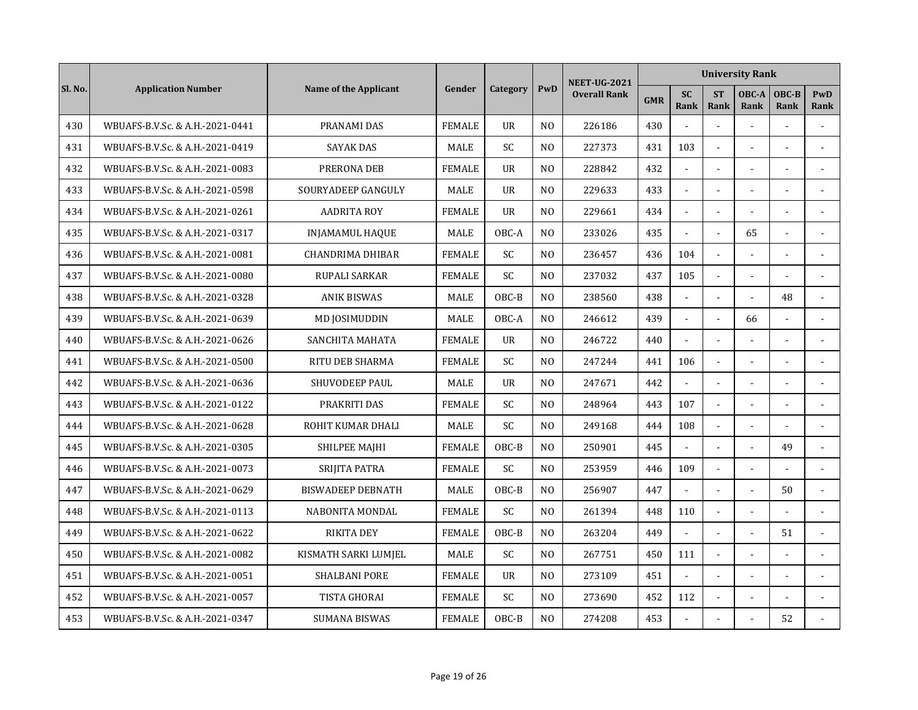|         |                                 |                          |               |                |                | <b>NEET-UG-2021</b> |            |                          |                          | <b>University Rank</b> |                      |                |
|---------|---------------------------------|--------------------------|---------------|----------------|----------------|---------------------|------------|--------------------------|--------------------------|------------------------|----------------------|----------------|
| Sl. No. | <b>Application Number</b>       | Name of the Applicant    | Gender        | Category       | PwD            | <b>Overall Rank</b> | <b>GMR</b> | <b>SC</b><br><b>Rank</b> | <b>ST</b><br><b>Rank</b> | OBC-A<br>Rank          | OBC-B<br><b>Rank</b> | PwD<br>Rank    |
| 430     | WBUAFS-B.V.Sc. & A.H.-2021-0441 | PRANAMI DAS              | <b>FEMALE</b> | <b>UR</b>      | N <sub>O</sub> | 226186              | 430        |                          | $\overline{a}$           |                        |                      |                |
| 431     | WBUAFS-B.V.Sc. & A.H.-2021-0419 | <b>SAYAK DAS</b>         | <b>MALE</b>   | <b>SC</b>      | N <sub>O</sub> | 227373              | 431        | 103                      | $\overline{a}$           |                        |                      |                |
| 432     | WBUAFS-B.V.Sc. & A.H.-2021-0083 | PRERONA DEB              | <b>FEMALE</b> | $_{\text{U}R}$ | N <sub>0</sub> | 228842              | 432        |                          |                          |                        |                      |                |
| 433     | WBUAFS-B.V.Sc. & A.H.-2021-0598 | SOURYADEEP GANGULY       | MALE          | UR             | N <sub>O</sub> | 229633              | 433        |                          |                          |                        |                      |                |
| 434     | WBUAFS-B.V.Sc. & A.H.-2021-0261 | <b>AADRITA ROY</b>       | <b>FEMALE</b> | <b>UR</b>      | N <sub>O</sub> | 229661              | 434        | $\blacksquare$           | $\sim$                   |                        |                      |                |
| 435     | WBUAFS-B.V.Sc. & A.H.-2021-0317 | <b>INJAMAMUL HAQUE</b>   | <b>MALE</b>   | OBC-A          | N <sub>O</sub> | 233026              | 435        | $\blacksquare$           | $\sim$                   | 65                     | ä,                   |                |
| 436     | WBUAFS-B.V.Sc. & A.H.-2021-0081 | <b>CHANDRIMA DHIBAR</b>  | <b>FEMALE</b> | SC             | N <sub>0</sub> | 236457              | 436        | 104                      | $\overline{\phantom{a}}$ |                        |                      |                |
| 437     | WBUAFS-B.V.Sc. & A.H.-2021-0080 | <b>RUPALI SARKAR</b>     | <b>FEMALE</b> | SC             | N <sub>0</sub> | 237032              | 437        | 105                      | $\overline{a}$           |                        |                      | $\overline{a}$ |
| 438     | WBUAFS-B.V.Sc. & A.H.-2021-0328 | <b>ANIK BISWAS</b>       | <b>MALE</b>   | $OBC-B$        | N <sub>0</sub> | 238560              | 438        |                          |                          |                        | 48                   |                |
| 439     | WBUAFS-B.V.Sc. & A.H.-2021-0639 | MD JOSIMUDDIN            | <b>MALE</b>   | OBC-A          | N <sub>O</sub> | 246612              | 439        |                          |                          | 66                     |                      |                |
| 440     | WBUAFS-B.V.Sc. & A.H.-2021-0626 | SANCHITA MAHATA          | <b>FEMALE</b> | <b>UR</b>      | N <sub>O</sub> | 246722              | 440        | $\mathbf{r}$             | $\overline{a}$           |                        |                      |                |
| 441     | WBUAFS-B.V.Sc. & A.H.-2021-0500 | <b>RITU DEB SHARMA</b>   | <b>FEMALE</b> | <b>SC</b>      | N <sub>O</sub> | 247244              | 441        | 106                      | $\overline{a}$           |                        | L.                   |                |
| 442     | WBUAFS-B.V.Sc. & A.H.-2021-0636 | <b>SHUVODEEP PAUL</b>    | <b>MALE</b>   | $_{\text{U}R}$ | N <sub>O</sub> | 247671              | 442        | $\blacksquare$           | $\blacksquare$           |                        |                      |                |
| 443     | WBUAFS-B.V.Sc. & A.H.-2021-0122 | PRAKRITI DAS             | <b>FEMALE</b> | SC             | N <sub>O</sub> | 248964              | 443        | 107                      |                          |                        |                      |                |
| 444     | WBUAFS-B.V.Sc. & A.H.-2021-0628 | ROHIT KUMAR DHALI        | MALE          | SC             | N <sub>O</sub> | 249168              | 444        | 108                      |                          |                        |                      |                |
| 445     | WBUAFS-B.V.Sc. & A.H.-2021-0305 | SHILPEE MAIHI            | <b>FEMALE</b> | OBC-B          | N <sub>0</sub> | 250901              | 445        |                          | $\blacksquare$           |                        | 49                   |                |
| 446     | WBUAFS-B.V.Sc. & A.H.-2021-0073 | SRIJITA PATRA            | <b>FEMALE</b> | SC             | N <sub>O</sub> | 253959              | 446        | 109                      | $\overline{\phantom{a}}$ |                        |                      |                |
| 447     | WBUAFS-B.V.Sc. & A.H.-2021-0629 | <b>BISWADEEP DEBNATH</b> | MALE          | OBC-B          | N <sub>O</sub> | 256907              | 447        |                          | $\overline{a}$           |                        | 50                   |                |
| 448     | WBUAFS-B.V.Sc. & A.H.-2021-0113 | NABONITA MONDAL          | <b>FEMALE</b> | <b>SC</b>      | N <sub>O</sub> | 261394              | 448        | 110                      | $\overline{a}$           |                        |                      |                |
| 449     | WBUAFS-B.V.Sc. & A.H.-2021-0622 | <b>RIKITA DEY</b>        | <b>FEMALE</b> | OBC-B          | N <sub>O</sub> | 263204              | 449        |                          |                          |                        | 51                   |                |
| 450     | WBUAFS-B.V.Sc. & A.H.-2021-0082 | KISMATH SARKI LUMJEL     | <b>MALE</b>   | <b>SC</b>      | N <sub>O</sub> | 267751              | 450        | 111                      | $\overline{a}$           |                        |                      |                |
| 451     | WBUAFS-B.V.Sc. & A.H.-2021-0051 | <b>SHALBANI PORE</b>     | <b>FEMALE</b> | <b>UR</b>      | N <sub>O</sub> | 273109              | 451        |                          | $\blacksquare$           |                        |                      |                |
| 452     | WBUAFS-B.V.Sc. & A.H.-2021-0057 | <b>TISTA GHORAI</b>      | <b>FEMALE</b> | <b>SC</b>      | N <sub>O</sub> | 273690              | 452        | 112                      | $\blacksquare$           |                        |                      |                |
| 453     | WBUAFS-B.V.Sc. & A.H.-2021-0347 | <b>SUMANA BISWAS</b>     | <b>FEMALE</b> | OBC-B          | N <sub>O</sub> | 274208              | 453        |                          |                          |                        | 52                   |                |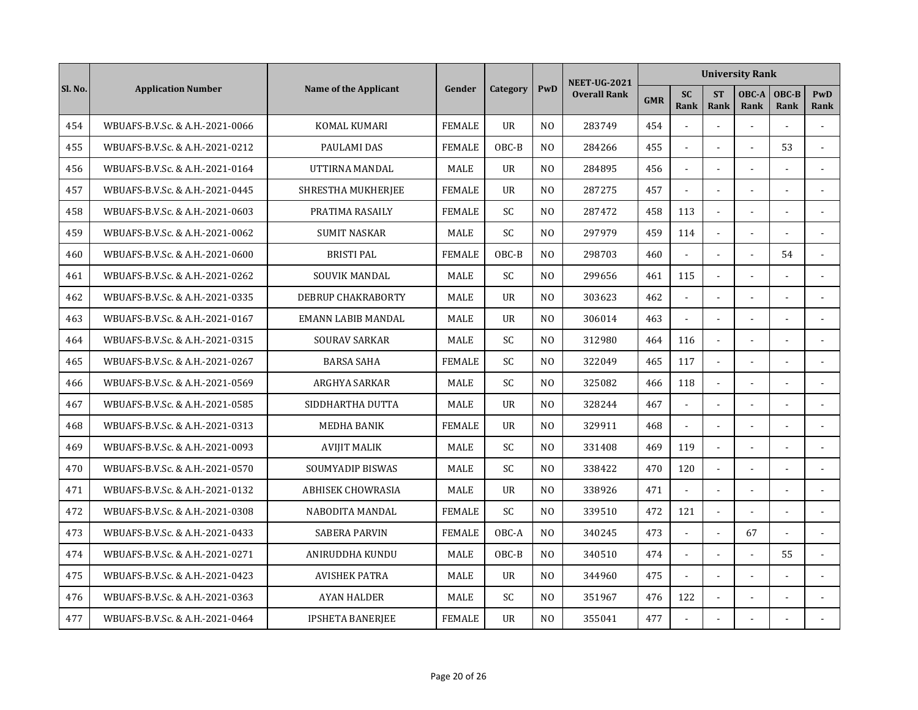|         |                                 |                         |               |                |                | <b>NEET-UG-2021</b> |            |                          |                          | <b>University Rank</b> |                      |                |
|---------|---------------------------------|-------------------------|---------------|----------------|----------------|---------------------|------------|--------------------------|--------------------------|------------------------|----------------------|----------------|
| Sl. No. | <b>Application Number</b>       | Name of the Applicant   | Gender        | Category       | PwD            | <b>Overall Rank</b> | <b>GMR</b> | <b>SC</b><br><b>Rank</b> | <b>ST</b><br><b>Rank</b> | OBC-A<br>Rank          | OBC-B<br><b>Rank</b> | PwD<br>Rank    |
| 454     | WBUAFS-B.V.Sc. & A.H.-2021-0066 | <b>KOMAL KUMARI</b>     | <b>FEMALE</b> | <b>UR</b>      | N <sub>O</sub> | 283749              | 454        |                          | $\overline{a}$           | $\overline{a}$         | L.                   |                |
| 455     | WBUAFS-B.V.Sc. & A.H.-2021-0212 | <b>PAULAMI DAS</b>      | <b>FEMALE</b> | OBC-B          | N <sub>O</sub> | 284266              | 455        | $\overline{a}$           | $\overline{a}$           |                        | 53                   | $\overline{a}$ |
| 456     | WBUAFS-B.V.Sc. & A.H.-2021-0164 | UTTIRNA MANDAL          | <b>MALE</b>   | $_{\text{U}R}$ | N <sub>0</sub> | 284895              | 456        |                          |                          |                        |                      |                |
| 457     | WBUAFS-B.V.Sc. & A.H.-2021-0445 | SHRESTHA MUKHERJEE      | <b>FEMALE</b> | <b>UR</b>      | N <sub>O</sub> | 287275              | 457        |                          |                          |                        |                      |                |
| 458     | WBUAFS-B.V.Sc. & A.H.-2021-0603 | PRATIMA RASAILY         | <b>FEMALE</b> | SC             | N <sub>O</sub> | 287472              | 458        | 113                      | $\blacksquare$           |                        | ä,                   |                |
| 459     | WBUAFS-B.V.Sc. & A.H.-2021-0062 | <b>SUMIT NASKAR</b>     | <b>MALE</b>   | <b>SC</b>      | N <sub>O</sub> | 297979              | 459        | 114                      | $\blacksquare$           |                        |                      |                |
| 460     | WBUAFS-B.V.Sc. & A.H.-2021-0600 | <b>BRISTI PAL</b>       | <b>FEMALE</b> | OBC-B          | N <sub>O</sub> | 298703              | 460        |                          | $\overline{\phantom{a}}$ |                        | 54                   |                |
| 461     | WBUAFS-B.V.Sc. & A.H.-2021-0262 | <b>SOUVIK MANDAL</b>    | <b>MALE</b>   | SC             | N <sub>0</sub> | 299656              | 461        | 115                      | $\overline{a}$           |                        |                      | $\overline{a}$ |
| 462     | WBUAFS-B.V.Sc. & A.H.-2021-0335 | DEBRUP CHAKRABORTY      | <b>MALE</b>   | <b>UR</b>      | N <sub>0</sub> | 303623              | 462        |                          |                          |                        |                      |                |
| 463     | WBUAFS-B.V.Sc. & A.H.-2021-0167 | EMANN LABIB MANDAL      | <b>MALE</b>   | $_{\text{U}R}$ | N <sub>O</sub> | 306014              | 463        |                          | $\overline{a}$           |                        |                      |                |
| 464     | WBUAFS-B.V.Sc. & A.H.-2021-0315 | <b>SOURAV SARKAR</b>    | MALE          | <b>SC</b>      | N <sub>O</sub> | 312980              | 464        | 116                      | $\overline{a}$           |                        |                      |                |
| 465     | WBUAFS-B.V.Sc. & A.H.-2021-0267 | <b>BARSA SAHA</b>       | <b>FEMALE</b> | <b>SC</b>      | N <sub>O</sub> | 322049              | 465        | 117                      | $\Box$                   |                        | ÷.                   |                |
| 466     | WBUAFS-B.V.Sc. & A.H.-2021-0569 | ARGHYA SARKAR           | <b>MALE</b>   | <b>SC</b>      | N <sub>O</sub> | 325082              | 466        | 118                      | $\blacksquare$           |                        | $\overline{a}$       |                |
| 467     | WBUAFS-B.V.Sc. & A.H.-2021-0585 | SIDDHARTHA DUTTA        | MALE          | <b>UR</b>      | N <sub>O</sub> | 328244              | 467        | $\mathbf{r}$             |                          |                        |                      |                |
| 468     | WBUAFS-B.V.Sc. & A.H.-2021-0313 | <b>MEDHA BANIK</b>      | <b>FEMALE</b> | <b>UR</b>      | N <sub>O</sub> | 329911              | 468        |                          |                          |                        |                      |                |
| 469     | WBUAFS-B.V.Sc. & A.H.-2021-0093 | <b>AVIJIT MALIK</b>     | <b>MALE</b>   | SC.            | N <sub>O</sub> | 331408              | 469        | 119                      | $\sim$                   |                        |                      |                |
| 470     | WBUAFS-B.V.Sc. & A.H.-2021-0570 | SOUMYADIP BISWAS        | <b>MALE</b>   | SC             | N <sub>O</sub> | 338422              | 470        | 120                      | $\overline{\phantom{a}}$ |                        |                      |                |
| 471     | WBUAFS-B.V.Sc. & A.H.-2021-0132 | ABHISEK CHOWRASIA       | MALE          | <b>UR</b>      | N <sub>0</sub> | 338926              | 471        | $\sim$                   | $\overline{a}$           |                        |                      |                |
| 472     | WBUAFS-B.V.Sc. & A.H.-2021-0308 | NABODITA MANDAL         | <b>FEMALE</b> | <b>SC</b>      | N <sub>O</sub> | 339510              | 472        | 121                      | $\overline{a}$           |                        | $\overline{a}$       |                |
| 473     | WBUAFS-B.V.Sc. & A.H.-2021-0433 | <b>SABERA PARVIN</b>    | <b>FEMALE</b> | OBC-A          | N <sub>O</sub> | 340245              | 473        |                          |                          | 67                     |                      |                |
| 474     | WBUAFS-B.V.Sc. & A.H.-2021-0271 | ANIRUDDHA KUNDU         | MALE          | OBC-B          | N <sub>O</sub> | 340510              | 474        |                          |                          |                        | 55                   |                |
| 475     | WBUAFS-B.V.Sc. & A.H.-2021-0423 | <b>AVISHEK PATRA</b>    | <b>MALE</b>   | <b>UR</b>      | N <sub>O</sub> | 344960              | 475        |                          | $\mathbf{r}$             |                        |                      |                |
| 476     | WBUAFS-B.V.Sc. & A.H.-2021-0363 | <b>AYAN HALDER</b>      | MALE          | <b>SC</b>      | N <sub>O</sub> | 351967              | 476        | 122                      | $\blacksquare$           |                        |                      |                |
| 477     | WBUAFS-B.V.Sc. & A.H.-2021-0464 | <b>IPSHETA BANERJEE</b> | <b>FEMALE</b> | <b>UR</b>      | N <sub>O</sub> | 355041              | 477        |                          |                          |                        |                      |                |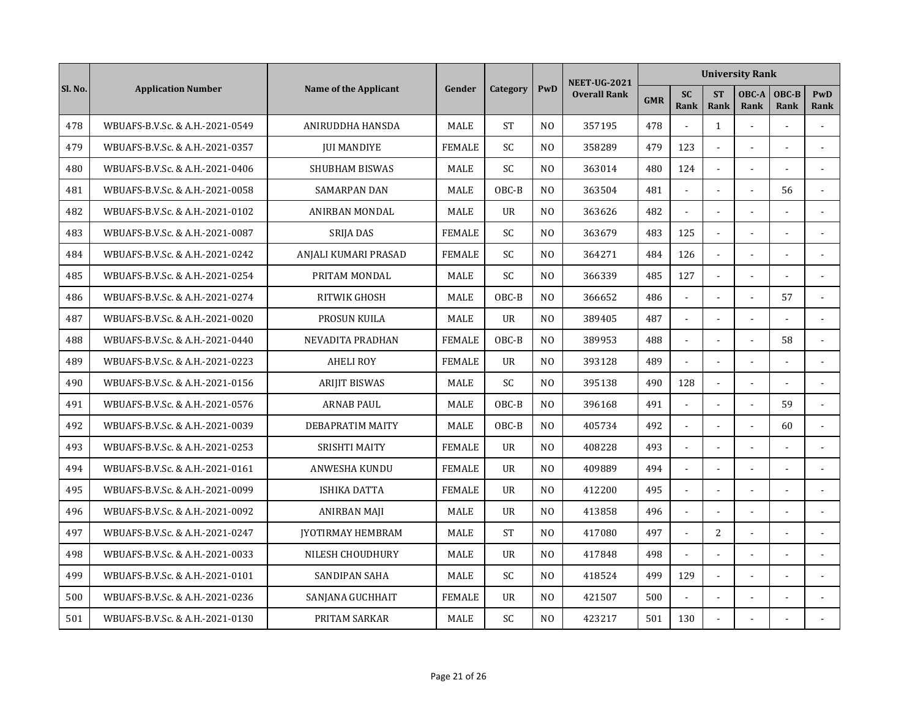|         |                                 |                          |               |                |                | <b>NEET-UG-2021</b> |            |                          |                          | <b>University Rank</b> |                          |                |
|---------|---------------------------------|--------------------------|---------------|----------------|----------------|---------------------|------------|--------------------------|--------------------------|------------------------|--------------------------|----------------|
| Sl. No. | <b>Application Number</b>       | Name of the Applicant    | Gender        | Category       | PwD            | <b>Overall Rank</b> | <b>GMR</b> | <b>SC</b><br><b>Rank</b> | <b>ST</b><br><b>Rank</b> | OBC-A<br>Rank          | OBC-B<br><b>Rank</b>     | PwD<br>Rank    |
| 478     | WBUAFS-B.V.Sc. & A.H.-2021-0549 | ANIRUDDHA HANSDA         | MALE          | <b>ST</b>      | N <sub>O</sub> | 357195              | 478        |                          | $\mathbf{1}$             | $\overline{a}$         |                          |                |
| 479     | WBUAFS-B.V.Sc. & A.H.-2021-0357 | <b>JUI MANDIYE</b>       | <b>FEMALE</b> | <b>SC</b>      | N <sub>O</sub> | 358289              | 479        | 123                      | $\overline{a}$           |                        |                          |                |
| 480     | WBUAFS-B.V.Sc. & A.H.-2021-0406 | <b>SHUBHAM BISWAS</b>    | <b>MALE</b>   | SC             | N <sub>O</sub> | 363014              | 480        | 124                      |                          |                        |                          |                |
| 481     | WBUAFS-B.V.Sc. & A.H.-2021-0058 | <b>SAMARPAN DAN</b>      | <b>MALE</b>   | OBC-B          | N <sub>O</sub> | 363504              | 481        |                          |                          |                        | 56                       |                |
| 482     | WBUAFS-B.V.Sc. & A.H.-2021-0102 | ANIRBAN MONDAL           | <b>MALE</b>   | <b>UR</b>      | N <sub>O</sub> | 363626              | 482        | $\mathbf{r}$             | $\blacksquare$           |                        |                          |                |
| 483     | WBUAFS-B.V.Sc. & A.H.-2021-0087 | <b>SRIJA DAS</b>         | <b>FEMALE</b> | <b>SC</b>      | N <sub>O</sub> | 363679              | 483        | 125                      | $\sim$                   |                        |                          |                |
| 484     | WBUAFS-B.V.Sc. & A.H.-2021-0242 | ANJALI KUMARI PRASAD     | <b>FEMALE</b> | SC             | N <sub>0</sub> | 364271              | 484        | 126                      | $\overline{\phantom{a}}$ |                        |                          |                |
| 485     | WBUAFS-B.V.Sc. & A.H.-2021-0254 | PRITAM MONDAL            | MALE          | SC             | N <sub>0</sub> | 366339              | 485        | 127                      | $\overline{a}$           |                        |                          | $\overline{a}$ |
| 486     | WBUAFS-B.V.Sc. & A.H.-2021-0274 | RITWIK GHOSH             | <b>MALE</b>   | $OBC-B$        | N <sub>0</sub> | 366652              | 486        | $\mathbf{r}$             |                          |                        | 57                       |                |
| 487     | WBUAFS-B.V.Sc. & A.H.-2021-0020 | PROSUN KUILA             | MALE          | <b>UR</b>      | N <sub>O</sub> | 389405              | 487        |                          |                          |                        |                          |                |
| 488     | WBUAFS-B.V.Sc. & A.H.-2021-0440 | NEVADITA PRADHAN         | <b>FEMALE</b> | OBC-B          | N <sub>O</sub> | 389953              | 488        | $\sim$                   | $\overline{a}$           |                        | 58                       |                |
| 489     | WBUAFS-B.V.Sc. & A.H.-2021-0223 | <b>AHELI ROY</b>         | <b>FEMALE</b> | <b>UR</b>      | N <sub>O</sub> | 393128              | 489        | $\mathbf{r}$             | $\overline{a}$           |                        |                          |                |
| 490     | WBUAFS-B.V.Sc. & A.H.-2021-0156 | <b>ARIJIT BISWAS</b>     | <b>MALE</b>   | <b>SC</b>      | N <sub>O</sub> | 395138              | 490        | 128                      | $\blacksquare$           |                        | $\overline{\phantom{a}}$ |                |
| 491     | WBUAFS-B.V.Sc. & A.H.-2021-0576 | <b>ARNAB PAUL</b>        | MALE          | OBC-B          | N <sub>O</sub> | 396168              | 491        | $\mathbf{r}$             |                          |                        | 59                       |                |
| 492     | WBUAFS-B.V.Sc. & A.H.-2021-0039 | DEBAPRATIM MAITY         | MALE          | OBC-B          | N <sub>O</sub> | 405734              | 492        |                          |                          |                        | 60                       |                |
| 493     | WBUAFS-B.V.Sc. & A.H.-2021-0253 | <b>SRISHTI MAITY</b>     | <b>FEMALE</b> | <b>UR</b>      | N <sub>O</sub> | 408228              | 493        | $\sim$                   | $\blacksquare$           |                        |                          |                |
| 494     | WBUAFS-B.V.Sc. & A.H.-2021-0161 | <b>ANWESHA KUNDU</b>     | <b>FEMALE</b> | $_{\text{U}R}$ | N <sub>O</sub> | 409889              | 494        | $\sim$                   | $\overline{\phantom{a}}$ |                        |                          |                |
| 495     | WBUAFS-B.V.Sc. & A.H.-2021-0099 | ISHIKA DATTA             | <b>FEMALE</b> | UR             | N <sub>O</sub> | 412200              | 495        | $\sim$                   | $\overline{a}$           |                        |                          |                |
| 496     | WBUAFS-B.V.Sc. & A.H.-2021-0092 | ANIRBAN MAJI             | MALE          | <b>UR</b>      | N <sub>O</sub> | 413858              | 496        | $\sim$                   | $\overline{a}$           |                        | $\overline{a}$           |                |
| 497     | WBUAFS-B.V.Sc. & A.H.-2021-0247 | <b>JYOTIRMAY HEMBRAM</b> | <b>MALE</b>   | <b>ST</b>      | N <sub>O</sub> | 417080              | 497        |                          | $\overline{2}$           |                        |                          |                |
| 498     | WBUAFS-B.V.Sc. & A.H.-2021-0033 | NILESH CHOUDHURY         | MALE          | <b>UR</b>      | N <sub>O</sub> | 417848              | 498        |                          |                          |                        |                          |                |
| 499     | WBUAFS-B.V.Sc. & A.H.-2021-0101 | <b>SANDIPAN SAHA</b>     | <b>MALE</b>   | SC             | N <sub>O</sub> | 418524              | 499        | 129                      | $\blacksquare$           |                        |                          |                |
| 500     | WBUAFS-B.V.Sc. & A.H.-2021-0236 | SANJANA GUCHHAIT         | <b>FEMALE</b> | <b>UR</b>      | N <sub>O</sub> | 421507              | 500        | $\blacksquare$           | $\blacksquare$           |                        |                          |                |
| 501     | WBUAFS-B.V.Sc. & A.H.-2021-0130 | PRITAM SARKAR            | MALE          | SC             | N <sub>O</sub> | 423217              | 501        | 130                      |                          |                        |                          |                |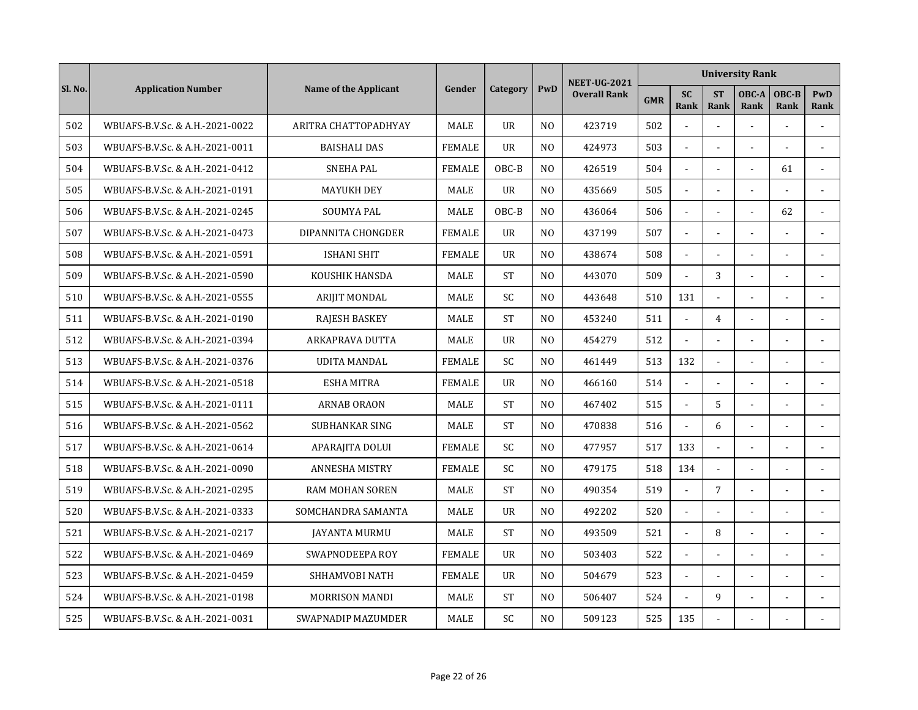|         |                                 |                              |               |                |                | <b>NEET-UG-2021</b> |            |                   |                          | <b>University Rank</b> |                      |                |
|---------|---------------------------------|------------------------------|---------------|----------------|----------------|---------------------|------------|-------------------|--------------------------|------------------------|----------------------|----------------|
| Sl. No. | <b>Application Number</b>       | <b>Name of the Applicant</b> | Gender        | Category       | PwD            | <b>Overall Rank</b> | <b>GMR</b> | <b>SC</b><br>Rank | <b>ST</b><br><b>Rank</b> | OBC-A<br>Rank          | OBC-B<br><b>Rank</b> | PwD<br>Rank    |
| 502     | WBUAFS-B.V.Sc. & A.H.-2021-0022 | ARITRA CHATTOPADHYAY         | <b>MALE</b>   | <b>UR</b>      | N <sub>O</sub> | 423719              | 502        |                   | $\sim$                   |                        |                      |                |
| 503     | WBUAFS-B.V.Sc. & A.H.-2021-0011 | <b>BAISHALI DAS</b>          | <b>FEMALE</b> | <b>UR</b>      | N <sub>0</sub> | 424973              | 503        | $\mathbf{r}$      | $\blacksquare$           | $\sim$                 | $\overline{a}$       |                |
| 504     | WBUAFS-B.V.Sc. & A.H.-2021-0412 | <b>SNEHA PAL</b>             | <b>FEMALE</b> | OBC-B          | N <sub>O</sub> | 426519              | 504        | $\mathbf{r}$      |                          |                        | 61                   |                |
| 505     | WBUAFS-B.V.Sc. & A.H.-2021-0191 | <b>MAYUKH DEY</b>            | MALE          | <b>UR</b>      | N <sub>O</sub> | 435669              | 505        |                   |                          |                        |                      |                |
| 506     | WBUAFS-B.V.Sc. & A.H.-2021-0245 | <b>SOUMYA PAL</b>            | <b>MALE</b>   | $OBC-B$        | N <sub>0</sub> | 436064              | 506        |                   | $\blacksquare$           |                        | 62                   |                |
| 507     | WBUAFS-B.V.Sc. & A.H.-2021-0473 | DIPANNITA CHONGDER           | <b>FEMALE</b> | $_{\text{U}R}$ | N <sub>O</sub> | 437199              | 507        | $\blacksquare$    | $\sim$                   |                        |                      |                |
| 508     | WBUAFS-B.V.Sc. & A.H.-2021-0591 | ISHANI SHIT                  | <b>FEMALE</b> | <b>UR</b>      | N <sub>0</sub> | 438674              | 508        | $\sim$            | $\overline{a}$           |                        |                      |                |
| 509     | WBUAFS-B.V.Sc. & A.H.-2021-0590 | KOUSHIK HANSDA               | <b>MALE</b>   | <b>ST</b>      | N <sub>O</sub> | 443070              | 509        | $\sim$            | 3                        |                        | L,                   | $\overline{a}$ |
| 510     | WBUAFS-B.V.Sc. & A.H.-2021-0555 | ARIJIT MONDAL                | MALE          | SC             | N <sub>O</sub> | 443648              | 510        | 131               | $\blacksquare$           |                        |                      |                |
| 511     | WBUAFS-B.V.Sc. & A.H.-2021-0190 | <b>RAJESH BASKEY</b>         | MALE          | <b>ST</b>      | N <sub>O</sub> | 453240              | 511        |                   | $\overline{4}$           |                        |                      |                |
| 512     | WBUAFS-B.V.Sc. & A.H.-2021-0394 | <b>ARKAPRAVA DUTTA</b>       | <b>MALE</b>   | <b>UR</b>      | N <sub>O</sub> | 454279              | 512        | $\overline{a}$    | $\overline{a}$           |                        | L.                   |                |
| 513     | WBUAFS-B.V.Sc. & A.H.-2021-0376 | <b>UDITA MANDAL</b>          | <b>FEMALE</b> | <b>SC</b>      | N <sub>O</sub> | 461449              | 513        | 132               | $\blacksquare$           |                        |                      |                |
| 514     | WBUAFS-B.V.Sc. & A.H.-2021-0518 | <b>ESHA MITRA</b>            | <b>FEMALE</b> | $_{\text{U}R}$ | N <sub>O</sub> | 466160              | 514        | $\blacksquare$    | $\sim$                   |                        |                      |                |
| 515     | WBUAFS-B.V.Sc. & A.H.-2021-0111 | <b>ARNAB ORAON</b>           | MALE          | <b>ST</b>      | N <sub>O</sub> | 467402              | 515        | $\mathbf{r}$      | 5                        |                        |                      |                |
| 516     | WBUAFS-B.V.Sc. & A.H.-2021-0562 | SUBHANKAR SING               | <b>MALE</b>   | <b>ST</b>      | N <sub>0</sub> | 470838              | 516        | $\mathbf{r}$      | 6                        |                        |                      |                |
| 517     | WBUAFS-B.V.Sc. & A.H.-2021-0614 | APARAJITA DOLUI              | <b>FEMALE</b> | SC.            | N <sub>0</sub> | 477957              | 517        | 133               | $\sim$                   |                        |                      |                |
| 518     | WBUAFS-B.V.Sc. & A.H.-2021-0090 | <b>ANNESHA MISTRY</b>        | <b>FEMALE</b> | SC.            | N <sub>0</sub> | 479175              | 518        | 134               | $\overline{a}$           | $\sim$                 |                      |                |
| 519     | WBUAFS-B.V.Sc. & A.H.-2021-0295 | <b>RAM MOHAN SOREN</b>       | <b>MALE</b>   | <b>ST</b>      | N <sub>O</sub> | 490354              | 519        | $\mathbf{L}$      | 7                        |                        | $\overline{a}$       |                |
| 520     | WBUAFS-B.V.Sc. & A.H.-2021-0333 | SOMCHANDRA SAMANTA           | <b>MALE</b>   | <b>UR</b>      | N <sub>O</sub> | 492202              | 520        | $\blacksquare$    | $\sim$                   | $\overline{a}$         | ä,                   |                |
| 521     | WBUAFS-B.V.Sc. & A.H.-2021-0217 | JAYANTA MURMU                | MALE          | <b>ST</b>      | N <sub>O</sub> | 493509              | 521        | $\mathbf{r}$      | 8                        |                        |                      | ÷.             |
| 522     | WBUAFS-B.V.Sc. & A.H.-2021-0469 | SWAPNODEEPA ROY              | <b>FEMALE</b> | <b>UR</b>      | N <sub>O</sub> | 503403              | 522        |                   |                          |                        |                      |                |
| 523     | WBUAFS-B.V.Sc. & A.H.-2021-0459 | SHHAMVOBI NATH               | <b>FEMALE</b> | $_{\text{U}R}$ | N <sub>0</sub> | 504679              | 523        |                   | $\blacksquare$           |                        |                      |                |
| 524     | WBUAFS-B.V.Sc. & A.H.-2021-0198 | <b>MORRISON MANDI</b>        | <b>MALE</b>   | <b>ST</b>      | N <sub>O</sub> | 506407              | 524        | $\blacksquare$    | 9                        | $\sim$                 |                      |                |
| 525     | WBUAFS-B.V.Sc. & A.H.-2021-0031 | SWAPNADIP MAZUMDER           | <b>MALE</b>   | SC             | N <sub>O</sub> | 509123              | 525        | 135               |                          |                        |                      |                |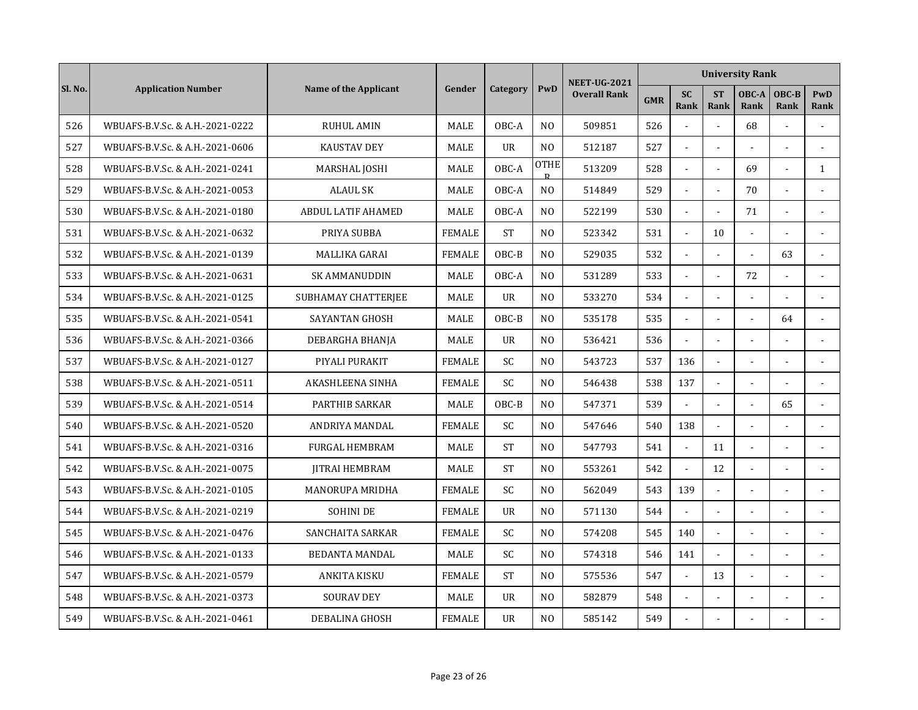|         |                                 |                           |               |                |                             | <b>NEET-UG-2021</b> |            |                   |                          | <b>University Rank</b> |                |                    |
|---------|---------------------------------|---------------------------|---------------|----------------|-----------------------------|---------------------|------------|-------------------|--------------------------|------------------------|----------------|--------------------|
| Sl. No. | <b>Application Number</b>       | Name of the Applicant     | Gender        | Category       | PwD                         | <b>Overall Rank</b> | <b>GMR</b> | <b>SC</b><br>Rank | <b>ST</b><br><b>Rank</b> | OBC-A<br>Rank          | OBC-B<br>Rank  | <b>PwD</b><br>Rank |
| 526     | WBUAFS-B.V.Sc. & A.H.-2021-0222 | <b>RUHUL AMIN</b>         | <b>MALE</b>   | OBC-A          | N <sub>O</sub>              | 509851              | 526        |                   | $\sim$                   | 68                     |                |                    |
| 527     | WBUAFS-B.V.Sc. & A.H.-2021-0606 | <b>KAUSTAV DEY</b>        | MALE          | $_{\text{U}R}$ | N <sub>O</sub>              | 512187              | 527        | $\blacksquare$    | $\blacksquare$           | $\sim$                 | $\overline{a}$ | $\sim$             |
| 528     | WBUAFS-B.V.Sc. & A.H.-2021-0241 | MARSHAL JOSHI             | MALE          | OBC-A          | <b>OTHE</b><br>$\mathbf{p}$ | 513209              | 528        | $\mathbf{r}$      | $\overline{a}$           | 69                     |                | $\mathbf{1}$       |
| 529     | WBUAFS-B.V.Sc. & A.H.-2021-0053 | <b>ALAUL SK</b>           | MALE          | OBC-A          | N <sub>O</sub>              | 514849              | 529        |                   |                          | 70                     |                |                    |
| 530     | WBUAFS-B.V.Sc. & A.H.-2021-0180 | <b>ABDUL LATIF AHAMED</b> | <b>MALE</b>   | OBC-A          | N <sub>0</sub>              | 522199              | 530        | $\sim$            | $\overline{a}$           | 71                     | $\overline{a}$ |                    |
| 531     | WBUAFS-B.V.Sc. & A.H.-2021-0632 | PRIYA SUBBA               | <b>FEMALE</b> | <b>ST</b>      | N <sub>O</sub>              | 523342              | 531        | $\omega$          | 10                       | $\sim$                 | ÷,             |                    |
| 532     | WBUAFS-B.V.Sc. & A.H.-2021-0139 | MALLIKA GARAI             | <b>FEMALE</b> | OBC-B          | N <sub>O</sub>              | 529035              | 532        | $\mathbf{r}$      | $\overline{a}$           | $\overline{a}$         | 63             |                    |
| 533     | WBUAFS-B.V.Sc. & A.H.-2021-0631 | <b>SK AMMANUDDIN</b>      | <b>MALE</b>   | OBC-A          | N <sub>O</sub>              | 531289              | 533        | $\mathbf{r}$      | $\overline{a}$           | 72                     |                | $\overline{a}$     |
| 534     | WBUAFS-B.V.Sc. & A.H.-2021-0125 | SUBHAMAY CHATTERJEE       | MALE          | <b>UR</b>      | N <sub>O</sub>              | 533270              | 534        |                   |                          |                        |                |                    |
| 535     | WBUAFS-B.V.Sc. & A.H.-2021-0541 | SAYANTAN GHOSH            | MALE          | OBC-B          | N <sub>O</sub>              | 535178              | 535        |                   |                          |                        | 64             |                    |
| 536     | WBUAFS-B.V.Sc. & A.H.-2021-0366 | DEBARGHA BHANJA           | MALE          | <b>UR</b>      | N <sub>O</sub>              | 536421              | 536        | $\sim$            | $\overline{a}$           |                        |                |                    |
| 537     | WBUAFS-B.V.Sc. & A.H.-2021-0127 | PIYALI PURAKIT            | <b>FEMALE</b> | SC.            | N <sub>0</sub>              | 543723              | 537        | 136               | $\overline{\phantom{a}}$ | $\sim$                 | L,             |                    |
| 538     | WBUAFS-B.V.Sc. & A.H.-2021-0511 | AKASHLEENA SINHA          | <b>FEMALE</b> | SC             | N <sub>0</sub>              | 546438              | 538        | 137               | $\sim$                   |                        |                |                    |
| 539     | WBUAFS-B.V.Sc. & A.H.-2021-0514 | PARTHIB SARKAR            | MALE          | OBC-B          | N <sub>O</sub>              | 547371              | 539        |                   | $\overline{a}$           |                        | 65             |                    |
| 540     | WBUAFS-B.V.Sc. & A.H.-2021-0520 | ANDRIYA MANDAL            | <b>FEMALE</b> | <b>SC</b>      | N <sub>O</sub>              | 547646              | 540        | 138               |                          |                        |                |                    |
| 541     | WBUAFS-B.V.Sc. & A.H.-2021-0316 | <b>FURGAL HEMBRAM</b>     | <b>MALE</b>   | <b>ST</b>      | N <sub>0</sub>              | 547793              | 541        | $\omega$          | 11                       | $\sim$                 |                |                    |
| 542     | WBUAFS-B.V.Sc. & A.H.-2021-0075 | <b>JITRAI HEMBRAM</b>     | <b>MALE</b>   | <b>ST</b>      | N <sub>O</sub>              | 553261              | 542        | $\overline{a}$    | 12                       | $\sim$                 |                |                    |
| 543     | WBUAFS-B.V.Sc. & A.H.-2021-0105 | <b>MANORUPA MRIDHA</b>    | <b>FEMALE</b> | SC             | N <sub>O</sub>              | 562049              | 543        | 139               | $\overline{\phantom{a}}$ |                        |                |                    |
| 544     | WBUAFS-B.V.Sc. & A.H.-2021-0219 | <b>SOHINI DE</b>          | <b>FEMALE</b> | <b>UR</b>      | N <sub>O</sub>              | 571130              | 544        | $\overline{a}$    | $\overline{a}$           |                        | ÷.             |                    |
| 545     | WBUAFS-B.V.Sc. & A.H.-2021-0476 | SANCHAITA SARKAR          | <b>FEMALE</b> | SC             | N <sub>O</sub>              | 574208              | 545        | 140               |                          |                        |                |                    |
| 546     | WBUAFS-B.V.Sc. & A.H.-2021-0133 | <b>BEDANTA MANDAL</b>     | MALE          | <b>SC</b>      | N <sub>O</sub>              | 574318              | 546        | 141               |                          |                        |                |                    |
| 547     | WBUAFS-B.V.Sc. & A.H.-2021-0579 | <b>ANKITA KISKU</b>       | <b>FEMALE</b> | <b>ST</b>      | N <sub>O</sub>              | 575536              | 547        | $\mathbf{r}$      | 13                       |                        |                |                    |
| 548     | WBUAFS-B.V.Sc. & A.H.-2021-0373 | <b>SOURAV DEY</b>         | <b>MALE</b>   | <b>UR</b>      | N <sub>O</sub>              | 582879              | 548        | $\blacksquare$    | $\blacksquare$           |                        |                |                    |
| 549     | WBUAFS-B.V.Sc. & A.H.-2021-0461 | DEBALINA GHOSH            | <b>FEMALE</b> | <b>UR</b>      | N <sub>O</sub>              | 585142              | 549        |                   |                          |                        |                |                    |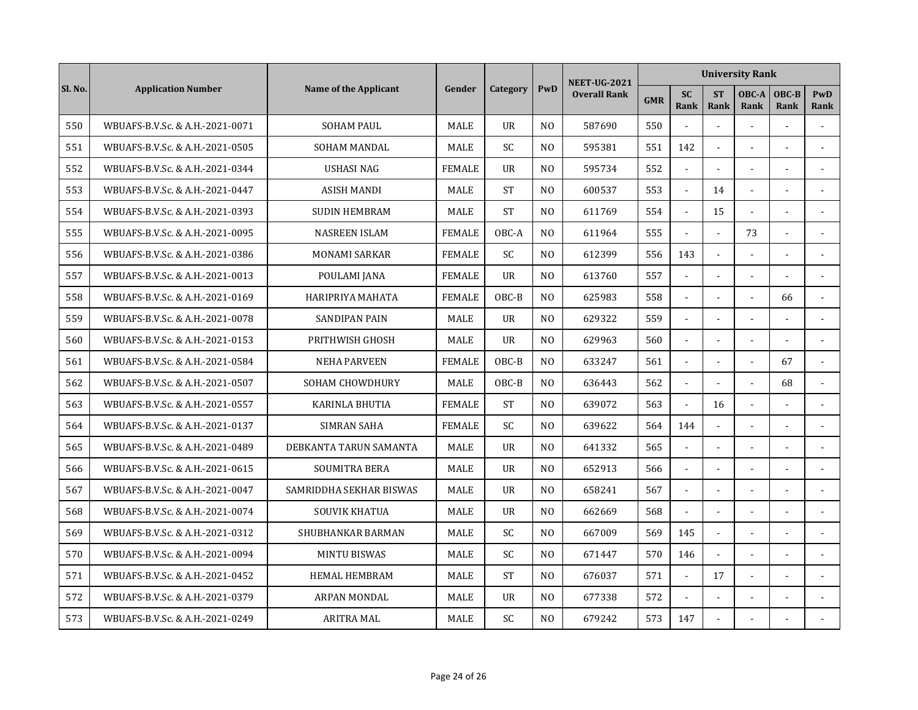|         |                                 |                         |               |                |                | <b>NEET-UG-2021</b> |            |                   |                          | <b>University Rank</b> |                      |                |
|---------|---------------------------------|-------------------------|---------------|----------------|----------------|---------------------|------------|-------------------|--------------------------|------------------------|----------------------|----------------|
| Sl. No. | <b>Application Number</b>       | Name of the Applicant   | Gender        | Category       | PwD            | <b>Overall Rank</b> | <b>GMR</b> | <b>SC</b><br>Rank | <b>ST</b><br><b>Rank</b> | OBC-A<br>Rank          | OBC-B<br><b>Rank</b> | PwD<br>Rank    |
| 550     | WBUAFS-B.V.Sc. & A.H.-2021-0071 | <b>SOHAM PAUL</b>       | MALE          | <b>UR</b>      | N <sub>O</sub> | 587690              | 550        |                   | $\overline{a}$           | $\overline{a}$         |                      |                |
| 551     | WBUAFS-B.V.Sc. & A.H.-2021-0505 | <b>SOHAM MANDAL</b>     | <b>MALE</b>   | <b>SC</b>      | N <sub>O</sub> | 595381              | 551        | 142               | $\overline{a}$           |                        | ÷.                   |                |
| 552     | WBUAFS-B.V.Sc. & A.H.-2021-0344 | <b>USHASI NAG</b>       | <b>FEMALE</b> | $_{\text{U}R}$ | N <sub>0</sub> | 595734              | 552        |                   |                          |                        |                      |                |
| 553     | WBUAFS-B.V.Sc. & A.H.-2021-0447 | <b>ASISH MANDI</b>      | MALE          | <b>ST</b>      | N <sub>O</sub> | 600537              | 553        | $\blacksquare$    | 14                       |                        |                      |                |
| 554     | WBUAFS-B.V.Sc. & A.H.-2021-0393 | <b>SUDIN HEMBRAM</b>    | MALE          | <b>ST</b>      | N <sub>O</sub> | 611769              | 554        | $\omega$          | 15                       | $\sim$                 | ä,                   |                |
| 555     | WBUAFS-B.V.Sc. & A.H.-2021-0095 | <b>NASREEN ISLAM</b>    | <b>FEMALE</b> | OBC-A          | N <sub>O</sub> | 611964              | 555        | $\mathbf{r}$      | $\blacksquare$           | 73                     | ä,                   |                |
| 556     | WBUAFS-B.V.Sc. & A.H.-2021-0386 | <b>MONAMI SARKAR</b>    | <b>FEMALE</b> | SC             | N <sub>O</sub> | 612399              | 556        | 143               | $\overline{\phantom{a}}$ |                        |                      |                |
| 557     | WBUAFS-B.V.Sc. & A.H.-2021-0013 | POULAMI JANA            | <b>FEMALE</b> | <b>UR</b>      | N <sub>0</sub> | 613760              | 557        | $\sim$            | $\overline{a}$           |                        |                      | $\overline{a}$ |
| 558     | WBUAFS-B.V.Sc. & A.H.-2021-0169 | HARIPRIYA MAHATA        | <b>FEMALE</b> | $OBC-B$        | N <sub>0</sub> | 625983              | 558        |                   |                          |                        | 66                   |                |
| 559     | WBUAFS-B.V.Sc. & A.H.-2021-0078 | <b>SANDIPAN PAIN</b>    | MALE          | <b>UR</b>      | N <sub>O</sub> | 629322              | 559        |                   |                          |                        |                      |                |
| 560     | WBUAFS-B.V.Sc. & A.H.-2021-0153 | PRITHWISH GHOSH         | MALE          | <b>UR</b>      | N <sub>O</sub> | 629963              | 560        | $\sim$            | $\overline{a}$           |                        |                      |                |
| 561     | WBUAFS-B.V.Sc. & A.H.-2021-0584 | <b>NEHA PARVEEN</b>     | <b>FEMALE</b> | OBC-B          | N <sub>O</sub> | 633247              | 561        | L.                | $\overline{a}$           | $\overline{a}$         | 67                   | $\overline{a}$ |
| 562     | WBUAFS-B.V.Sc. & A.H.-2021-0507 | <b>SOHAM CHOWDHURY</b>  | <b>MALE</b>   | OBC-B          | N <sub>O</sub> | 636443              | 562        | $\blacksquare$    | $\sim$                   | $\sim$                 | 68                   |                |
| 563     | WBUAFS-B.V.Sc. & A.H.-2021-0557 | KARINLA BHUTIA          | <b>FEMALE</b> | <b>ST</b>      | N <sub>O</sub> | 639072              | 563        | $\mathbf{r}$      | 16                       |                        |                      | $\sim$         |
| 564     | WBUAFS-B.V.Sc. & A.H.-2021-0137 | <b>SIMRAN SAHA</b>      | <b>FEMALE</b> | SC.            | N <sub>O</sub> | 639622              | 564        | 144               |                          |                        |                      |                |
| 565     | WBUAFS-B.V.Sc. & A.H.-2021-0489 | DEBKANTA TARUN SAMANTA  | <b>MALE</b>   | <b>UR</b>      | N <sub>O</sub> | 641332              | 565        | $\mathbf{r}$      | $\blacksquare$           |                        |                      |                |
| 566     | WBUAFS-B.V.Sc. & A.H.-2021-0615 | <b>SOUMITRA BERA</b>    | <b>MALE</b>   | <b>UR</b>      | N <sub>0</sub> | 652913              | 566        | $\sim$            | $\sim$                   |                        |                      |                |
| 567     | WBUAFS-B.V.Sc. & A.H.-2021-0047 | SAMRIDDHA SEKHAR BISWAS | MALE          | <b>UR</b>      | N <sub>0</sub> | 658241              | 567        | $\blacksquare$    | $\overline{a}$           |                        |                      |                |
| 568     | WBUAFS-B.V.Sc. & A.H.-2021-0074 | <b>SOUVIK KHATUA</b>    | MALE          | <b>UR</b>      | N <sub>O</sub> | 662669              | 568        | $\overline{a}$    | $\overline{a}$           |                        | $\overline{a}$       |                |
| 569     | WBUAFS-B.V.Sc. & A.H.-2021-0312 | SHUBHANKAR BARMAN       | <b>MALE</b>   | SC             | N <sub>O</sub> | 667009              | 569        | 145               |                          |                        |                      |                |
| 570     | WBUAFS-B.V.Sc. & A.H.-2021-0094 | <b>MINTU BISWAS</b>     | MALE          | <b>SC</b>      | N <sub>O</sub> | 671447              | 570        | 146               |                          |                        |                      |                |
| 571     | WBUAFS-B.V.Sc. & A.H.-2021-0452 | <b>HEMAL HEMBRAM</b>    | <b>MALE</b>   | <b>ST</b>      | N <sub>O</sub> | 676037              | 571        | $\blacksquare$    | 17                       |                        |                      |                |
| 572     | WBUAFS-B.V.Sc. & A.H.-2021-0379 | <b>ARPAN MONDAL</b>     | <b>MALE</b>   | <b>UR</b>      | N <sub>O</sub> | 677338              | 572        | $\blacksquare$    | $\blacksquare$           |                        |                      |                |
| 573     | WBUAFS-B.V.Sc. & A.H.-2021-0249 | <b>ARITRA MAL</b>       | MALE          | SC             | N <sub>O</sub> | 679242              | 573        | 147               |                          |                        |                      |                |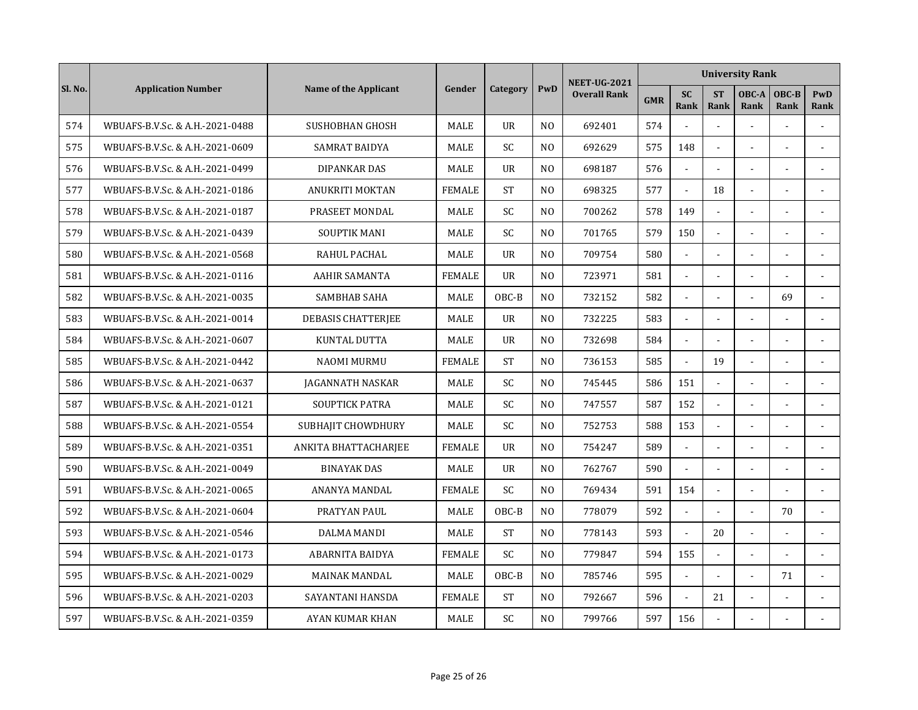| Sl. No. | <b>Application Number</b>       | Name of the Applicant     | Gender        | Category       | PwD            | <b>NEET-UG-2021</b><br><b>Overall Rank</b> | <b>University Rank</b> |                   |                          |                |                      |                |  |
|---------|---------------------------------|---------------------------|---------------|----------------|----------------|--------------------------------------------|------------------------|-------------------|--------------------------|----------------|----------------------|----------------|--|
|         |                                 |                           |               |                |                |                                            | <b>GMR</b>             | <b>SC</b><br>Rank | <b>ST</b><br><b>Rank</b> | OBC-A<br>Rank  | OBC-B<br><b>Rank</b> | PwD<br>Rank    |  |
| 574     | WBUAFS-B.V.Sc. & A.H.-2021-0488 | <b>SUSHOBHAN GHOSH</b>    | <b>MALE</b>   | <b>UR</b>      | N <sub>O</sub> | 692401                                     | 574                    |                   | $\overline{a}$           | $\overline{a}$ |                      |                |  |
| 575     | WBUAFS-B.V.Sc. & A.H.-2021-0609 | <b>SAMRAT BAIDYA</b>      | <b>MALE</b>   | <b>SC</b>      | N <sub>O</sub> | 692629                                     | 575                    | 148               | $\overline{a}$           |                | ÷.                   |                |  |
| 576     | WBUAFS-B.V.Sc. & A.H.-2021-0499 | <b>DIPANKAR DAS</b>       | <b>MALE</b>   | $_{\text{U}R}$ | N <sub>0</sub> | 698187                                     | 576                    |                   |                          |                |                      |                |  |
| 577     | WBUAFS-B.V.Sc. & A.H.-2021-0186 | ANUKRITI MOKTAN           | <b>FEMALE</b> | <b>ST</b>      | N <sub>O</sub> | 698325                                     | 577                    | $\sim$            | 18                       |                |                      |                |  |
| 578     | WBUAFS-B.V.Sc. & A.H.-2021-0187 | PRASEET MONDAL            | MALE          | SC.            | N <sub>O</sub> | 700262                                     | 578                    | 149               | $\blacksquare$           |                |                      |                |  |
| 579     | WBUAFS-B.V.Sc. & A.H.-2021-0439 | <b>SOUPTIK MANI</b>       | MALE          | <b>SC</b>      | N <sub>O</sub> | 701765                                     | 579                    | 150               | $\tilde{\phantom{a}}$    |                |                      |                |  |
| 580     | WBUAFS-B.V.Sc. & A.H.-2021-0568 | RAHUL PACHAL              | MALE          | $_{\text{U}R}$ | N <sub>0</sub> | 709754                                     | 580                    | $\blacksquare$    | $\overline{\phantom{a}}$ |                |                      |                |  |
| 581     | WBUAFS-B.V.Sc. & A.H.-2021-0116 | <b>AAHIR SAMANTA</b>      | <b>FEMALE</b> | $_{\text{U}R}$ | N <sub>0</sub> | 723971                                     | 581                    | $\blacksquare$    | $\overline{a}$           |                |                      | $\overline{a}$ |  |
| 582     | WBUAFS-B.V.Sc. & A.H.-2021-0035 | <b>SAMBHAB SAHA</b>       | <b>MALE</b>   | $OBC-B$        | N <sub>0</sub> | 732152                                     | 582                    |                   |                          |                | 69                   |                |  |
| 583     | WBUAFS-B.V.Sc. & A.H.-2021-0014 | <b>DEBASIS CHATTERJEE</b> | <b>MALE</b>   | <b>UR</b>      | N <sub>O</sub> | 732225                                     | 583                    |                   |                          |                |                      |                |  |
| 584     | WBUAFS-B.V.Sc. & A.H.-2021-0607 | KUNTAL DUTTA              | MALE          | <b>UR</b>      | N <sub>O</sub> | 732698                                     | 584                    | $\sim$            | $\overline{a}$           |                |                      |                |  |
| 585     | WBUAFS-B.V.Sc. & A.H.-2021-0442 | <b>NAOMI MURMU</b>        | <b>FEMALE</b> | <b>ST</b>      | N <sub>O</sub> | 736153                                     | 585                    | $\mathbf{r}$      | 19                       | $\overline{a}$ | ÷.                   |                |  |
| 586     | WBUAFS-B.V.Sc. & A.H.-2021-0637 | JAGANNATH NASKAR          | <b>MALE</b>   | <b>SC</b>      | N <sub>O</sub> | 745445                                     | 586                    | 151               | $\tilde{\phantom{a}}$    |                |                      |                |  |
| 587     | WBUAFS-B.V.Sc. & A.H.-2021-0121 | <b>SOUPTICK PATRA</b>     | MALE          | SC             | N <sub>O</sub> | 747557                                     | 587                    | 152               | ä,                       |                |                      |                |  |
| 588     | WBUAFS-B.V.Sc. & A.H.-2021-0554 | SUBHAJIT CHOWDHURY        | MALE          | SC             | N <sub>O</sub> | 752753                                     | 588                    | 153               |                          |                |                      |                |  |
| 589     | WBUAFS-B.V.Sc. & A.H.-2021-0351 | ANKITA BHATTACHARJEE      | <b>FEMALE</b> | $_{\text{U}R}$ | N <sub>O</sub> | 754247                                     | 589                    | $\sim$            | $\blacksquare$           |                |                      |                |  |
| 590     | WBUAFS-B.V.Sc. & A.H.-2021-0049 | <b>BINAYAK DAS</b>        | <b>MALE</b>   | $_{\text{U}R}$ | N <sub>O</sub> | 762767                                     | 590                    |                   | $\overline{\phantom{a}}$ |                |                      |                |  |
| 591     | WBUAFS-B.V.Sc. & A.H.-2021-0065 | ANANYA MANDAL             | <b>FEMALE</b> | SC             | N <sub>O</sub> | 769434                                     | 591                    | 154               | $\overline{\phantom{a}}$ | $\overline{a}$ |                      |                |  |
| 592     | WBUAFS-B.V.Sc. & A.H.-2021-0604 | PRATYAN PAUL              | MALE          | OBC-B          | N <sub>O</sub> | 778079                                     | 592                    | $\sim$            | $\overline{a}$           |                | 70                   |                |  |
| 593     | WBUAFS-B.V.Sc. & A.H.-2021-0546 | <b>DALMA MANDI</b>        | MALE          | <b>ST</b>      | N <sub>O</sub> | 778143                                     | 593                    |                   | 20                       |                |                      |                |  |
| 594     | WBUAFS-B.V.Sc. & A.H.-2021-0173 | ABARNITA BAIDYA           | <b>FEMALE</b> | SC             | N <sub>O</sub> | 779847                                     | 594                    | 155               | $\overline{a}$           |                |                      |                |  |
| 595     | WBUAFS-B.V.Sc. & A.H.-2021-0029 | <b>MAINAK MANDAL</b>      | <b>MALE</b>   | OBC-B          | N <sub>O</sub> | 785746                                     | 595                    | $\blacksquare$    | ä,                       |                | 71                   | $\sim$         |  |
| 596     | WBUAFS-B.V.Sc. & A.H.-2021-0203 | SAYANTANI HANSDA          | <b>FEMALE</b> | <b>ST</b>      | N <sub>O</sub> | 792667                                     | 596                    | $\mathbf{r}$      | 21                       | $\sim$         |                      |                |  |
| 597     | WBUAFS-B.V.Sc. & A.H.-2021-0359 | AYAN KUMAR KHAN           | MALE          | SC             | N <sub>O</sub> | 799766                                     | 597                    | 156               |                          |                |                      |                |  |